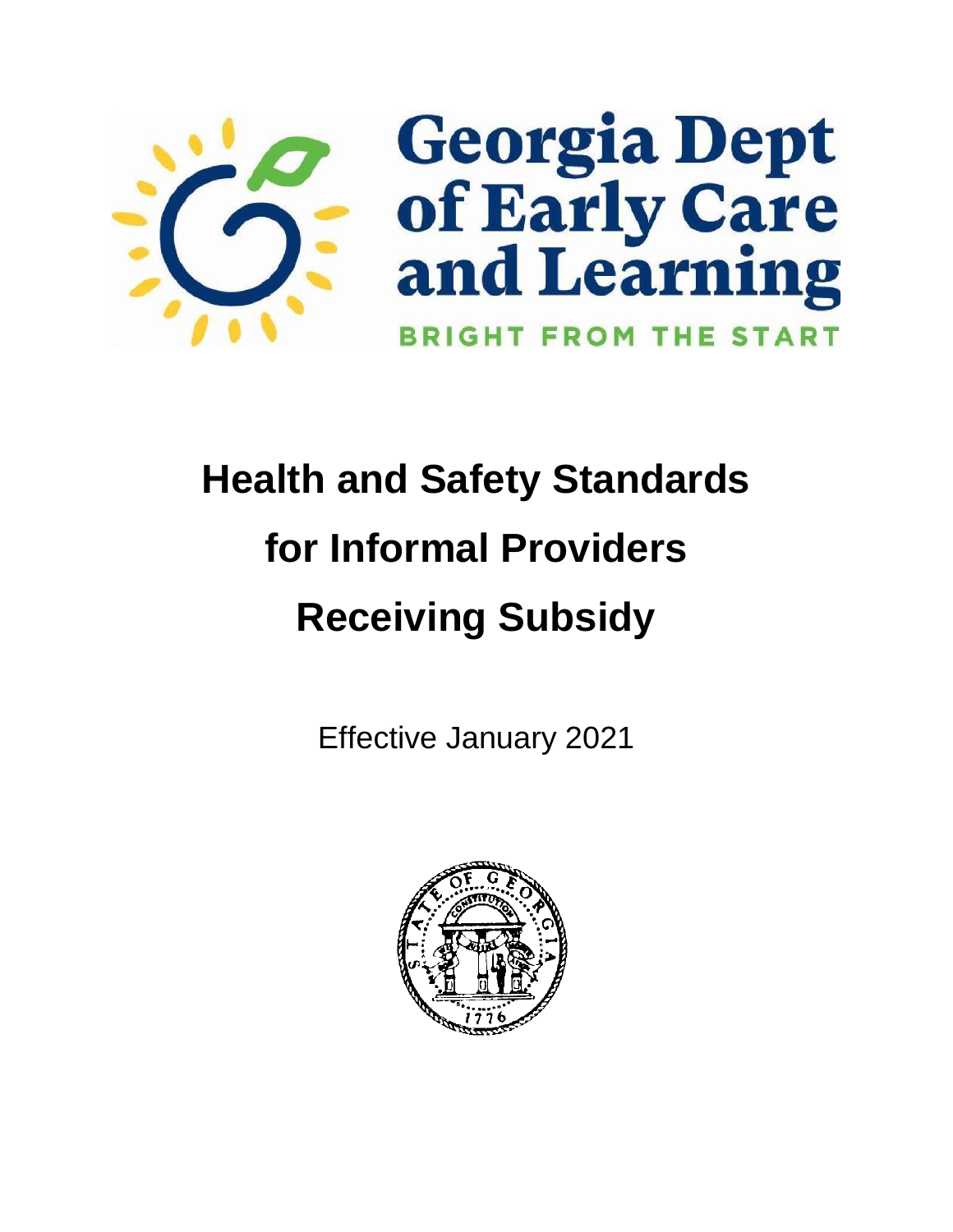

# **Health and Safety Standards for Informal Providers Receiving Subsidy**

Effective January 2021

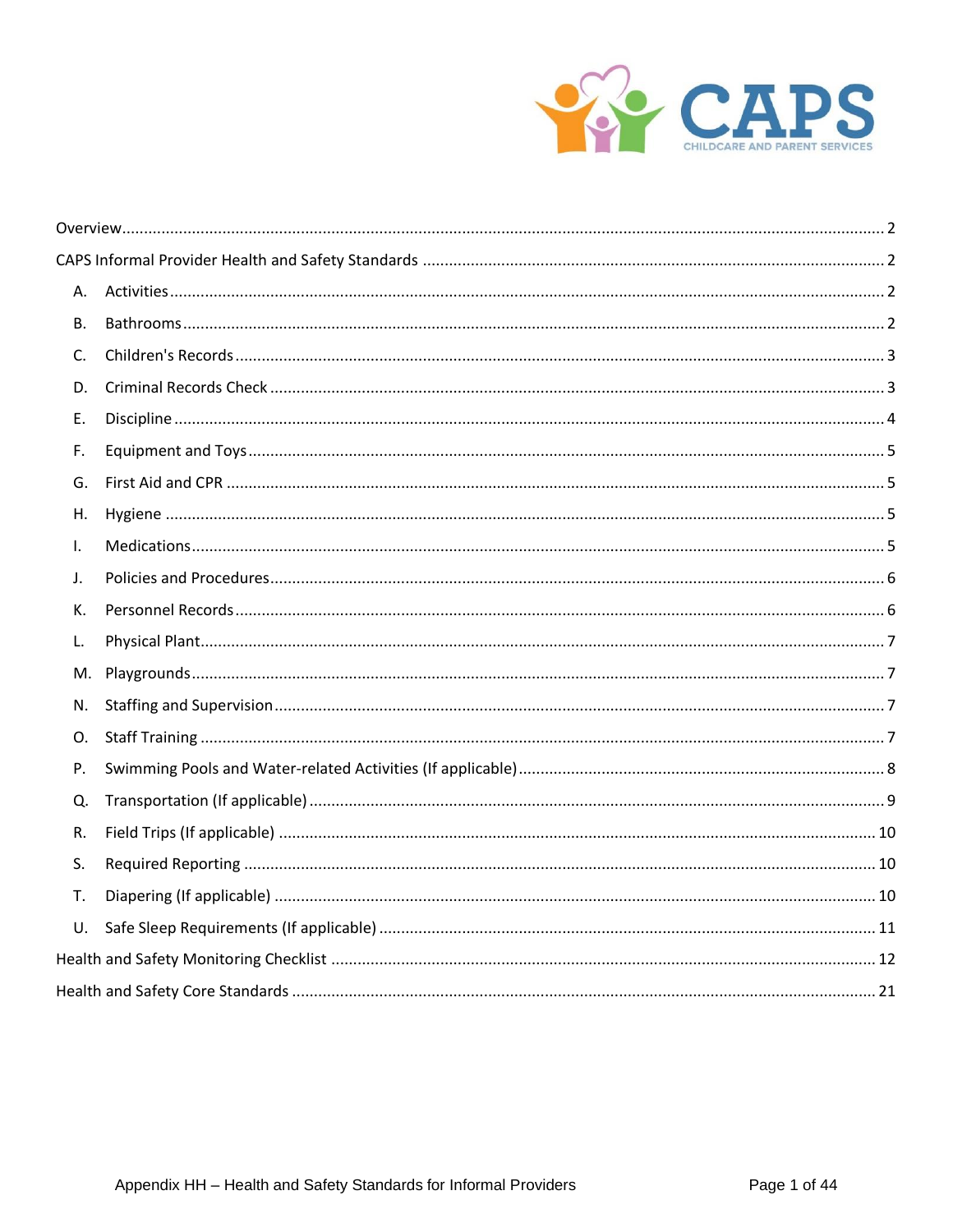

| А.           |  |
|--------------|--|
| В.           |  |
| C.           |  |
| D.           |  |
| Е.           |  |
| F.           |  |
| G.           |  |
| Η.           |  |
| $\mathsf{L}$ |  |
| J.           |  |
| К.           |  |
| L.           |  |
| M.           |  |
| N.           |  |
| O.           |  |
| Ρ.           |  |
| Q.           |  |
| R.           |  |
| S.           |  |
| Т.           |  |
| U.           |  |
|              |  |
|              |  |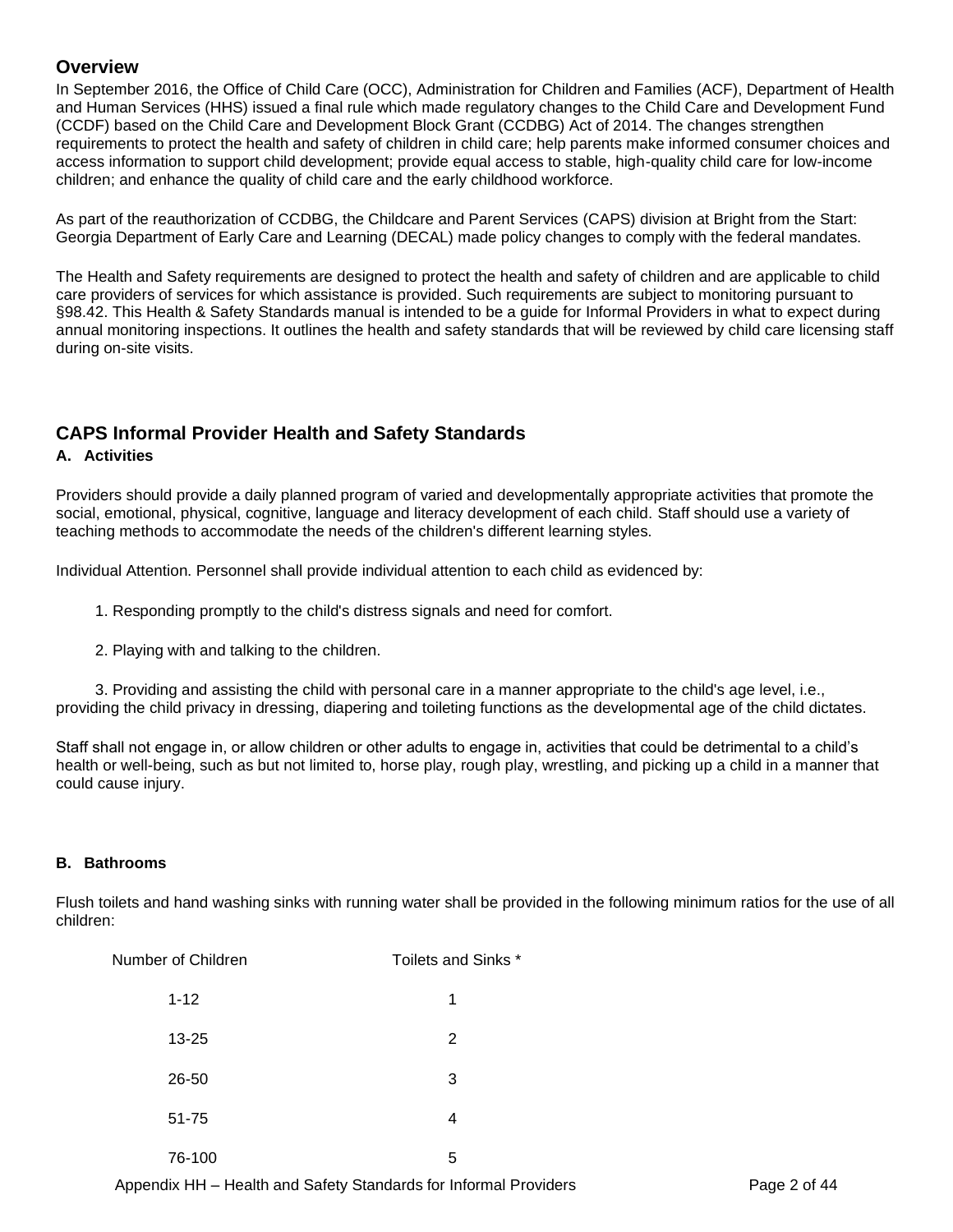#### <span id="page-2-0"></span>**Overview**

In September 2016, the Office of Child Care (OCC), Administration for Children and Families (ACF), Department of Health and Human Services (HHS) issued a final rule which made regulatory changes to the Child Care and Development Fund (CCDF) based on the Child Care and Development Block Grant (CCDBG) Act of 2014. The changes strengthen requirements to protect the health and safety of children in child care; help parents make informed consumer choices and access information to support child development; provide equal access to stable, high-quality child care for low-income children; and enhance the quality of child care and the early childhood workforce.

As part of the reauthorization of CCDBG, the Childcare and Parent Services (CAPS) division at Bright from the Start: Georgia Department of Early Care and Learning (DECAL) made policy changes to comply with the federal mandates.

The Health and Safety requirements are designed to protect the health and safety of children and are applicable to child care providers of services for which assistance is provided. Such requirements are subject to monitoring pursuant to §98.42. This Health & Safety Standards manual is intended to be a guide for Informal Providers in what to expect during annual monitoring inspections. It outlines the health and safety standards that will be reviewed by child care licensing staff during on-site visits.

### <span id="page-2-1"></span>**CAPS Informal Provider Health and Safety Standards**

#### <span id="page-2-2"></span>**A. Activities**

Providers should provide a daily planned program of varied and developmentally appropriate activities that promote the social, emotional, physical, cognitive, language and literacy development of each child. Staff should use a variety of teaching methods to accommodate the needs of the children's different learning styles.

Individual Attention. Personnel shall provide individual attention to each child as evidenced by:

- 1. Responding promptly to the child's distress signals and need for comfort.
- 2. Playing with and talking to the children.

 3. Providing and assisting the child with personal care in a manner appropriate to the child's age level, i.e., providing the child privacy in dressing, diapering and toileting functions as the developmental age of the child dictates.

Staff shall not engage in, or allow children or other adults to engage in, activities that could be detrimental to a child's health or well-being, such as but not limited to, horse play, rough play, wrestling, and picking up a child in a manner that could cause injury.

#### <span id="page-2-3"></span>**B. Bathrooms**

Flush toilets and hand washing sinks with running water shall be provided in the following minimum ratios for the use of all children:

| Number of Children | Toilets and Sinks * |
|--------------------|---------------------|
| $1 - 12$           | 1                   |
| $13 - 25$          | 2                   |
| 26-50              | 3                   |
| $51 - 75$          | 4                   |
| 76-100             | 5                   |

Appendix HH – Health and Safety Standards for Informal Providers **Page 2** of 44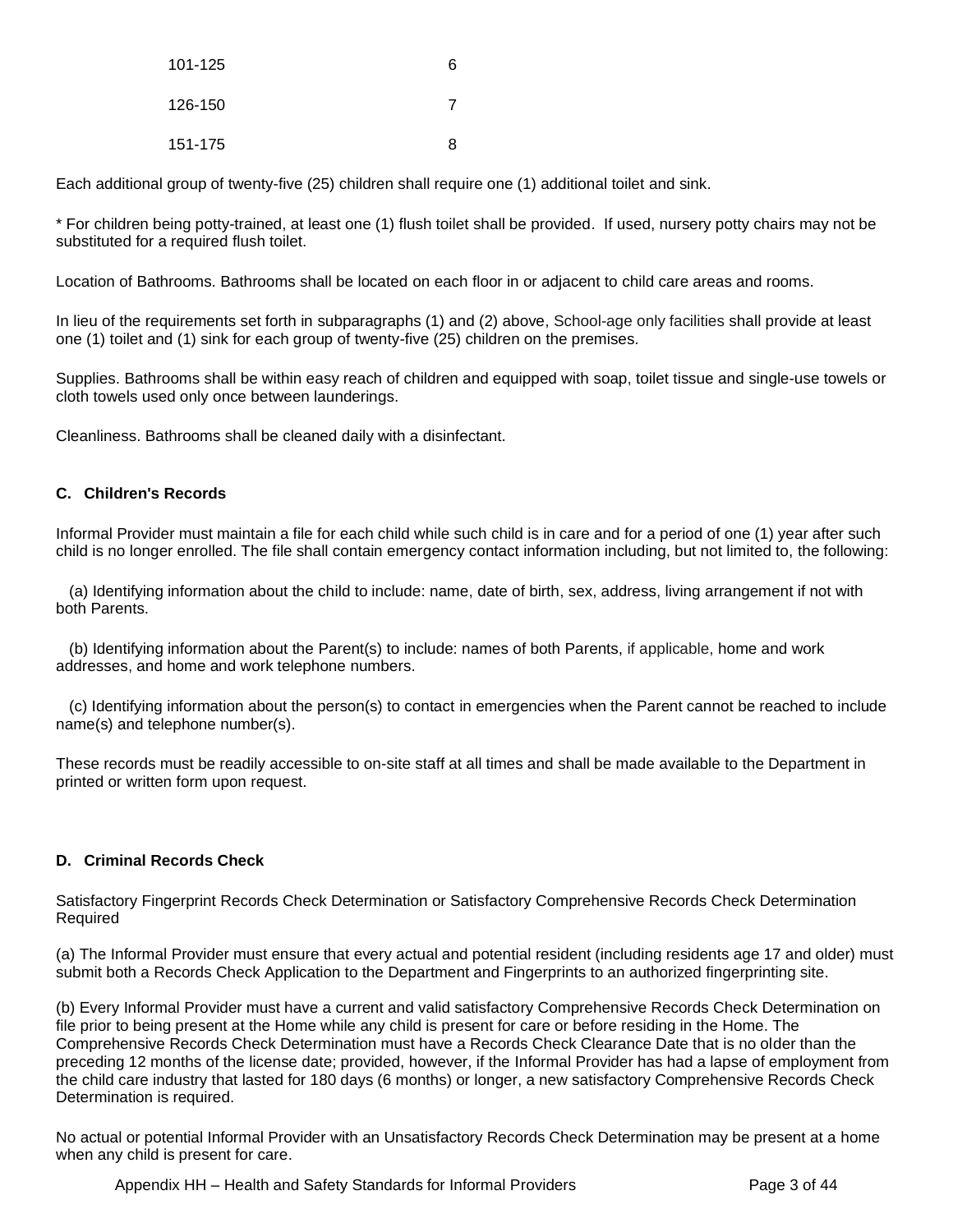| 101-125 | 6 |
|---------|---|
| 126-150 |   |
| 151-175 | ጸ |

Each additional group of twenty-five (25) children shall require one (1) additional toilet and sink.

\* For children being potty-trained, at least one (1) flush toilet shall be provided. If used, nursery potty chairs may not be substituted for a required flush toilet.

Location of Bathrooms. Bathrooms shall be located on each floor in or adjacent to child care areas and rooms.

In lieu of the requirements set forth in subparagraphs (1) and (2) above, School-age only facilities shall provide at least one (1) toilet and (1) sink for each group of twenty-five (25) children on the premises.

Supplies. Bathrooms shall be within easy reach of children and equipped with soap, toilet tissue and single-use towels or cloth towels used only once between launderings.

Cleanliness. Bathrooms shall be cleaned daily with a disinfectant.

#### <span id="page-3-0"></span>**C. Children's Records**

Informal Provider must maintain a file for each child while such child is in care and for a period of one (1) year after such child is no longer enrolled. The file shall contain emergency contact information including, but not limited to, the following:

 (a) Identifying information about the child to include: name, date of birth, sex, address, living arrangement if not with both Parents.

 (b) Identifying information about the Parent(s) to include: names of both Parents, if applicable, home and work addresses, and home and work telephone numbers.

 (c) Identifying information about the person(s) to contact in emergencies when the Parent cannot be reached to include name(s) and telephone number(s).

These records must be readily accessible to on-site staff at all times and shall be made available to the Department in printed or written form upon request.

#### <span id="page-3-1"></span>**D. Criminal Records Check**

Satisfactory Fingerprint Records Check Determination or Satisfactory Comprehensive Records Check Determination Required

(a) The Informal Provider must ensure that every actual and potential resident (including residents age 17 and older) must submit both a Records Check Application to the Department and Fingerprints to an authorized fingerprinting site.

(b) Every Informal Provider must have a current and valid satisfactory Comprehensive Records Check Determination on file prior to being present at the Home while any child is present for care or before residing in the Home. The Comprehensive Records Check Determination must have a Records Check Clearance Date that is no older than the preceding 12 months of the license date; provided, however, if the Informal Provider has had a lapse of employment from the child care industry that lasted for 180 days (6 months) or longer, a new satisfactory Comprehensive Records Check Determination is required.

No actual or potential Informal Provider with an Unsatisfactory Records Check Determination may be present at a home when any child is present for care.

Appendix HH – Health and Safety Standards for Informal Providers **Page 3** of 44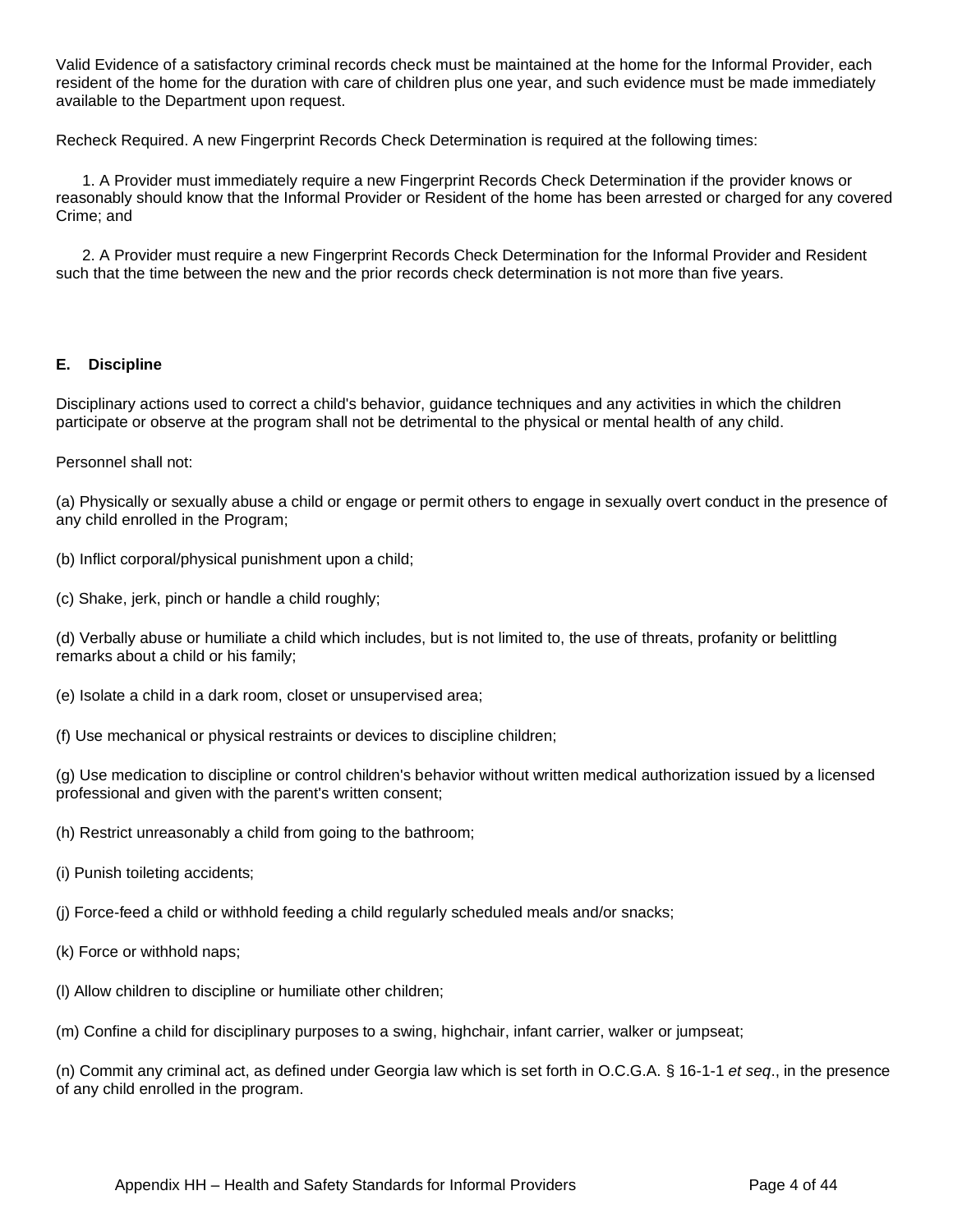Valid Evidence of a satisfactory criminal records check must be maintained at the home for the Informal Provider, each resident of the home for the duration with care of children plus one year, and such evidence must be made immediately available to the Department upon request.

Recheck Required. A new Fingerprint Records Check Determination is required at the following times:

 1. A Provider must immediately require a new Fingerprint Records Check Determination if the provider knows or reasonably should know that the Informal Provider or Resident of the home has been arrested or charged for any covered Crime; and

 2. A Provider must require a new Fingerprint Records Check Determination for the Informal Provider and Resident such that the time between the new and the prior records check determination is not more than five years.

#### <span id="page-4-0"></span>**E. Discipline**

Disciplinary actions used to correct a child's behavior, guidance techniques and any activities in which the children participate or observe at the program shall not be detrimental to the physical or mental health of any child.

Personnel shall not:

(a) Physically or sexually abuse a child or engage or permit others to engage in sexually overt conduct in the presence of any child enrolled in the Program;

- (b) Inflict corporal/physical punishment upon a child;
- (c) Shake, jerk, pinch or handle a child roughly;

(d) Verbally abuse or humiliate a child which includes, but is not limited to, the use of threats, profanity or belittling remarks about a child or his family;

- (e) Isolate a child in a dark room, closet or unsupervised area;
- (f) Use mechanical or physical restraints or devices to discipline children;

(g) Use medication to discipline or control children's behavior without written medical authorization issued by a licensed professional and given with the parent's written consent;

- (h) Restrict unreasonably a child from going to the bathroom;
- (i) Punish toileting accidents;
- (j) Force-feed a child or withhold feeding a child regularly scheduled meals and/or snacks;
- (k) Force or withhold naps;
- (l) Allow children to discipline or humiliate other children;
- (m) Confine a child for disciplinary purposes to a swing, highchair, infant carrier, walker or jumpseat;

(n) Commit any criminal act, as defined under Georgia law which is set forth in O.C.G.A. § 16-1-1 *et seq*., in the presence of any child enrolled in the program.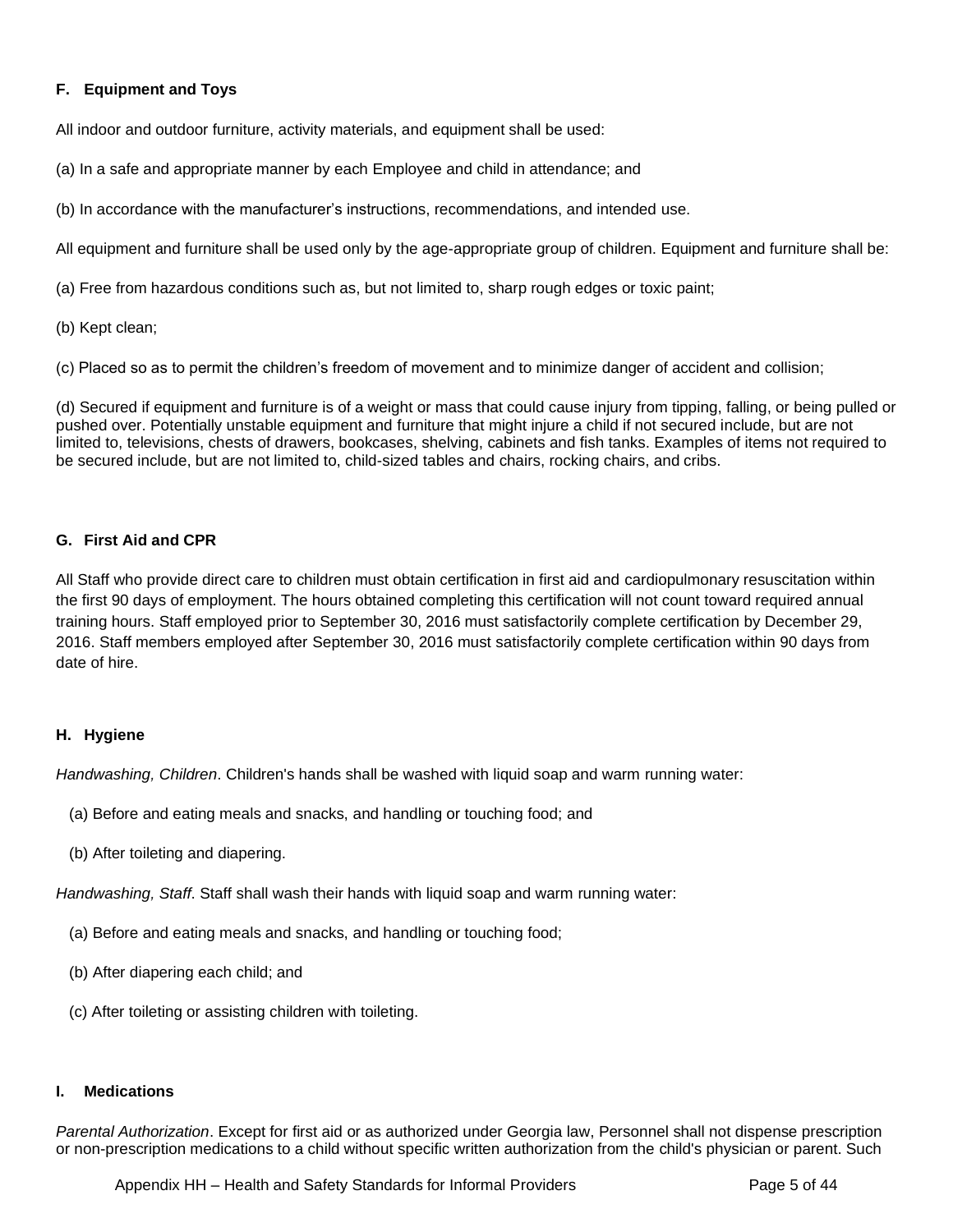#### <span id="page-5-0"></span>**F. Equipment and Toys**

All indoor and outdoor furniture, activity materials, and equipment shall be used:

- (a) In a safe and appropriate manner by each Employee and child in attendance; and
- (b) In accordance with the manufacturer's instructions, recommendations, and intended use.

All equipment and furniture shall be used only by the age-appropriate group of children. Equipment and furniture shall be:

(a) Free from hazardous conditions such as, but not limited to, sharp rough edges or toxic paint;

(b) Kept clean;

(c) Placed so as to permit the children's freedom of movement and to minimize danger of accident and collision;

(d) Secured if equipment and furniture is of a weight or mass that could cause injury from tipping, falling, or being pulled or pushed over. Potentially unstable equipment and furniture that might injure a child if not secured include, but are not limited to, televisions, chests of drawers, bookcases, shelving, cabinets and fish tanks. Examples of items not required to be secured include, but are not limited to, child-sized tables and chairs, rocking chairs, and cribs.

#### <span id="page-5-1"></span>**G. First Aid and CPR**

All Staff who provide direct care to children must obtain certification in first aid and cardiopulmonary resuscitation within the first 90 days of employment. The hours obtained completing this certification will not count toward required annual training hours. Staff employed prior to September 30, 2016 must satisfactorily complete certification by December 29, 2016. Staff members employed after September 30, 2016 must satisfactorily complete certification within 90 days from date of hire.

#### <span id="page-5-2"></span>**H. Hygiene**

*Handwashing, Children*. Children's hands shall be washed with liquid soap and warm running water:

- (a) Before and eating meals and snacks, and handling or touching food; and
- (b) After toileting and diapering.

*Handwashing, Staff*. Staff shall wash their hands with liquid soap and warm running water:

- (a) Before and eating meals and snacks, and handling or touching food;
- (b) After diapering each child; and
- (c) After toileting or assisting children with toileting.

#### <span id="page-5-3"></span>**I. Medications**

*Parental Authorization*. Except for first aid or as authorized under Georgia law, Personnel shall not dispense prescription or non-prescription medications to a child without specific written authorization from the child's physician or parent. Such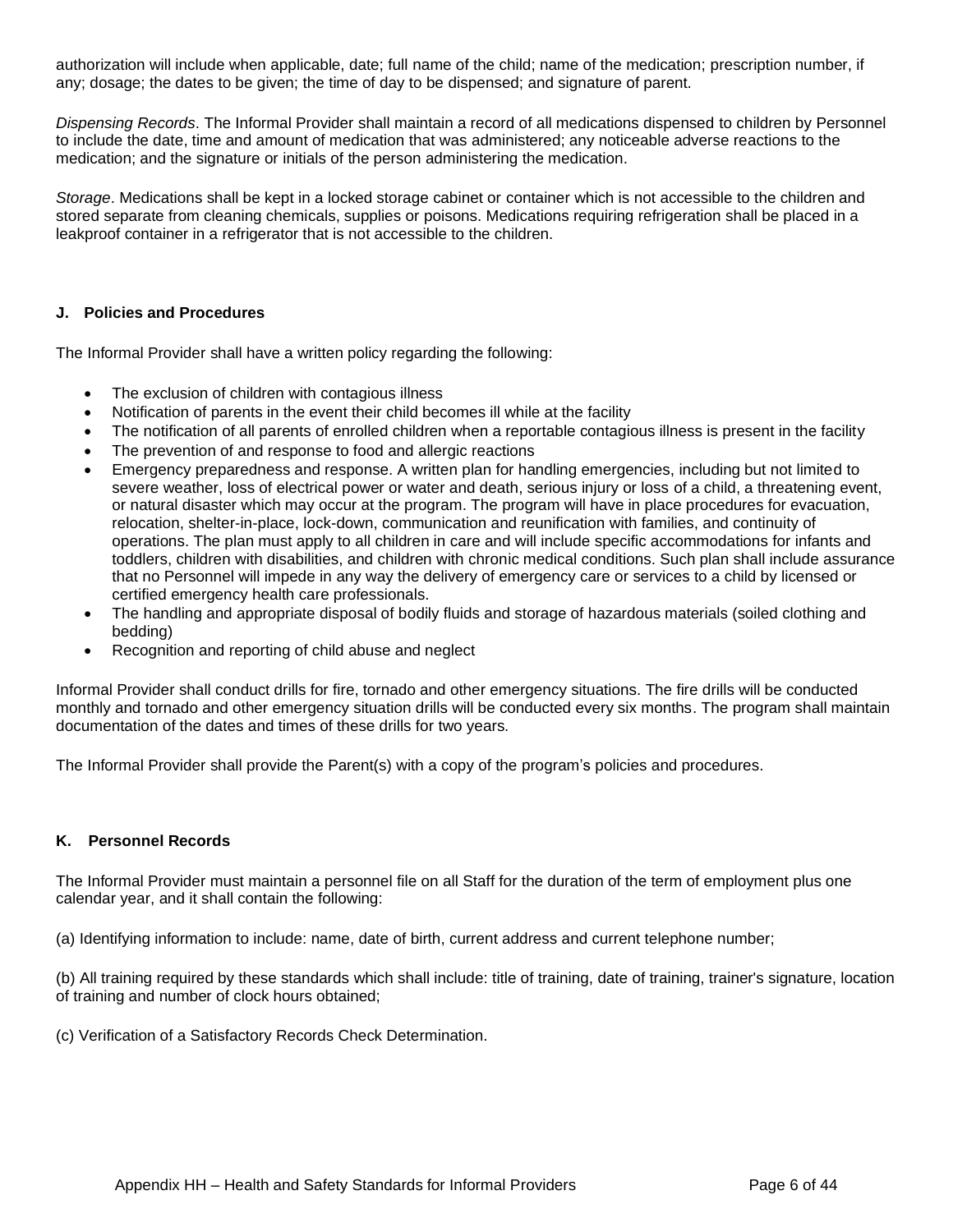authorization will include when applicable, date; full name of the child; name of the medication; prescription number, if any; dosage; the dates to be given; the time of day to be dispensed; and signature of parent.

*Dispensing Records*. The Informal Provider shall maintain a record of all medications dispensed to children by Personnel to include the date, time and amount of medication that was administered; any noticeable adverse reactions to the medication; and the signature or initials of the person administering the medication.

*Storage*. Medications shall be kept in a locked storage cabinet or container which is not accessible to the children and stored separate from cleaning chemicals, supplies or poisons. Medications requiring refrigeration shall be placed in a leakproof container in a refrigerator that is not accessible to the children.

#### <span id="page-6-0"></span>**J. Policies and Procedures**

The Informal Provider shall have a written policy regarding the following:

- The exclusion of children with contagious illness
- Notification of parents in the event their child becomes ill while at the facility
- The notification of all parents of enrolled children when a reportable contagious illness is present in the facility
- The prevention of and response to food and allergic reactions
- Emergency preparedness and response. A written plan for handling emergencies, including but not limited to severe weather, loss of electrical power or water and death, serious injury or loss of a child, a threatening event, or natural disaster which may occur at the program. The program will have in place procedures for evacuation, relocation, shelter-in-place, lock-down, communication and reunification with families, and continuity of operations. The plan must apply to all children in care and will include specific accommodations for infants and toddlers, children with disabilities, and children with chronic medical conditions. Such plan shall include assurance that no Personnel will impede in any way the delivery of emergency care or services to a child by licensed or certified emergency health care professionals.
- The handling and appropriate disposal of bodily fluids and storage of hazardous materials (soiled clothing and bedding)
- Recognition and reporting of child abuse and neglect

Informal Provider shall conduct drills for fire, tornado and other emergency situations. The fire drills will be conducted monthly and tornado and other emergency situation drills will be conducted every six months. The program shall maintain documentation of the dates and times of these drills for two years.

The Informal Provider shall provide the Parent(s) with a copy of the program's policies and procedures.

#### <span id="page-6-1"></span>**K. Personnel Records**

The Informal Provider must maintain a personnel file on all Staff for the duration of the term of employment plus one calendar year, and it shall contain the following:

(a) Identifying information to include: name, date of birth, current address and current telephone number;

(b) All training required by these standards which shall include: title of training, date of training, trainer's signature, location of training and number of clock hours obtained;

(c) Verification of a Satisfactory Records Check Determination.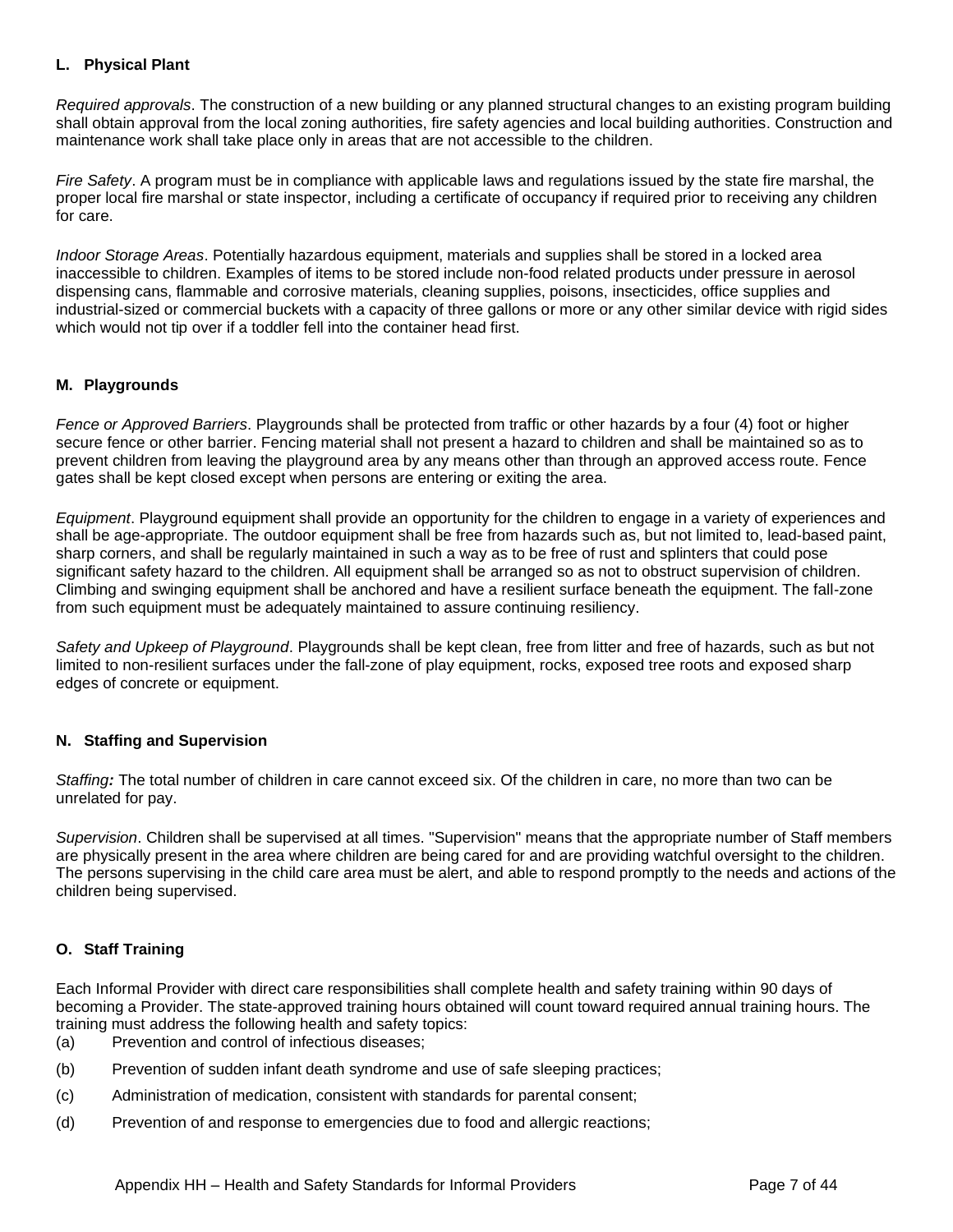#### <span id="page-7-0"></span>**L. Physical Plant**

*Required approvals*. The construction of a new building or any planned structural changes to an existing program building shall obtain approval from the local zoning authorities, fire safety agencies and local building authorities. Construction and maintenance work shall take place only in areas that are not accessible to the children.

*Fire Safety*. A program must be in compliance with applicable laws and regulations issued by the state fire marshal, the proper local fire marshal or state inspector, including a certificate of occupancy if required prior to receiving any children for care.

*Indoor Storage Areas*. Potentially hazardous equipment, materials and supplies shall be stored in a locked area inaccessible to children. Examples of items to be stored include non-food related products under pressure in aerosol dispensing cans, flammable and corrosive materials, cleaning supplies, poisons, insecticides, office supplies and industrial-sized or commercial buckets with a capacity of three gallons or more or any other similar device with rigid sides which would not tip over if a toddler fell into the container head first.

#### <span id="page-7-1"></span>**M. Playgrounds**

*Fence or Approved Barriers*. Playgrounds shall be protected from traffic or other hazards by a four (4) foot or higher secure fence or other barrier. Fencing material shall not present a hazard to children and shall be maintained so as to prevent children from leaving the playground area by any means other than through an approved access route. Fence gates shall be kept closed except when persons are entering or exiting the area.

*Equipment*. Playground equipment shall provide an opportunity for the children to engage in a variety of experiences and shall be age-appropriate. The outdoor equipment shall be free from hazards such as, but not limited to, lead-based paint, sharp corners, and shall be regularly maintained in such a way as to be free of rust and splinters that could pose significant safety hazard to the children. All equipment shall be arranged so as not to obstruct supervision of children. Climbing and swinging equipment shall be anchored and have a resilient surface beneath the equipment. The fall-zone from such equipment must be adequately maintained to assure continuing resiliency.

*Safety and Upkeep of Playground*. Playgrounds shall be kept clean, free from litter and free of hazards, such as but not limited to non-resilient surfaces under the fall-zone of play equipment, rocks, exposed tree roots and exposed sharp edges of concrete or equipment.

#### <span id="page-7-2"></span>**N. Staffing and Supervision**

*Staffing:* The total number of children in care cannot exceed six. Of the children in care, no more than two can be unrelated for pay.

*Supervision*. Children shall be supervised at all times. "Supervision" means that the appropriate number of Staff members are physically present in the area where children are being cared for and are providing watchful oversight to the children. The persons supervising in the child care area must be alert, and able to respond promptly to the needs and actions of the children being supervised.

#### <span id="page-7-3"></span>**O. Staff Training**

Each Informal Provider with direct care responsibilities shall complete health and safety training within 90 days of becoming a Provider. The state-approved training hours obtained will count toward required annual training hours. The training must address the following health and safety topics:

(a) Prevention and control of infectious diseases;

- (b) Prevention of sudden infant death syndrome and use of safe sleeping practices;
- (c) Administration of medication, consistent with standards for parental consent;
- (d) Prevention of and response to emergencies due to food and allergic reactions;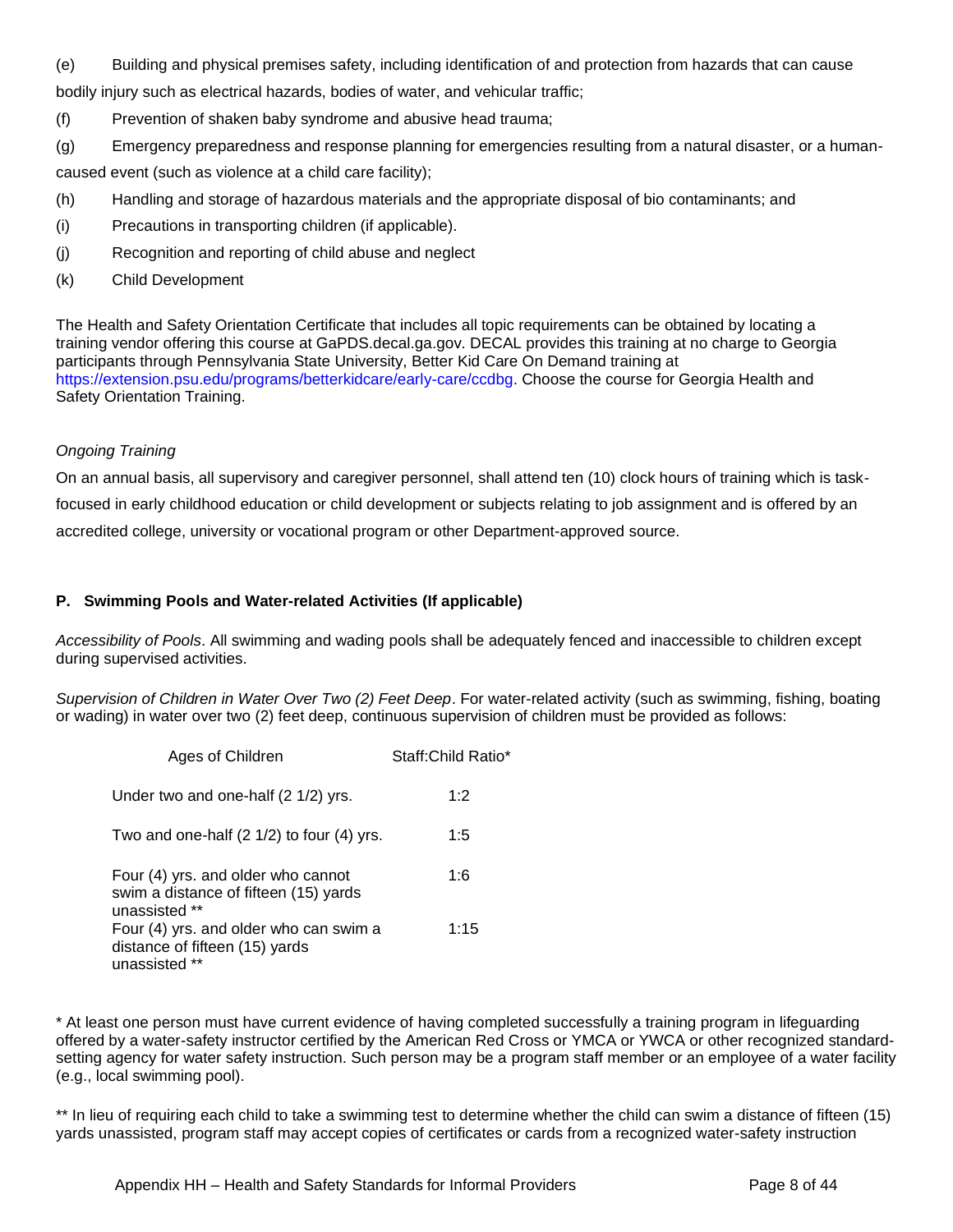(e) Building and physical premises safety, including identification of and protection from hazards that can cause bodily injury such as electrical hazards, bodies of water, and vehicular traffic;

- (f) Prevention of shaken baby syndrome and abusive head trauma;
- (g) Emergency preparedness and response planning for emergencies resulting from a natural disaster, or a human-

caused event (such as violence at a child care facility);

- (h) Handling and storage of hazardous materials and the appropriate disposal of bio contaminants; and
- (i) Precautions in transporting children (if applicable).
- (j) Recognition and reporting of child abuse and neglect
- (k) Child Development

The Health and Safety Orientation Certificate that includes all topic requirements can be obtained by locating a training vendor offering this course at GaPDS.decal.ga.gov. DECAL provides this training at no charge to Georgia participants through Pennsylvania State University, Better Kid Care On Demand training at https://extension.psu.edu/programs/betterkidcare/early-care/ccdbg. Choose the course for Georgia Health and Safety Orientation Training.

#### *Ongoing Training*

On an annual basis, all supervisory and caregiver personnel, shall attend ten (10) clock hours of training which is taskfocused in early childhood education or child development or subjects relating to job assignment and is offered by an accredited college, university or vocational program or other Department-approved source.

#### <span id="page-8-0"></span>**P. Swimming Pools and Water-related Activities (If applicable)**

*Accessibility of Pools*. All swimming and wading pools shall be adequately fenced and inaccessible to children except during supervised activities.

*Supervision of Children in Water Over Two (2) Feet Deep*. For water-related activity (such as swimming, fishing, boating or wading) in water over two (2) feet deep, continuous supervision of children must be provided as follows:

| Ages of Children                                                                             | Staff: Child Ratio* |
|----------------------------------------------------------------------------------------------|---------------------|
| Under two and one-half (2 1/2) yrs.                                                          | 1:2                 |
| Two and one-half (2 1/2) to four (4) yrs.                                                    | 1:5                 |
| Four (4) yrs. and older who cannot<br>swim a distance of fifteen (15) yards<br>unassisted ** | 1:6                 |
| Four (4) yrs. and older who can swim a<br>distance of fifteen (15) yards<br>unassisted       | 1:15                |

\* At least one person must have current evidence of having completed successfully a training program in lifeguarding offered by a water-safety instructor certified by the American Red Cross or YMCA or YWCA or other recognized standardsetting agency for water safety instruction. Such person may be a program staff member or an employee of a water facility (e.g., local swimming pool).

\*\* In lieu of requiring each child to take a swimming test to determine whether the child can swim a distance of fifteen (15) yards unassisted, program staff may accept copies of certificates or cards from a recognized water-safety instruction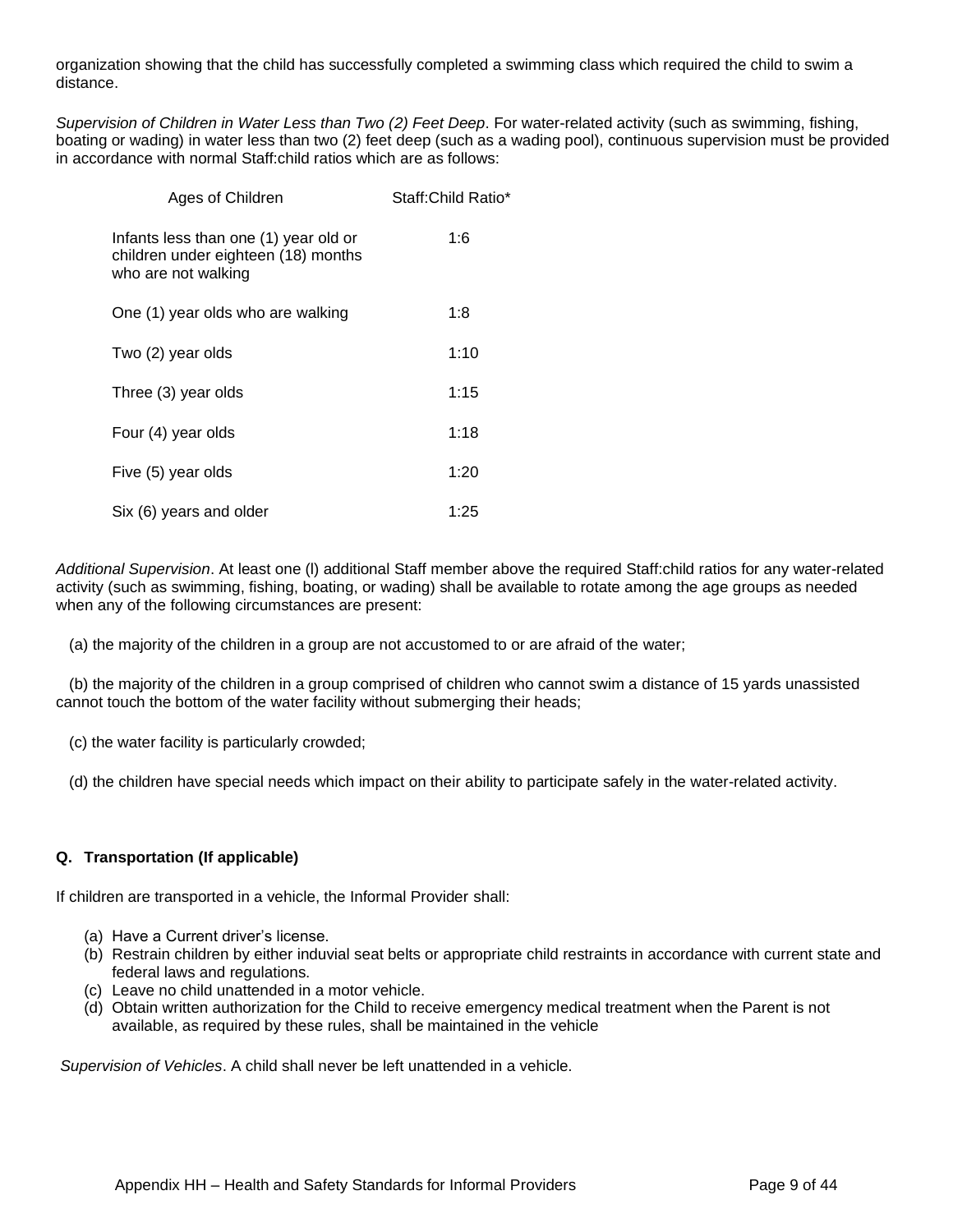organization showing that the child has successfully completed a swimming class which required the child to swim a distance.

*Supervision of Children in Water Less than Two (2) Feet Deep*. For water-related activity (such as swimming, fishing, boating or wading) in water less than two (2) feet deep (such as a wading pool), continuous supervision must be provided in accordance with normal Staff:child ratios which are as follows:

| Ages of Children                                                                                    | Staff: Child Ratio* |
|-----------------------------------------------------------------------------------------------------|---------------------|
| Infants less than one (1) year old or<br>children under eighteen (18) months<br>who are not walking | 1:6                 |
| One (1) year olds who are walking                                                                   | 1:8                 |
| Two (2) year olds                                                                                   | 1:10                |
| Three (3) year olds                                                                                 | 1:15                |
| Four (4) year olds                                                                                  | 1:18                |
| Five (5) year olds                                                                                  | 1:20                |
| Six (6) years and older                                                                             | 1:25                |

*Additional Supervision*. At least one (l) additional Staff member above the required Staff:child ratios for any water-related activity (such as swimming, fishing, boating, or wading) shall be available to rotate among the age groups as needed when any of the following circumstances are present:

(a) the majority of the children in a group are not accustomed to or are afraid of the water;

 (b) the majority of the children in a group comprised of children who cannot swim a distance of 15 yards unassisted cannot touch the bottom of the water facility without submerging their heads;

(c) the water facility is particularly crowded;

(d) the children have special needs which impact on their ability to participate safely in the water-related activity.

#### <span id="page-9-0"></span>**Q. Transportation (If applicable)**

If children are transported in a vehicle, the Informal Provider shall:

- (a) Have a Current driver's license.
- (b) Restrain children by either induvial seat belts or appropriate child restraints in accordance with current state and federal laws and regulations.
- (c) Leave no child unattended in a motor vehicle.
- (d) Obtain written authorization for the Child to receive emergency medical treatment when the Parent is not available, as required by these rules, shall be maintained in the vehicle

*Supervision of Vehicles*. A child shall never be left unattended in a vehicle.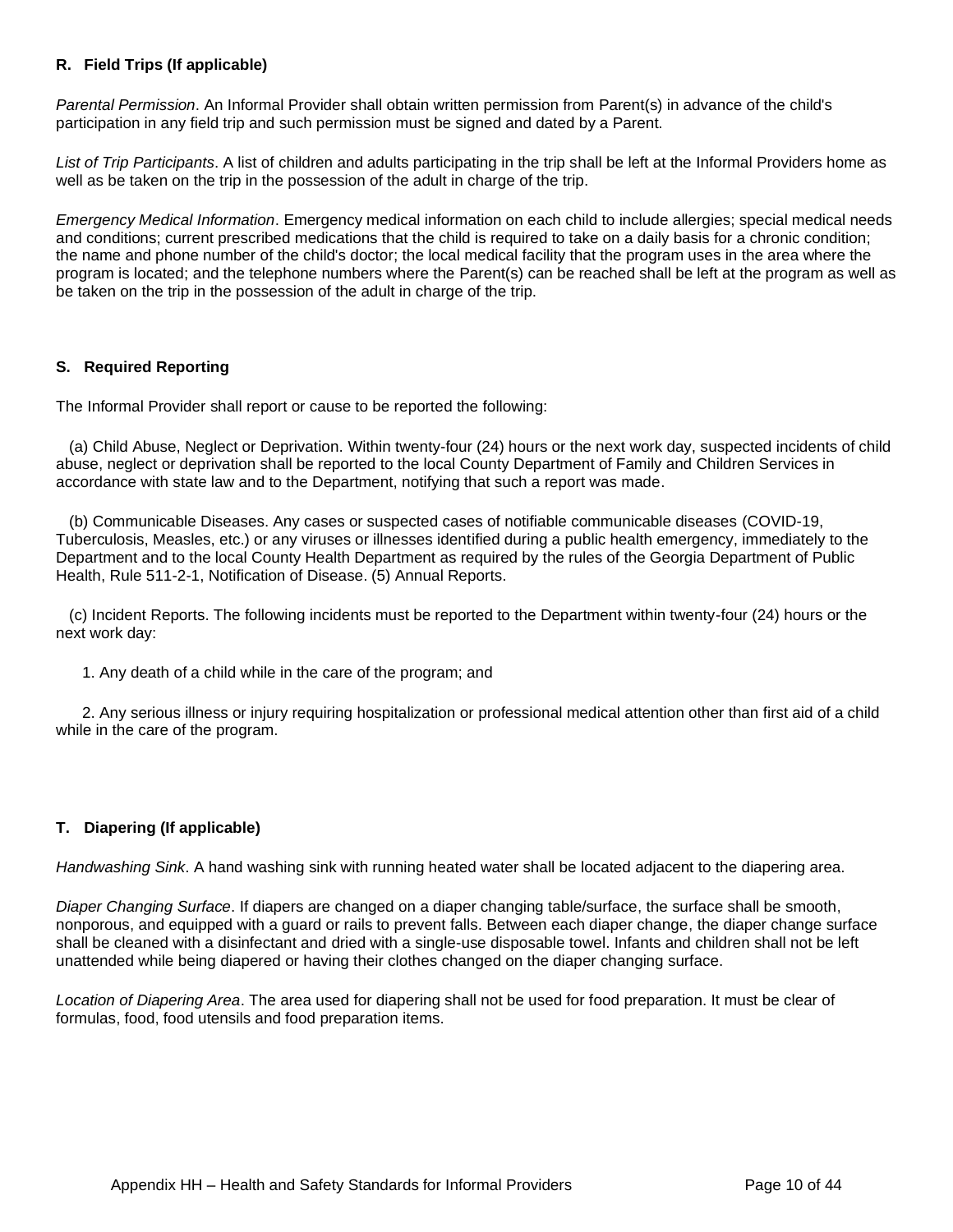#### <span id="page-10-0"></span>**R. Field Trips (If applicable)**

*Parental Permission*. An Informal Provider shall obtain written permission from Parent(s) in advance of the child's participation in any field trip and such permission must be signed and dated by a Parent.

*List of Trip Participants*. A list of children and adults participating in the trip shall be left at the Informal Providers home as well as be taken on the trip in the possession of the adult in charge of the trip.

*Emergency Medical Information*. Emergency medical information on each child to include allergies; special medical needs and conditions; current prescribed medications that the child is required to take on a daily basis for a chronic condition; the name and phone number of the child's doctor; the local medical facility that the program uses in the area where the program is located; and the telephone numbers where the Parent(s) can be reached shall be left at the program as well as be taken on the trip in the possession of the adult in charge of the trip.

#### <span id="page-10-1"></span>**S. Required Reporting**

The Informal Provider shall report or cause to be reported the following:

 (a) Child Abuse, Neglect or Deprivation. Within twenty-four (24) hours or the next work day, suspected incidents of child abuse, neglect or deprivation shall be reported to the local County Department of Family and Children Services in accordance with state law and to the Department, notifying that such a report was made.

 (b) Communicable Diseases. Any cases or suspected cases of notifiable communicable diseases (COVID-19, Tuberculosis, Measles, etc.) or any viruses or illnesses identified during a public health emergency, immediately to the Department and to the local County Health Department as required by the rules of the Georgia Department of Public Health, Rule 511-2-1, Notification of Disease. (5) Annual Reports.

 (c) Incident Reports. The following incidents must be reported to the Department within twenty-four (24) hours or the next work day:

1. Any death of a child while in the care of the program; and

 2. Any serious illness or injury requiring hospitalization or professional medical attention other than first aid of a child while in the care of the program.

#### <span id="page-10-2"></span>**T. Diapering (If applicable)**

*Handwashing Sink*. A hand washing sink with running heated water shall be located adjacent to the diapering area.

*Diaper Changing Surface*. If diapers are changed on a diaper changing table/surface, the surface shall be smooth, nonporous, and equipped with a guard or rails to prevent falls. Between each diaper change, the diaper change surface shall be cleaned with a disinfectant and dried with a single-use disposable towel. Infants and children shall not be left unattended while being diapered or having their clothes changed on the diaper changing surface.

*Location of Diapering Area*. The area used for diapering shall not be used for food preparation. It must be clear of formulas, food, food utensils and food preparation items.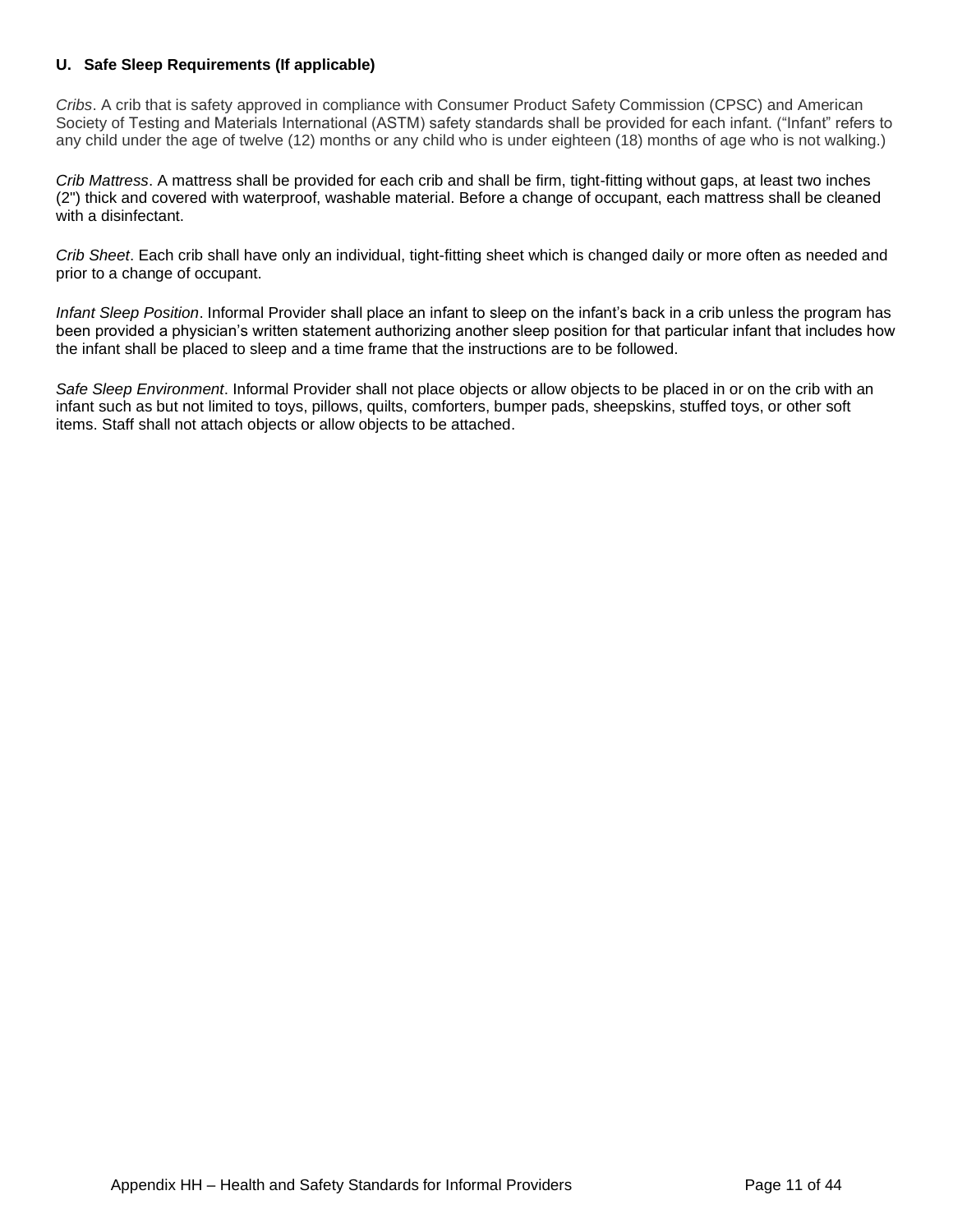#### <span id="page-11-0"></span>**U. Safe Sleep Requirements (If applicable)**

*Cribs*. A crib that is safety approved in compliance with Consumer Product Safety Commission (CPSC) and American Society of Testing and Materials International (ASTM) safety standards shall be provided for each infant. ("Infant" refers to any child under the age of twelve (12) months or any child who is under eighteen (18) months of age who is not walking.)

*Crib Mattress*. A mattress shall be provided for each crib and shall be firm, tight-fitting without gaps, at least two inches (2") thick and covered with waterproof, washable material. Before a change of occupant, each mattress shall be cleaned with a disinfectant.

*Crib Sheet*. Each crib shall have only an individual, tight-fitting sheet which is changed daily or more often as needed and prior to a change of occupant.

*Infant Sleep Position*. Informal Provider shall place an infant to sleep on the infant's back in a crib unless the program has been provided a physician's written statement authorizing another sleep position for that particular infant that includes how the infant shall be placed to sleep and a time frame that the instructions are to be followed.

*Safe Sleep Environment*. Informal Provider shall not place objects or allow objects to be placed in or on the crib with an infant such as but not limited to toys, pillows, quilts, comforters, bumper pads, sheepskins, stuffed toys, or other soft items. Staff shall not attach objects or allow objects to be attached.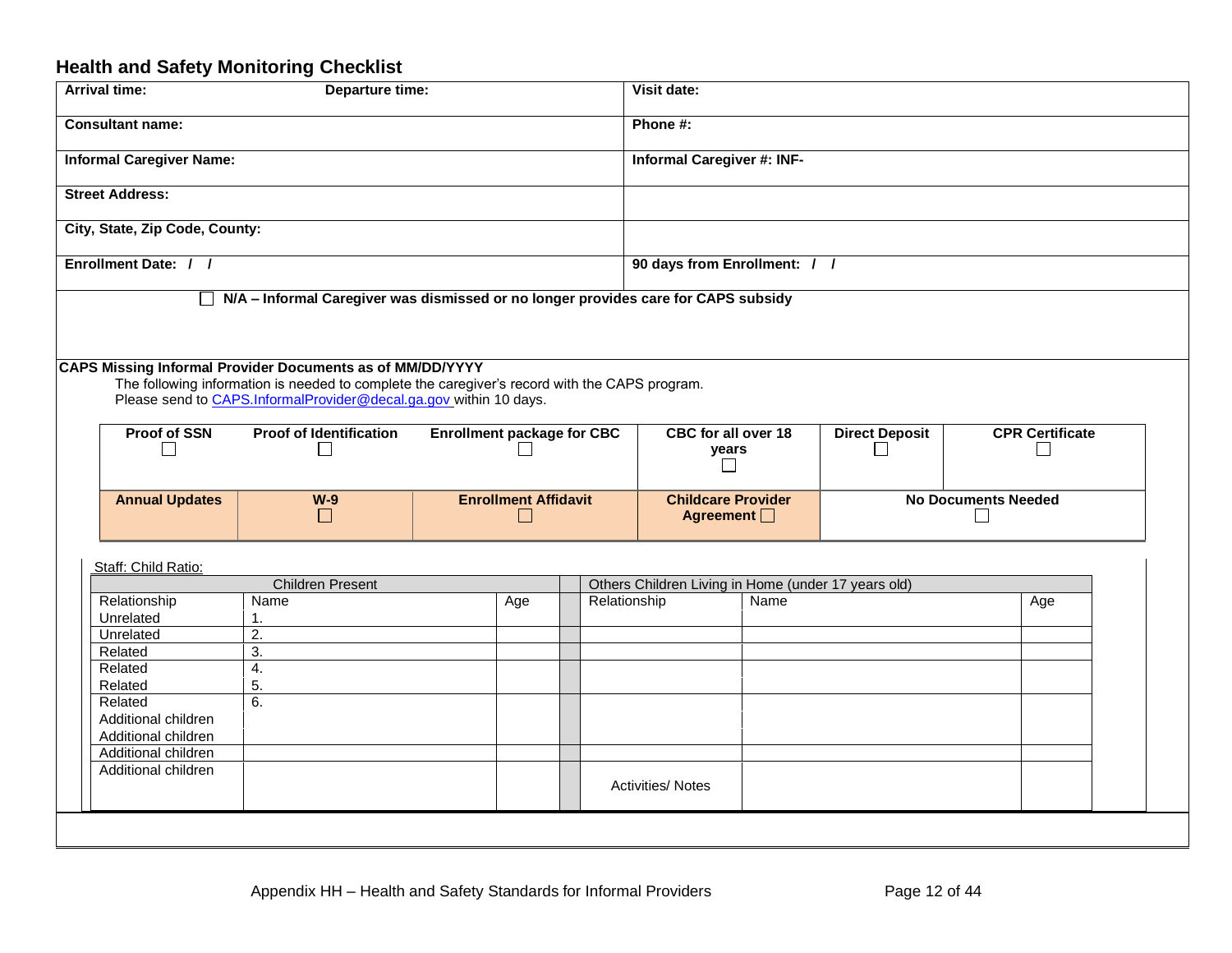## **Health and Safety Monitoring Checklist**

<span id="page-12-0"></span>

| <b>Arrival time:</b>                       | Departure time:                                                                                                                                            |                                   |              | Visit date:                                         |      |                                 |                                        |
|--------------------------------------------|------------------------------------------------------------------------------------------------------------------------------------------------------------|-----------------------------------|--------------|-----------------------------------------------------|------|---------------------------------|----------------------------------------|
| <b>Consultant name:</b>                    |                                                                                                                                                            |                                   |              | Phone #:                                            |      |                                 |                                        |
| <b>Informal Caregiver Name:</b>            |                                                                                                                                                            |                                   |              | Informal Caregiver #: INF-                          |      |                                 |                                        |
| <b>Street Address:</b>                     |                                                                                                                                                            |                                   |              |                                                     |      |                                 |                                        |
| City, State, Zip Code, County:             |                                                                                                                                                            |                                   |              |                                                     |      |                                 |                                        |
| Enrollment Date: / /                       |                                                                                                                                                            |                                   |              | 90 days from Enrollment: / /                        |      |                                 |                                        |
|                                            | N/A - Informal Caregiver was dismissed or no longer provides care for CAPS subsidy                                                                         |                                   |              |                                                     |      |                                 |                                        |
|                                            | CAPS Missing Informal Provider Documents as of MM/DD/YYYY<br>The following information is needed to complete the caregiver's record with the CAPS program. |                                   |              |                                                     |      |                                 |                                        |
|                                            | Please send to CAPS.InformalProvider@decal.ga.gov within 10 days.                                                                                          |                                   |              |                                                     |      |                                 |                                        |
|                                            |                                                                                                                                                            |                                   |              |                                                     |      |                                 |                                        |
| Proof of SSN                               | <b>Proof of Identification</b>                                                                                                                             | <b>Enrollment package for CBC</b> |              | <b>CBC for all over 18</b><br>years                 |      | <b>Direct Deposit</b><br>$\Box$ | <b>CPR Certificate</b><br>$\mathbf{L}$ |
| <b>Annual Updates</b>                      | $W-9$<br>$\vert \ \ \vert$                                                                                                                                 | <b>Enrollment Affidavit</b>       |              | <b>Childcare Provider</b><br>Agreement $\Box$       |      |                                 | <b>No Documents Needed</b>             |
|                                            |                                                                                                                                                            |                                   |              |                                                     |      |                                 |                                        |
| Staff: Child Ratio:                        |                                                                                                                                                            |                                   |              |                                                     |      |                                 |                                        |
|                                            | <b>Children Present</b>                                                                                                                                    |                                   |              | Others Children Living in Home (under 17 years old) |      |                                 |                                        |
| Relationship                               | Name                                                                                                                                                       | Age                               | Relationship |                                                     | Name |                                 | Age                                    |
| Unrelated                                  | $\mathbf 1$ .                                                                                                                                              |                                   |              |                                                     |      |                                 |                                        |
| Unrelated                                  | $\overline{2}$ .                                                                                                                                           |                                   |              |                                                     |      |                                 |                                        |
| Related                                    | 3.                                                                                                                                                         |                                   |              |                                                     |      |                                 |                                        |
| Related                                    | 4.                                                                                                                                                         |                                   |              |                                                     |      |                                 |                                        |
| Related                                    | 5.                                                                                                                                                         |                                   |              |                                                     |      |                                 |                                        |
| Related                                    | 6.                                                                                                                                                         |                                   |              |                                                     |      |                                 |                                        |
| Additional children                        |                                                                                                                                                            |                                   |              |                                                     |      |                                 |                                        |
| Additional children                        |                                                                                                                                                            |                                   |              |                                                     |      |                                 |                                        |
| Additional children<br>Additional children |                                                                                                                                                            |                                   |              |                                                     |      |                                 |                                        |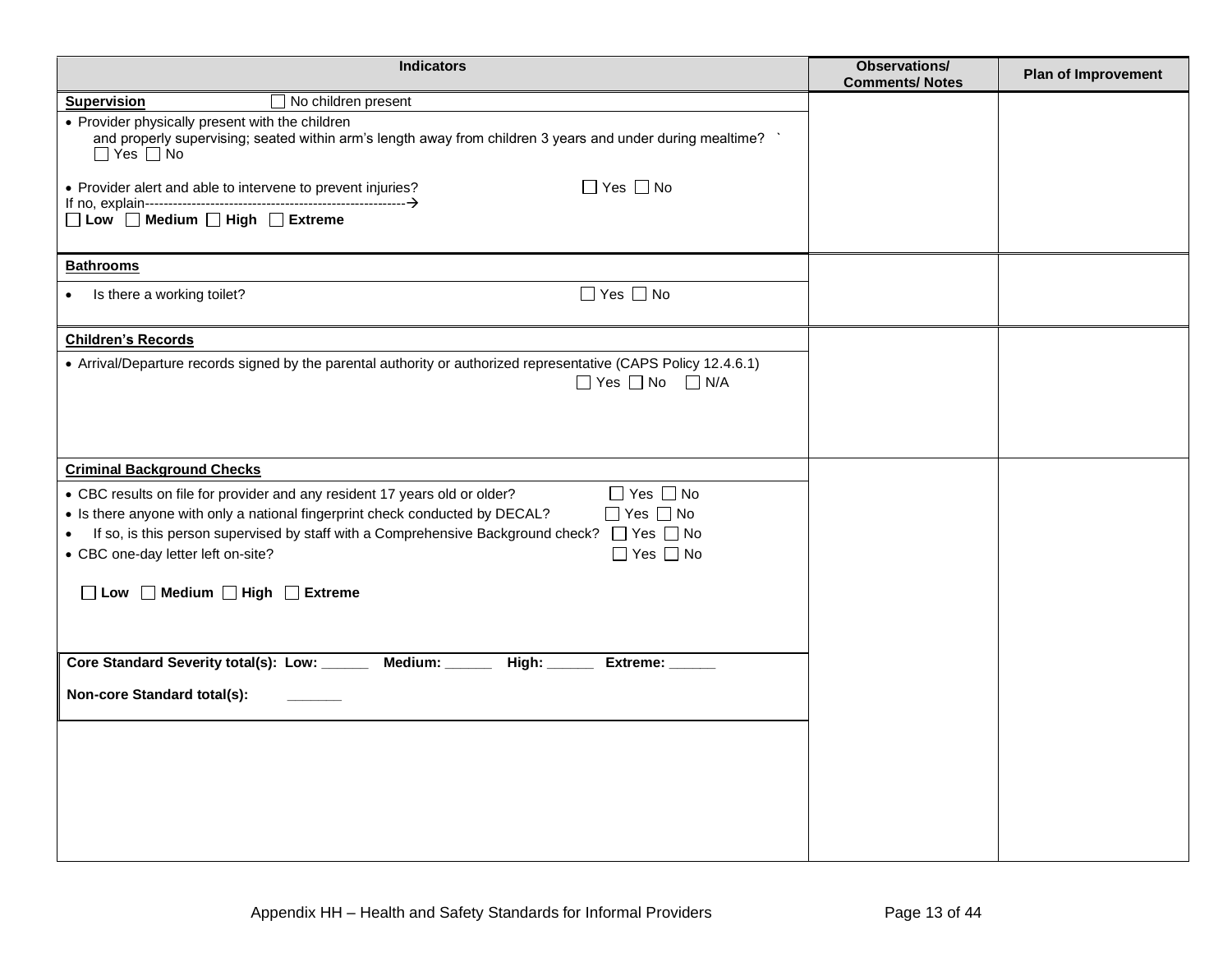| <b>Indicators</b>                                                                                                                                                                       | <b>Observations/</b><br><b>Comments/Notes</b> | <b>Plan of Improvement</b> |
|-----------------------------------------------------------------------------------------------------------------------------------------------------------------------------------------|-----------------------------------------------|----------------------------|
| $\Box$ No children present<br><b>Supervision</b>                                                                                                                                        |                                               |                            |
| • Provider physically present with the children<br>and properly supervising; seated within arm's length away from children 3 years and under during mealtime? \<br>$\Box$ Yes $\Box$ No |                                               |                            |
| $\Box$ Yes $\Box$ No<br>• Provider alert and able to intervene to prevent injuries?                                                                                                     |                                               |                            |
| □ Low □ Medium □ High □ Extreme                                                                                                                                                         |                                               |                            |
| <b>Bathrooms</b>                                                                                                                                                                        |                                               |                            |
| $\Box$ Yes $\Box$ No<br>Is there a working toilet?                                                                                                                                      |                                               |                            |
| <b>Children's Records</b>                                                                                                                                                               |                                               |                            |
| • Arrival/Departure records signed by the parental authority or authorized representative (CAPS Policy 12.4.6.1)<br>$\Box$ Yes $\Box$ No $\Box$ N/A                                     |                                               |                            |
|                                                                                                                                                                                         |                                               |                            |
| <b>Criminal Background Checks</b>                                                                                                                                                       |                                               |                            |
| $\Box$ Yes $\Box$ No<br>• CBC results on file for provider and any resident 17 years old or older?                                                                                      |                                               |                            |
| $\Box$ Yes $\Box$ No<br>• Is there anyone with only a national fingerprint check conducted by DECAL?                                                                                    |                                               |                            |
| If so, is this person supervised by staff with a Comprehensive Background check? $\Box$ Yes $\Box$ No<br>$\Box$ Yes $\Box$ No                                                           |                                               |                            |
| • CBC one-day letter left on-site?                                                                                                                                                      |                                               |                            |
| □ Low □ Medium □ High □ Extreme                                                                                                                                                         |                                               |                            |
|                                                                                                                                                                                         |                                               |                            |
| Core Standard Severity total(s): Low: _______ Medium: ______<br>Extreme: ______                                                                                                         |                                               |                            |
|                                                                                                                                                                                         |                                               |                            |
| Non-core Standard total(s):                                                                                                                                                             |                                               |                            |
|                                                                                                                                                                                         |                                               |                            |
|                                                                                                                                                                                         |                                               |                            |
|                                                                                                                                                                                         |                                               |                            |
|                                                                                                                                                                                         |                                               |                            |
|                                                                                                                                                                                         |                                               |                            |
|                                                                                                                                                                                         |                                               |                            |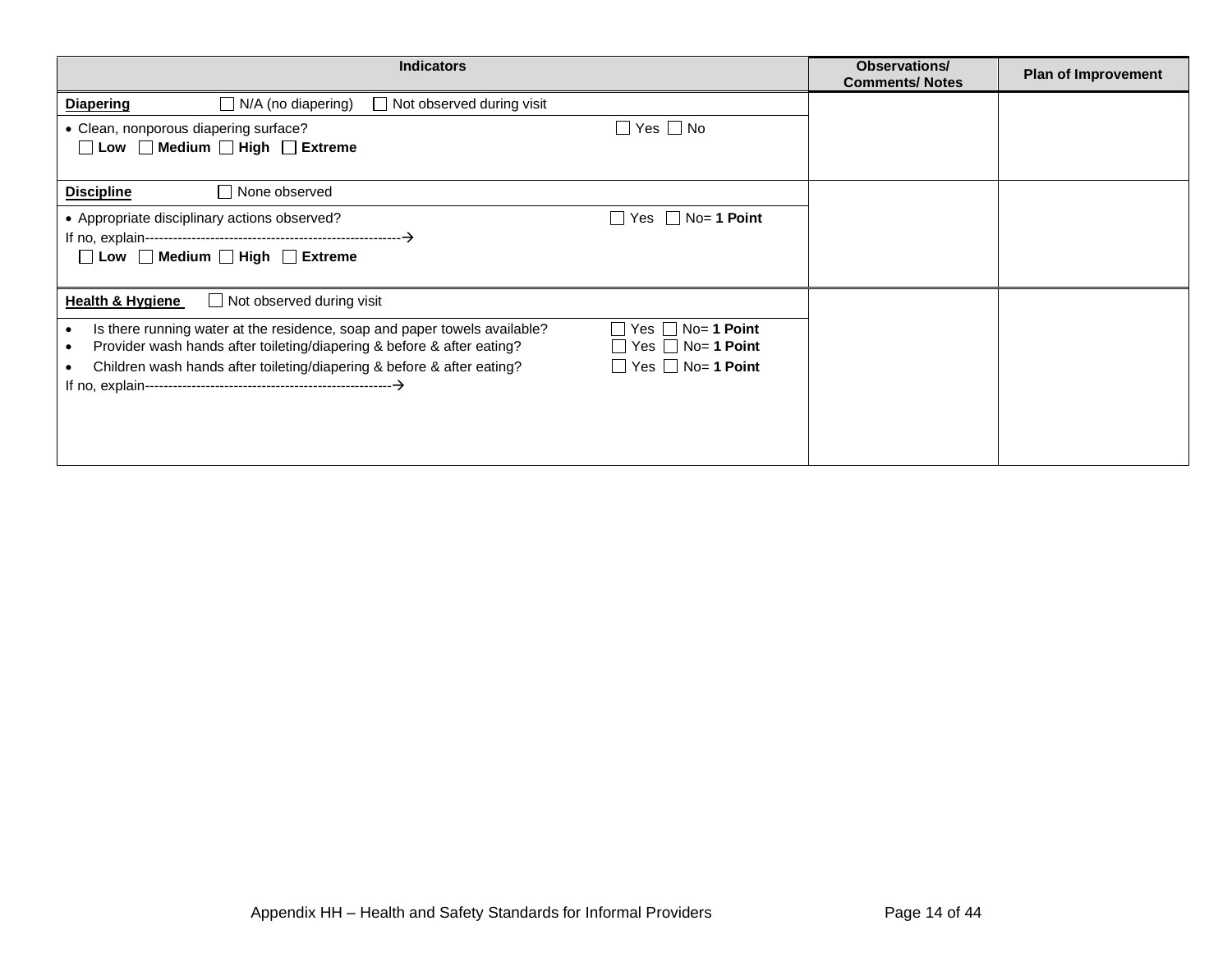| <b>Indicators</b>                                                                                                                                                                                                  | Observations/<br><b>Comments/Notes</b> | <b>Plan of Improvement</b> |
|--------------------------------------------------------------------------------------------------------------------------------------------------------------------------------------------------------------------|----------------------------------------|----------------------------|
| $\Box$ N/A (no diapering)<br>$\Box$ Not observed during visit<br><b>Diapering</b>                                                                                                                                  |                                        |                            |
| $\Box$ Yes $\Box$ No<br>• Clean, nonporous diapering surface?                                                                                                                                                      |                                        |                            |
| □ Low □ Medium □ High □ Extreme                                                                                                                                                                                    |                                        |                            |
| None observed<br><b>Discipline</b>                                                                                                                                                                                 |                                        |                            |
| $\Box$ Yes $\Box$ No= 1 Point<br>• Appropriate disciplinary actions observed?                                                                                                                                      |                                        |                            |
|                                                                                                                                                                                                                    |                                        |                            |
| $\Box$ Low $\Box$ Medium $\Box$ High $\Box$ Extreme                                                                                                                                                                |                                        |                            |
| <b>Health &amp; Hygiene</b><br>$\Box$ Not observed during visit                                                                                                                                                    |                                        |                            |
| $\Box$ No= 1 Point<br>Is there running water at the residence, soap and paper towels available?<br>Yes I                                                                                                           |                                        |                            |
| $\Box$ Yes $\Box$ No= 1 Point<br>Provider wash hands after toileting/diapering & before & after eating?<br>$\Box$ Yes $\Box$ No= 1 Point<br>Children wash hands after toileting/diapering & before & after eating? |                                        |                            |
|                                                                                                                                                                                                                    |                                        |                            |
|                                                                                                                                                                                                                    |                                        |                            |
|                                                                                                                                                                                                                    |                                        |                            |
|                                                                                                                                                                                                                    |                                        |                            |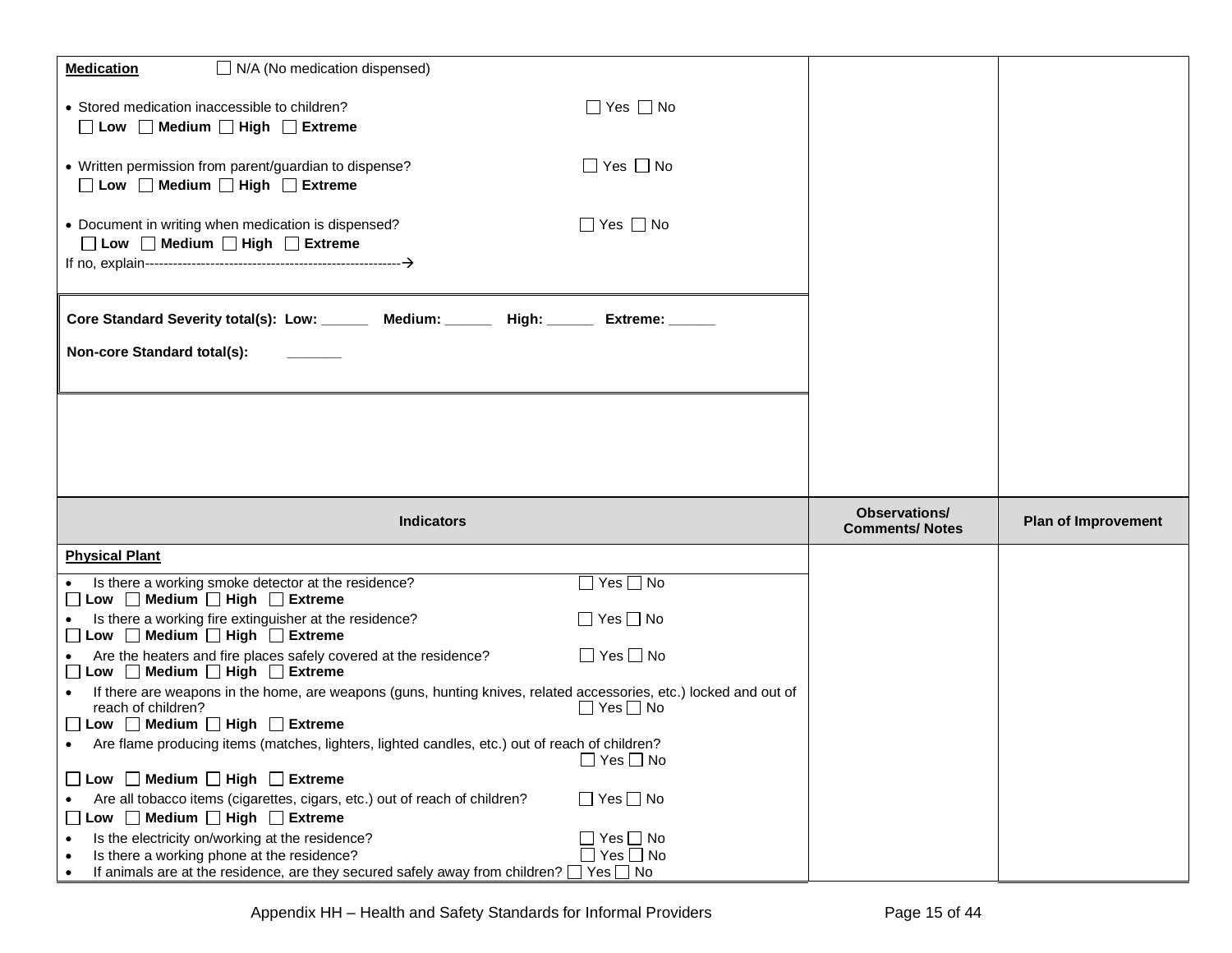| $\Box$ N/A (No medication dispensed)<br><b>Medication</b>                                                                                                                                          |                                               |                            |
|----------------------------------------------------------------------------------------------------------------------------------------------------------------------------------------------------|-----------------------------------------------|----------------------------|
| $\Box$ Yes $\Box$ No<br>• Stored medication inaccessible to children?<br>$\Box$ Low $\Box$ Medium $\Box$ High $\Box$ Extreme                                                                       |                                               |                            |
| $\Box$ Yes $\Box$ No<br>• Written permission from parent/guardian to dispense?<br>□ Low □ Medium □ High □ Extreme                                                                                  |                                               |                            |
| $\Box$ Yes $\Box$ No<br>• Document in writing when medication is dispensed?<br>$\Box$ Low $\Box$ Medium $\Box$ High $\Box$ Extreme                                                                 |                                               |                            |
| Core Standard Severity total(s): Low: _______ Medium: ______ High: ______ Extreme: _____                                                                                                           |                                               |                            |
| Non-core Standard total(s):                                                                                                                                                                        |                                               |                            |
|                                                                                                                                                                                                    |                                               |                            |
|                                                                                                                                                                                                    |                                               |                            |
| <b>Indicators</b>                                                                                                                                                                                  | <b>Observations/</b><br><b>Comments/Notes</b> | <b>Plan of Improvement</b> |
| <b>Physical Plant</b>                                                                                                                                                                              |                                               |                            |
| $\Box$ Yes $\Box$ No<br>Is there a working smoke detector at the residence?<br>□ Low □ Medium □ High □ Extreme                                                                                     |                                               |                            |
| $\Box$ Yes $\Box$ No<br>Is there a working fire extinguisher at the residence?<br>□ Low □ Medium □ High □ Extreme                                                                                  |                                               |                            |
| $\Box$ Yes $\Box$ No<br>Are the heaters and fire places safely covered at the residence?<br>□ Low □ Medium □ High □ Extreme                                                                        |                                               |                            |
| If there are weapons in the home, are weapons (guns, hunting knives, related accessories, etc.) locked and out of<br>reach of children?<br>$\Box$ Yes $\Box$ No<br>□ Low □ Medium □ High □ Extreme |                                               |                            |
| Are flame producing items (matches, lighters, lighted candles, etc.) out of reach of children?<br>$\Box$ Yes $\Box$ No                                                                             |                                               |                            |
| □ Low □ Medium □ High □ Extreme                                                                                                                                                                    |                                               |                            |
| $\Box$ Yes $\Box$ No<br>Are all tobacco items (cigarettes, cigars, etc.) out of reach of children?<br>□ Low □ Medium □ High □ Extreme                                                              |                                               |                            |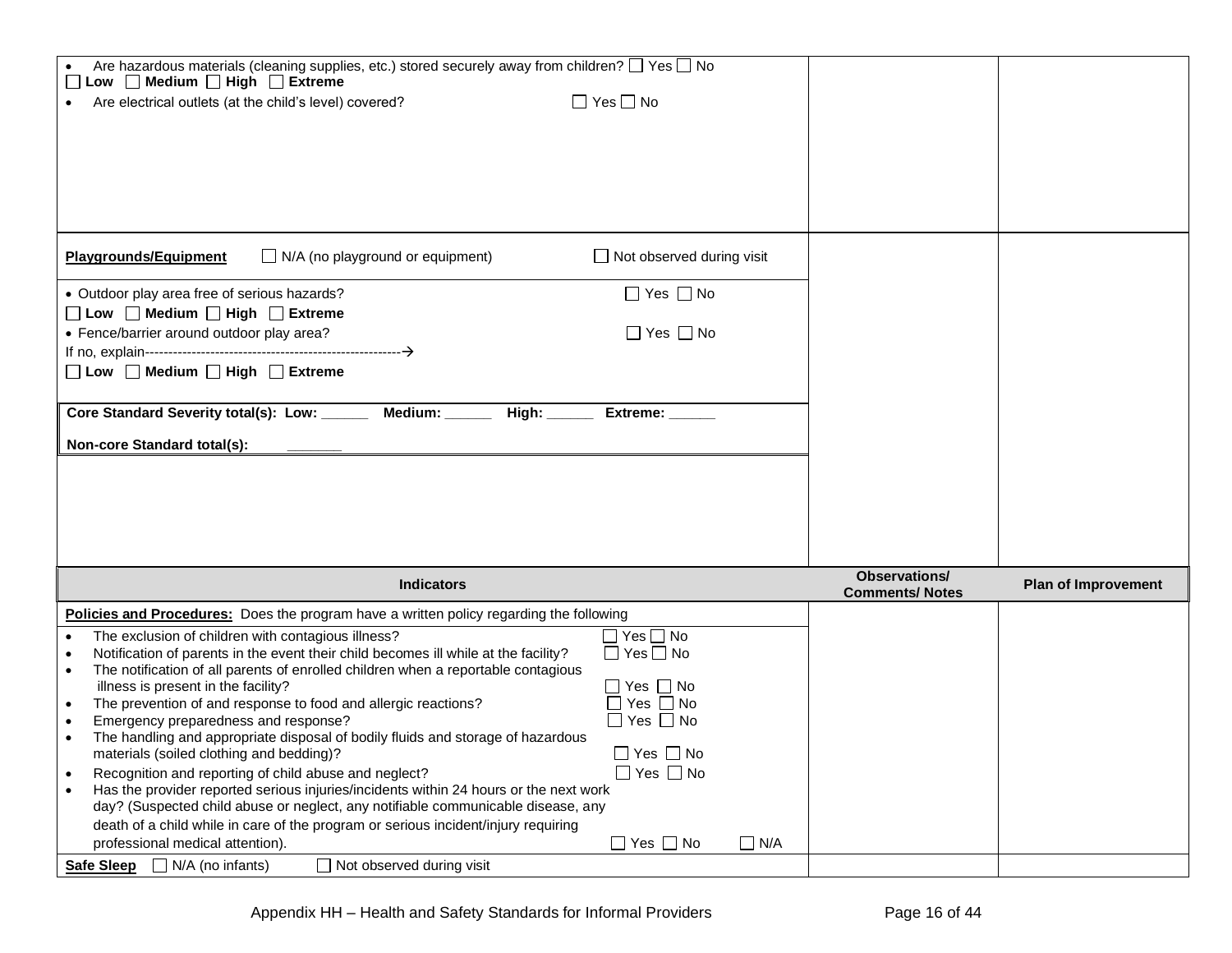| Are hazardous materials (cleaning supplies, etc.) stored securely away from children? $\Box$ Yes $\Box$ No<br>□ Low □ Medium □ High □ Extreme       |                       |                            |
|-----------------------------------------------------------------------------------------------------------------------------------------------------|-----------------------|----------------------------|
| $\Box$ Yes $\Box$ No<br>Are electrical outlets (at the child's level) covered?                                                                      |                       |                            |
|                                                                                                                                                     |                       |                            |
|                                                                                                                                                     |                       |                            |
|                                                                                                                                                     |                       |                            |
|                                                                                                                                                     |                       |                            |
|                                                                                                                                                     |                       |                            |
|                                                                                                                                                     |                       |                            |
|                                                                                                                                                     |                       |                            |
| $\Box$ N/A (no playground or equipment)<br>$\Box$ Not observed during visit<br><b>Playgrounds/Equipment</b>                                         |                       |                            |
| $\Box$ Yes $\Box$ No<br>• Outdoor play area free of serious hazards?                                                                                |                       |                            |
| □ Low □ Medium □ High □ Extreme                                                                                                                     |                       |                            |
| • Fence/barrier around outdoor play area?<br>$\Box$ Yes $\Box$ No                                                                                   |                       |                            |
|                                                                                                                                                     |                       |                            |
| □ Low □ Medium □ High □ Extreme                                                                                                                     |                       |                            |
|                                                                                                                                                     |                       |                            |
| Core Standard Severity total(s): Low: ______<br>Medium: _____                                                                                       |                       |                            |
| Extreme: _____                                                                                                                                      |                       |                            |
| Non-core Standard total(s):                                                                                                                         |                       |                            |
|                                                                                                                                                     |                       |                            |
|                                                                                                                                                     |                       |                            |
|                                                                                                                                                     |                       |                            |
|                                                                                                                                                     |                       |                            |
|                                                                                                                                                     |                       |                            |
|                                                                                                                                                     |                       |                            |
|                                                                                                                                                     |                       |                            |
|                                                                                                                                                     | <b>Observations/</b>  |                            |
| <b>Indicators</b>                                                                                                                                   | <b>Comments/Notes</b> | <b>Plan of Improvement</b> |
| <b>Policies and Procedures:</b> Does the program have a written policy regarding the following                                                      |                       |                            |
| $\Box$ Yes $\Box$ No<br>The exclusion of children with contagious illness?<br>$\bullet$                                                             |                       |                            |
| Notification of parents in the event their child becomes ill while at the facility?<br>$\Box$ Yes $\Box$ No<br>$\bullet$                            |                       |                            |
| The notification of all parents of enrolled children when a reportable contagious                                                                   |                       |                            |
| $\Box$ Yes $\Box$ No<br>illness is present in the facility?                                                                                         |                       |                            |
| $\Box$ Yes $\Box$ No<br>The prevention of and response to food and allergic reactions?                                                              |                       |                            |
| $\Box$ Yes $\Box$ No<br>Emergency preparedness and response?                                                                                        |                       |                            |
| The handling and appropriate disposal of bodily fluids and storage of hazardous<br>$\Box$ Yes $\Box$ No<br>materials (soiled clothing and bedding)? |                       |                            |
| $\Box$ Yes $\Box$ No<br>Recognition and reporting of child abuse and neglect?<br>$\bullet$                                                          |                       |                            |
| Has the provider reported serious injuries/incidents within 24 hours or the next work                                                               |                       |                            |
| day? (Suspected child abuse or neglect, any notifiable communicable disease, any                                                                    |                       |                            |
| death of a child while in care of the program or serious incident/injury requiring                                                                  |                       |                            |
| $\Box$ Yes $\Box$ No<br>$\Box$ N/A<br>professional medical attention).<br>$\Box$ N/A (no infants)<br>$\Box$ Not observed during visit               |                       |                            |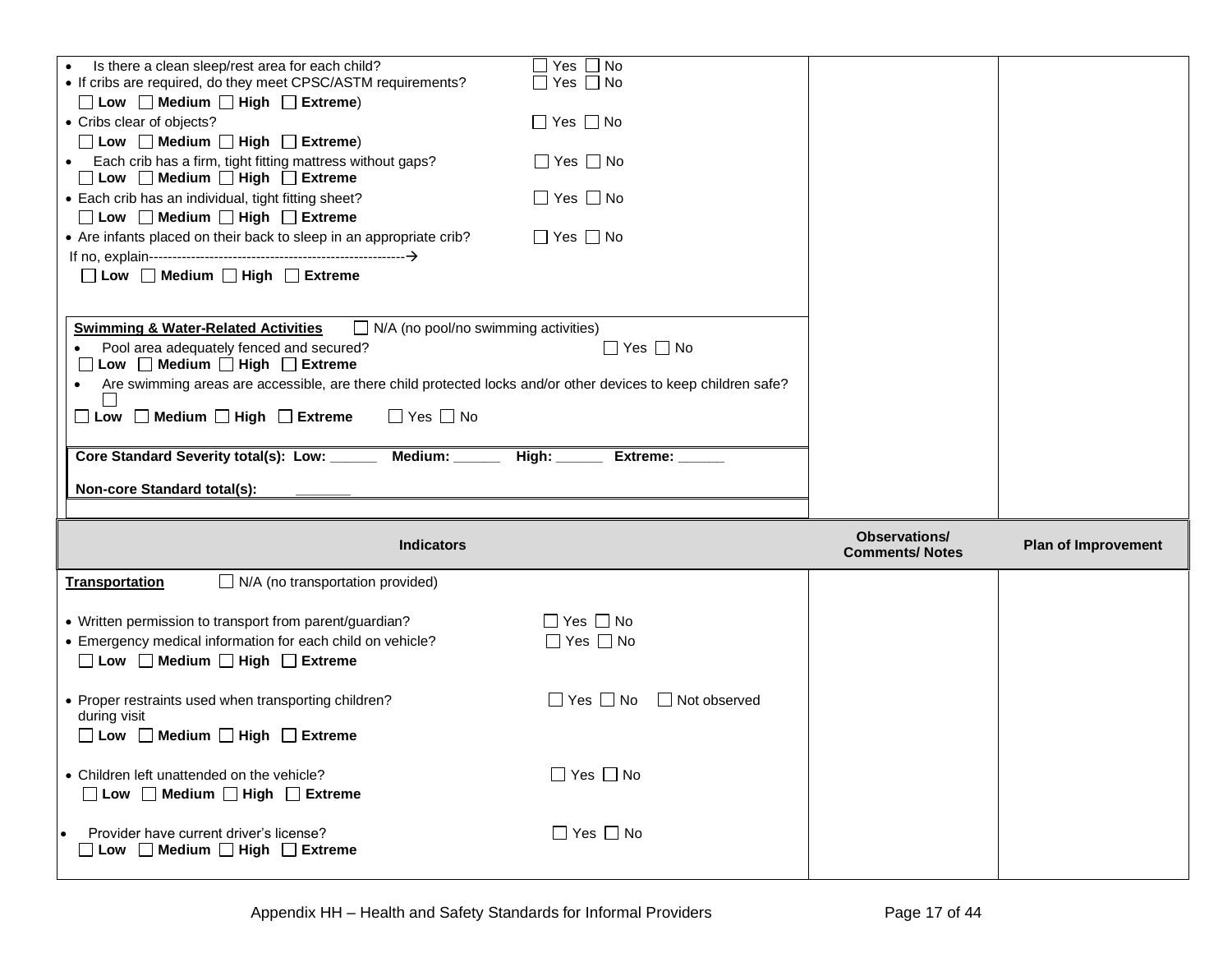| Is there a clean sleep/rest area for each child?                                                                            | $\Box$ Yes $\Box$ No                                    |                                               |                            |
|-----------------------------------------------------------------------------------------------------------------------------|---------------------------------------------------------|-----------------------------------------------|----------------------------|
| • If cribs are required, do they meet CPSC/ASTM requirements?<br>$\Box$ Low $\Box$ Medium $\Box$ High $\Box$ Extreme)       | $\Box$ Yes $\Box$ No                                    |                                               |                            |
| • Cribs clear of objects?                                                                                                   | $\Box$ Yes $\Box$ No                                    |                                               |                            |
| $\Box$ Low $\Box$ Medium $\Box$ High $\Box$ Extreme)                                                                        |                                                         |                                               |                            |
| Each crib has a firm, tight fitting mattress without gaps?<br>□ Low □ Medium □ High □ Extreme                               | $\Box$ Yes $\Box$ No                                    |                                               |                            |
| • Each crib has an individual, tight fitting sheet?                                                                         | $\Box$ Yes $\Box$ No                                    |                                               |                            |
| □ Low □ Medium □ High □ Extreme                                                                                             |                                                         |                                               |                            |
| • Are infants placed on their back to sleep in an appropriate crib?                                                         | $\Box$ Yes $\Box$ No                                    |                                               |                            |
|                                                                                                                             |                                                         |                                               |                            |
| □ Low □ Medium □ High □ Extreme                                                                                             |                                                         |                                               |                            |
|                                                                                                                             |                                                         |                                               |                            |
| $\Box$ N/A (no pool/no swimming activities)<br><b>Swimming &amp; Water-Related Activities</b>                               |                                                         |                                               |                            |
| Pool area adequately fenced and secured?                                                                                    | $\Box$ Yes $\Box$ No                                    |                                               |                            |
| □ Low □ Medium □ High □ Extreme                                                                                             |                                                         |                                               |                            |
| Are swimming areas are accessible, are there child protected locks and/or other devices to keep children safe?<br>$\bullet$ |                                                         |                                               |                            |
| $\Box$ Yes $\Box$ No<br>$\Box$ Low $\Box$ Medium $\Box$ High $\Box$ Extreme                                                 |                                                         |                                               |                            |
|                                                                                                                             |                                                         |                                               |                            |
| Core Standard Severity total(s): Low: ______<br>Medium: _____                                                               | $\overline{$ High: $\overline{\phantom{a}}$<br>Extreme: |                                               |                            |
|                                                                                                                             |                                                         |                                               |                            |
|                                                                                                                             |                                                         |                                               |                            |
| Non-core Standard total(s):                                                                                                 |                                                         |                                               |                            |
|                                                                                                                             |                                                         |                                               |                            |
| <b>Indicators</b>                                                                                                           |                                                         | <b>Observations/</b><br><b>Comments/Notes</b> | <b>Plan of Improvement</b> |
| <b>Transportation</b><br>$\Box$ N/A (no transportation provided)                                                            |                                                         |                                               |                            |
|                                                                                                                             |                                                         |                                               |                            |
| • Written permission to transport from parent/guardian?                                                                     | $\Box$ Yes $\Box$ No                                    |                                               |                            |
| • Emergency medical information for each child on vehicle?                                                                  | $\Box$ Yes $\Box$ No                                    |                                               |                            |
| □ Low □ Medium □ High □ Extreme                                                                                             |                                                         |                                               |                            |
| • Proper restraints used when transporting children?                                                                        | $\Box$ Yes $\Box$ No<br>□ Not observed                  |                                               |                            |
| during visit                                                                                                                |                                                         |                                               |                            |
| $\Box$ Low $\Box$ Medium $\Box$ High $\Box$ Extreme                                                                         |                                                         |                                               |                            |
|                                                                                                                             |                                                         |                                               |                            |
| • Children left unattended on the vehicle?                                                                                  | $\Box$ Yes $\Box$ No                                    |                                               |                            |
| □ Low □ Medium □ High □ Extreme                                                                                             |                                                         |                                               |                            |
|                                                                                                                             |                                                         |                                               |                            |
| Provider have current driver's license?<br>Low Medium High Extreme                                                          | $\Box$ Yes $\Box$ No                                    |                                               |                            |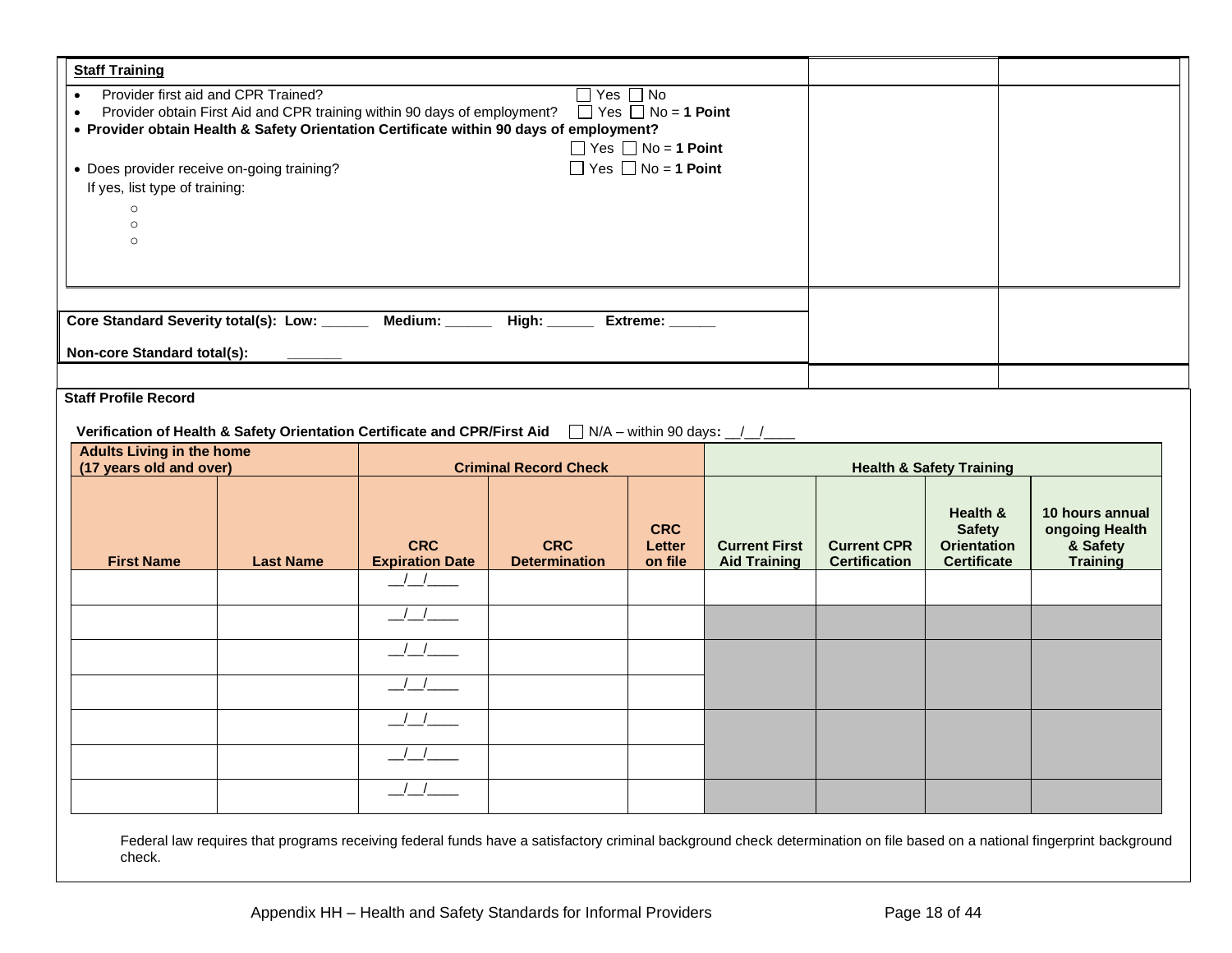| Core Standard Severity total(s): Low: ______ Medium: _____ High: _____ Extreme: _____<br>Non-core Standard total(s):                                                                                                                                                                                                         |                                                                  |
|------------------------------------------------------------------------------------------------------------------------------------------------------------------------------------------------------------------------------------------------------------------------------------------------------------------------------|------------------------------------------------------------------|
|                                                                                                                                                                                                                                                                                                                              |                                                                  |
| <b>Staff Profile Record</b><br>Verification of Health & Safety Orientation Certificate and CPR/First Aid $\Box$ N/A - within 90 days: $\Box$<br><b>Adults Living in the home</b><br>(17 years old and over)<br><b>Criminal Record Check</b><br><b>Health &amp; Safety Training</b>                                           |                                                                  |
| Health &<br><b>CRC</b><br><b>Safety</b><br><b>CRC</b><br><b>CRC</b><br><b>Current First</b><br><b>Current CPR</b><br><b>Orientation</b><br>Letter<br><b>Expiration Date</b><br><b>First Name</b><br><b>Last Name</b><br><b>Determination</b><br>on file<br><b>Aid Training</b><br><b>Certification</b><br><b>Certificate</b> | 10 hours annual<br>ongoing Health<br>& Safety<br><b>Training</b> |
| $\frac{1}{2}$<br>$\left  \begin{array}{c} \end{array} \right $                                                                                                                                                                                                                                                               |                                                                  |
|                                                                                                                                                                                                                                                                                                                              |                                                                  |
| $\frac{1}{\sqrt{1-\frac{1}{2}}}$                                                                                                                                                                                                                                                                                             |                                                                  |
|                                                                                                                                                                                                                                                                                                                              |                                                                  |
|                                                                                                                                                                                                                                                                                                                              |                                                                  |

Appendix HH – Health and Safety Standards for Informal Providers Page 18 of 44

check.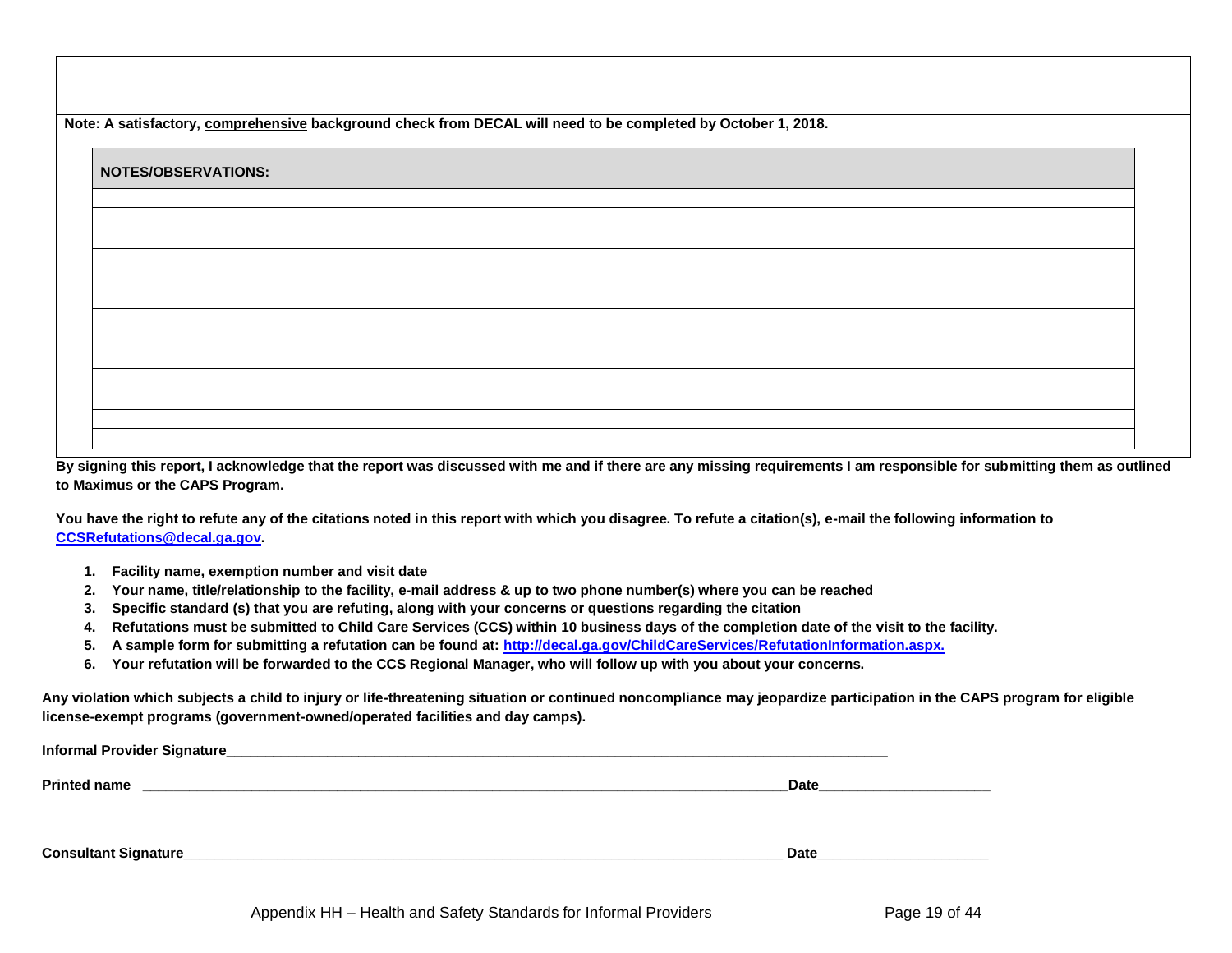**Note: A satisfactory, comprehensive background check from DECAL will need to be completed by October 1, 2018.**

| <b>NOTES/OBSERVATIONS:</b> |  |  |  |
|----------------------------|--|--|--|
|                            |  |  |  |
|                            |  |  |  |
|                            |  |  |  |
|                            |  |  |  |
|                            |  |  |  |
|                            |  |  |  |
|                            |  |  |  |
|                            |  |  |  |
|                            |  |  |  |
|                            |  |  |  |
|                            |  |  |  |

**By signing this report, I acknowledge that the report was discussed with me and if there are any missing requirements I am responsible for submitting them as outlined to Maximus or the CAPS Program.**

**You have the right to refute any of the citations noted in this report with which you disagree. To refute a citation(s), e-mail the following information to [CCSRefutations@decal.ga.gov.](mailto:CCSRefutations@decal.ga.gov)**

- **1. Facility name, exemption number and visit date**
- **2. Your name, title/relationship to the facility, e-mail address & up to two phone number(s) where you can be reached**
- **3. Specific standard (s) that you are refuting, along with your concerns or questions regarding the citation**
- **4. Refutations must be submitted to Child Care Services (CCS) within 10 business days of the completion date of the visit to the facility.**
- **5. A sample form for submitting a refutation can be found at: [http://decal.ga.gov/ChildCareServices/RefutationInformation.aspx.](http://decal.ga.gov/ChildCareServices/RefutationInformation.aspx)**
- **6. Your refutation will be forwarded to the CCS Regional Manager, who will follow up with you about your concerns.**

**Any violation which subjects a child to injury or life-threatening situation or continued noncompliance may jeopardize participation in the CAPS program for eligible license-exempt programs (government-owned/operated facilities and day camps).**

| <b>Informal Provider Signature_</b> |             |
|-------------------------------------|-------------|
| <b>Printed name</b>                 | Date        |
|                                     |             |
| <b>Consultant Signature_</b>        | <b>Date</b> |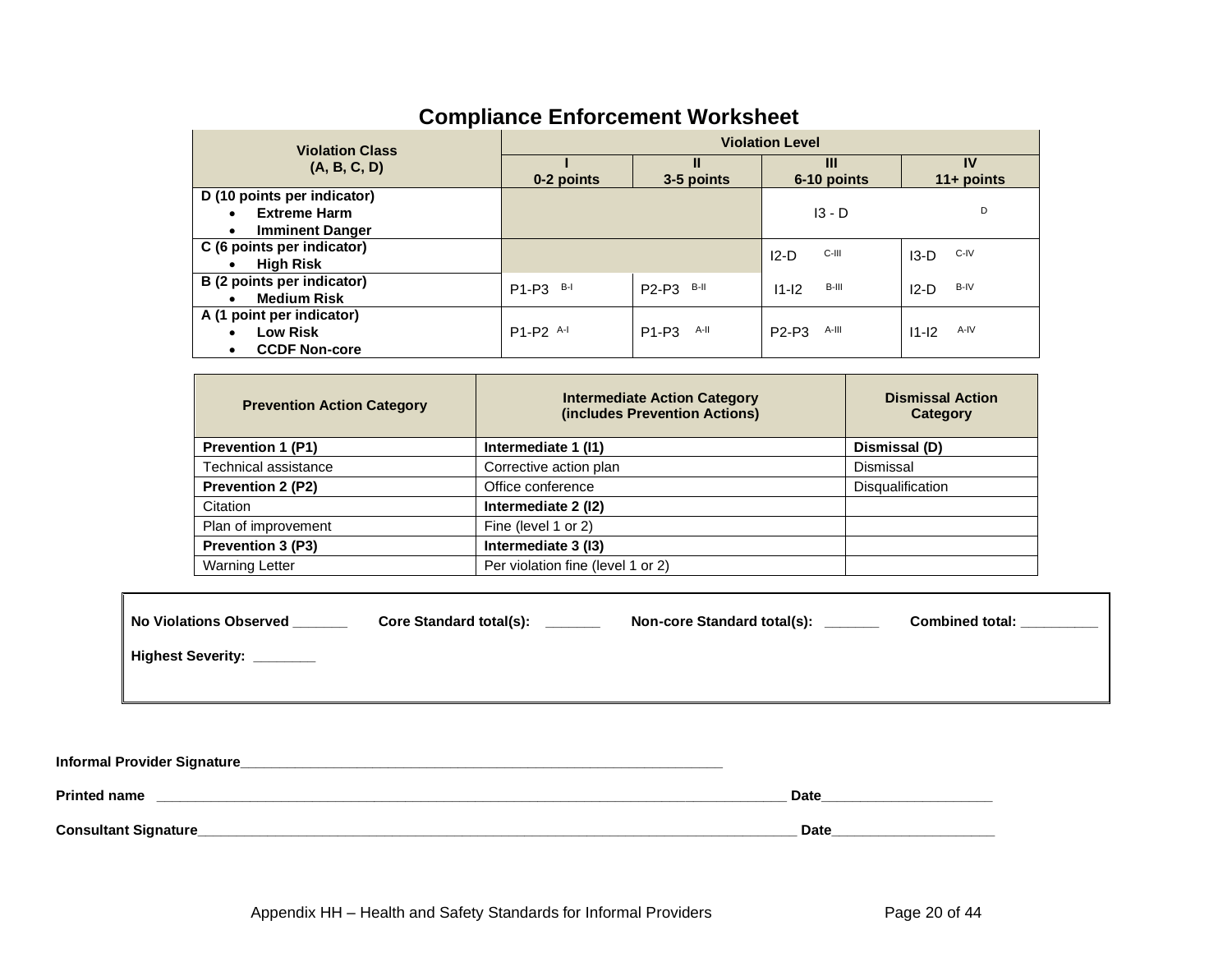| <b>Violation Class</b>                                                                                 | <b>Violation Level</b> |                                        |                   |                    |  |  |  |  |  |
|--------------------------------------------------------------------------------------------------------|------------------------|----------------------------------------|-------------------|--------------------|--|--|--|--|--|
| (A, B, C, D)                                                                                           | 0-2 points             | Ш<br>3-5 points                        | Ш<br>6-10 points  | IV<br>$11+$ points |  |  |  |  |  |
| D (10 points per indicator)<br><b>Extreme Harm</b><br>$\bullet$<br><b>Imminent Danger</b><br>$\bullet$ |                        |                                        | $13 - D$          | D                  |  |  |  |  |  |
| C (6 points per indicator)<br><b>High Risk</b><br>$\bullet$                                            |                        |                                        | C-III<br>$12-D$   | C-IV<br>$13-D$     |  |  |  |  |  |
| B (2 points per indicator)<br><b>Medium Risk</b><br>$\bullet$                                          | $B-I$<br>$P1-P3$       | P2-P3 B-II                             | B-III<br>$11 - 2$ | B-IV<br>$12-D$     |  |  |  |  |  |
| A (1 point per indicator)<br><b>Low Risk</b><br>٠<br><b>CCDF Non-core</b><br>$\bullet$                 | P1-P2 A-I              | A-II<br>P <sub>1</sub> -P <sub>3</sub> | A-III<br>$P2-P3$  | A-IV<br>$11 - 12$  |  |  |  |  |  |

## **Compliance Enforcement Worksheet**

| <b>Prevention Action Category</b> | <b>Intermediate Action Category</b><br>(includes Prevention Actions) | <b>Dismissal Action</b><br>Category |
|-----------------------------------|----------------------------------------------------------------------|-------------------------------------|
| <b>Prevention 1 (P1)</b>          | Intermediate 1 (11)                                                  | Dismissal (D)                       |
| Technical assistance              | Corrective action plan                                               | Dismissal                           |
| <b>Prevention 2 (P2)</b>          | Office conference                                                    | <b>Disqualification</b>             |
| Citation                          | Intermediate 2 (12)                                                  |                                     |
| Plan of improvement               | Fine (level 1 or 2)                                                  |                                     |
| <b>Prevention 3 (P3)</b>          | Intermediate 3 (13)                                                  |                                     |
| <b>Warning Letter</b>             | Per violation fine (level 1 or 2)                                    |                                     |

| No Violations Observed   | <b>Core Standard total(s):</b> | Non-core Standard total(s): | <b>Combined total:</b> |
|--------------------------|--------------------------------|-----------------------------|------------------------|
| <b>Highest Severity:</b> |                                |                             |                        |
|                          |                                |                             |                        |

**Informal Provider Signature\_\_\_\_\_\_\_\_\_\_\_\_\_\_\_\_\_\_\_\_\_\_\_\_\_\_\_\_\_\_\_\_\_\_\_\_\_\_\_\_\_\_\_\_\_\_\_\_\_\_\_\_\_\_\_\_\_\_\_\_\_\_** 

Г

| <b>Printed name</b>          | Date        |
|------------------------------|-------------|
| <b>Consultant Signature_</b> | <b>Date</b> |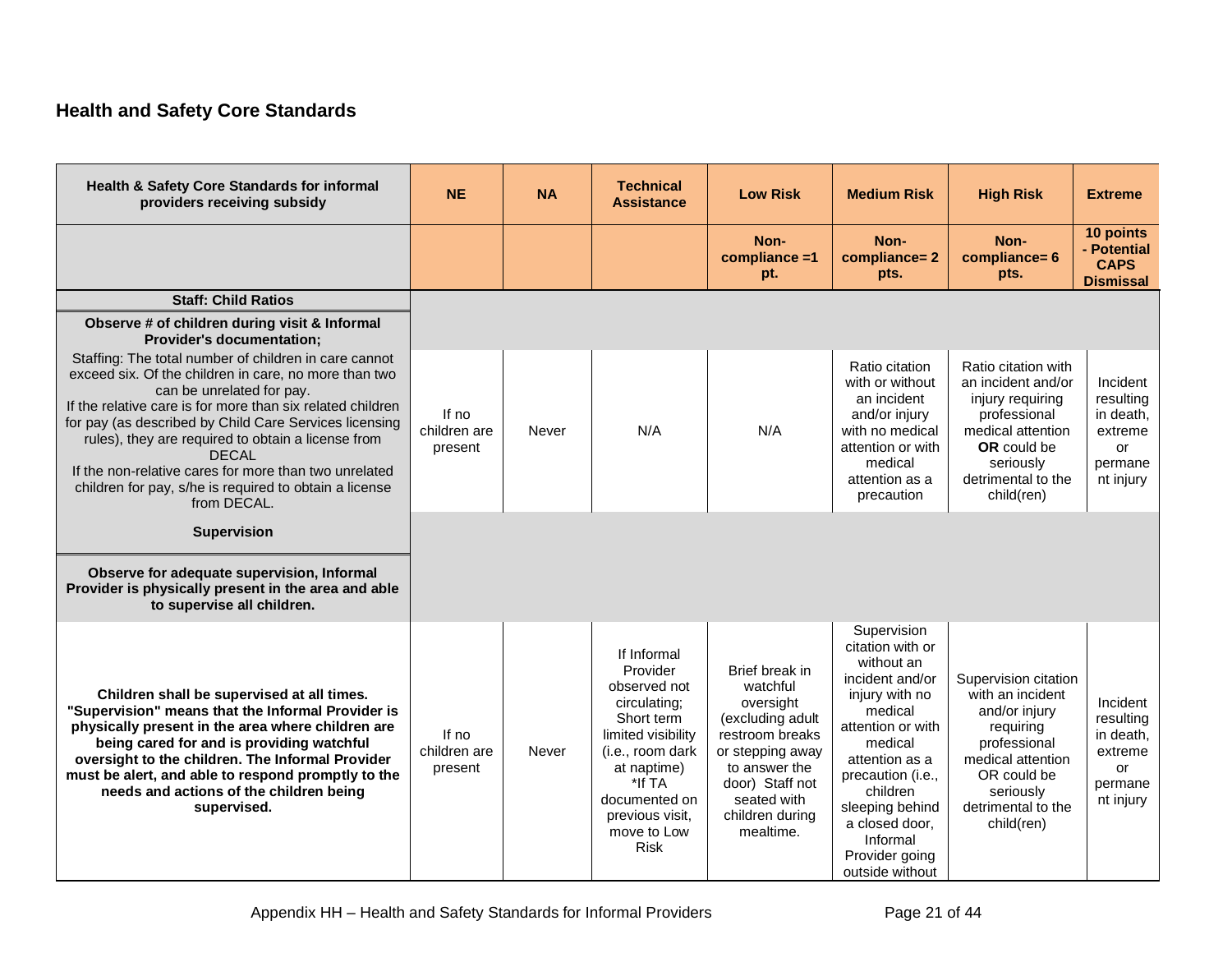## **Health and Safety Core Standards**

<span id="page-21-0"></span>

| Health & Safety Core Standards for informal<br>providers receiving subsidy                                                                                                                                                                                                                                                                                                                                                                                                  | <b>NE</b>                        | <b>NA</b> | <b>Technical</b><br><b>Assistance</b>                                                                                                                                                                      | <b>Low Risk</b>                                                                                                                                                                       | <b>Medium Risk</b>                                                                                                                                                                                                                                                     | <b>High Risk</b>                                                                                                                                                            | <b>Extreme</b>                                                              |
|-----------------------------------------------------------------------------------------------------------------------------------------------------------------------------------------------------------------------------------------------------------------------------------------------------------------------------------------------------------------------------------------------------------------------------------------------------------------------------|----------------------------------|-----------|------------------------------------------------------------------------------------------------------------------------------------------------------------------------------------------------------------|---------------------------------------------------------------------------------------------------------------------------------------------------------------------------------------|------------------------------------------------------------------------------------------------------------------------------------------------------------------------------------------------------------------------------------------------------------------------|-----------------------------------------------------------------------------------------------------------------------------------------------------------------------------|-----------------------------------------------------------------------------|
|                                                                                                                                                                                                                                                                                                                                                                                                                                                                             |                                  |           |                                                                                                                                                                                                            | Non-<br>compliance =1<br>pt.                                                                                                                                                          | Non-<br>compliance=2<br>pts.                                                                                                                                                                                                                                           | Non-<br>compliance= 6<br>pts.                                                                                                                                               | 10 points<br>- Potential<br><b>CAPS</b><br><b>Dismissal</b>                 |
| <b>Staff: Child Ratios</b>                                                                                                                                                                                                                                                                                                                                                                                                                                                  |                                  |           |                                                                                                                                                                                                            |                                                                                                                                                                                       |                                                                                                                                                                                                                                                                        |                                                                                                                                                                             |                                                                             |
| Observe # of children during visit & Informal<br><b>Provider's documentation;</b>                                                                                                                                                                                                                                                                                                                                                                                           |                                  |           |                                                                                                                                                                                                            |                                                                                                                                                                                       |                                                                                                                                                                                                                                                                        |                                                                                                                                                                             |                                                                             |
| Staffing: The total number of children in care cannot<br>exceed six. Of the children in care, no more than two<br>can be unrelated for pay.<br>If the relative care is for more than six related children<br>for pay (as described by Child Care Services licensing<br>rules), they are required to obtain a license from<br><b>DECAL</b><br>If the non-relative cares for more than two unrelated<br>children for pay, s/he is required to obtain a license<br>from DECAL. | If no<br>children are<br>present | Never     | N/A                                                                                                                                                                                                        | N/A                                                                                                                                                                                   | Ratio citation<br>with or without<br>an incident<br>and/or injury<br>with no medical<br>attention or with<br>medical<br>attention as a<br>precaution                                                                                                                   | Ratio citation with<br>an incident and/or<br>injury requiring<br>professional<br>medical attention<br>OR could be<br>seriously<br>detrimental to the<br>child(ren)          | Incident<br>resulting<br>in death,<br>extreme<br>or<br>permane<br>nt injury |
| <b>Supervision</b>                                                                                                                                                                                                                                                                                                                                                                                                                                                          |                                  |           |                                                                                                                                                                                                            |                                                                                                                                                                                       |                                                                                                                                                                                                                                                                        |                                                                                                                                                                             |                                                                             |
| Observe for adequate supervision, Informal<br>Provider is physically present in the area and able<br>to supervise all children.                                                                                                                                                                                                                                                                                                                                             |                                  |           |                                                                                                                                                                                                            |                                                                                                                                                                                       |                                                                                                                                                                                                                                                                        |                                                                                                                                                                             |                                                                             |
| Children shall be supervised at all times.<br>"Supervision" means that the Informal Provider is<br>physically present in the area where children are<br>being cared for and is providing watchful<br>oversight to the children. The Informal Provider<br>must be alert, and able to respond promptly to the<br>needs and actions of the children being<br>supervised.                                                                                                       | If no<br>children are<br>present | Never     | If Informal<br>Provider<br>observed not<br>circulating;<br>Short term<br>limited visibility<br>(i.e., room dark<br>at naptime)<br>*If TA<br>documented on<br>previous visit,<br>move to Low<br><b>Risk</b> | Brief break in<br>watchful<br>oversight<br>(excluding adult<br>restroom breaks<br>or stepping away<br>to answer the<br>door) Staff not<br>seated with<br>children during<br>mealtime. | Supervision<br>citation with or<br>without an<br>incident and/or<br>injury with no<br>medical<br>attention or with<br>medical<br>attention as a<br>precaution (i.e.,<br>children<br>sleeping behind<br>a closed door.<br>Informal<br>Provider going<br>outside without | Supervision citation<br>with an incident<br>and/or injury<br>requiring<br>professional<br>medical attention<br>OR could be<br>seriously<br>detrimental to the<br>child(ren) | Incident<br>resulting<br>in death,<br>extreme<br>or<br>permane<br>nt injury |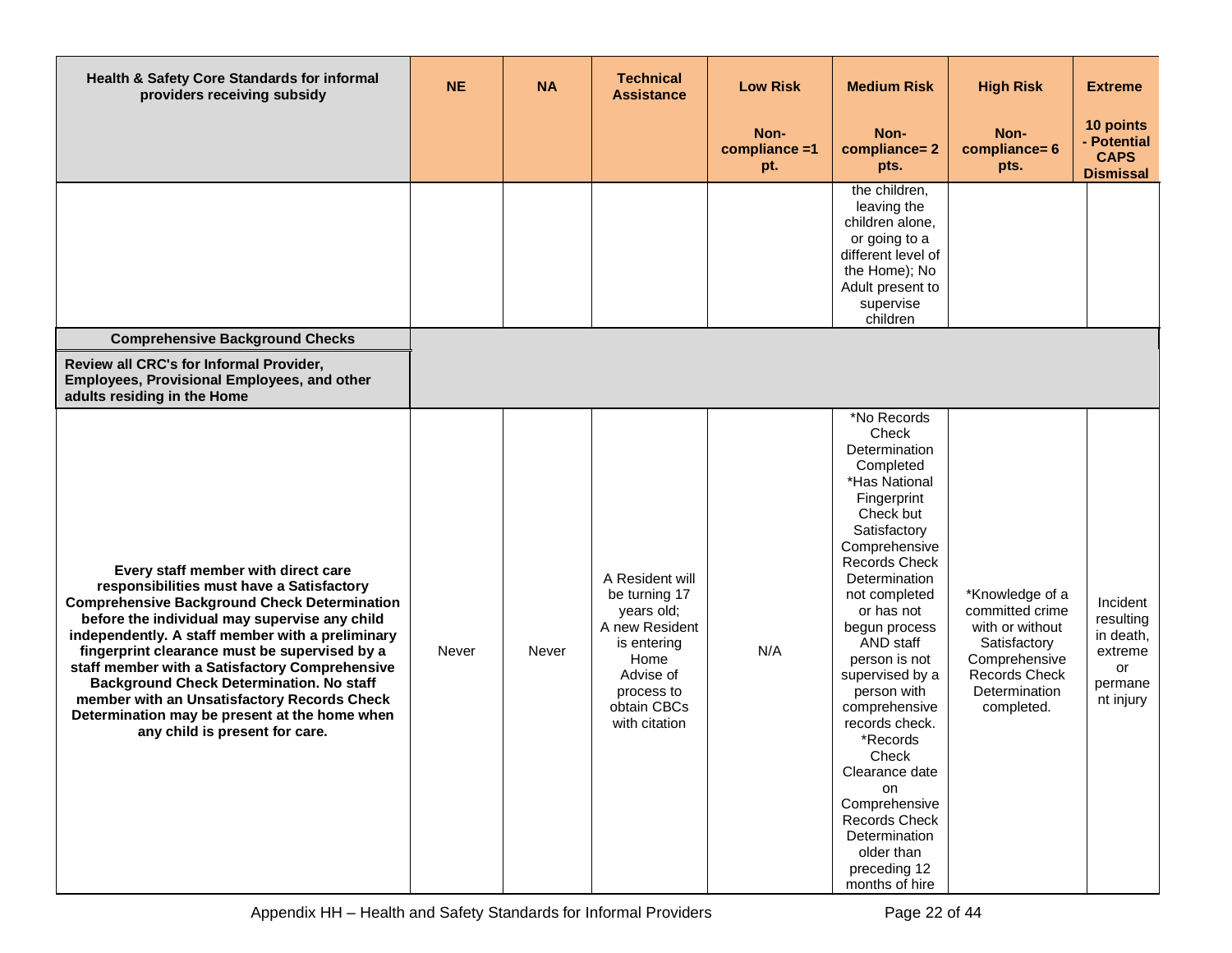| Health & Safety Core Standards for informal<br>providers receiving subsidy                                                                                                                                                                                                                                                                                                                                                                                                                                                           | <b>NE</b>    | <b>NA</b> | <b>Technical</b><br><b>Assistance</b>                                                                                                              | <b>Low Risk</b>              | <b>Medium Risk</b>                                                                                                                                                                                                                                                                                                                                                                                                                                                                  | <b>High Risk</b>                                                                                                                              | <b>Extreme</b>                                                              |
|--------------------------------------------------------------------------------------------------------------------------------------------------------------------------------------------------------------------------------------------------------------------------------------------------------------------------------------------------------------------------------------------------------------------------------------------------------------------------------------------------------------------------------------|--------------|-----------|----------------------------------------------------------------------------------------------------------------------------------------------------|------------------------------|-------------------------------------------------------------------------------------------------------------------------------------------------------------------------------------------------------------------------------------------------------------------------------------------------------------------------------------------------------------------------------------------------------------------------------------------------------------------------------------|-----------------------------------------------------------------------------------------------------------------------------------------------|-----------------------------------------------------------------------------|
|                                                                                                                                                                                                                                                                                                                                                                                                                                                                                                                                      |              |           |                                                                                                                                                    | Non-<br>compliance =1<br>pt. | Non-<br>compliance=2<br>pts.                                                                                                                                                                                                                                                                                                                                                                                                                                                        | Non-<br>compliance= 6<br>pts.                                                                                                                 | 10 points<br>- Potential<br><b>CAPS</b><br><b>Dismissal</b>                 |
|                                                                                                                                                                                                                                                                                                                                                                                                                                                                                                                                      |              |           |                                                                                                                                                    |                              | the children,<br>leaving the<br>children alone,<br>or going to a<br>different level of<br>the Home); No<br>Adult present to<br>supervise<br>children                                                                                                                                                                                                                                                                                                                                |                                                                                                                                               |                                                                             |
| <b>Comprehensive Background Checks</b>                                                                                                                                                                                                                                                                                                                                                                                                                                                                                               |              |           |                                                                                                                                                    |                              |                                                                                                                                                                                                                                                                                                                                                                                                                                                                                     |                                                                                                                                               |                                                                             |
| Review all CRC's for Informal Provider,<br>Employees, Provisional Employees, and other<br>adults residing in the Home                                                                                                                                                                                                                                                                                                                                                                                                                |              |           |                                                                                                                                                    |                              |                                                                                                                                                                                                                                                                                                                                                                                                                                                                                     |                                                                                                                                               |                                                                             |
| Every staff member with direct care<br>responsibilities must have a Satisfactory<br><b>Comprehensive Background Check Determination</b><br>before the individual may supervise any child<br>independently. A staff member with a preliminary<br>fingerprint clearance must be supervised by a<br>staff member with a Satisfactory Comprehensive<br><b>Background Check Determination. No staff</b><br>member with an Unsatisfactory Records Check<br>Determination may be present at the home when<br>any child is present for care. | <b>Never</b> | Never     | A Resident will<br>be turning 17<br>years old;<br>A new Resident<br>is entering<br>Home<br>Advise of<br>process to<br>obtain CBCs<br>with citation | N/A                          | *No Records<br>Check<br>Determination<br>Completed<br>*Has National<br>Fingerprint<br>Check but<br>Satisfactory<br>Comprehensive<br><b>Records Check</b><br>Determination<br>not completed<br>or has not<br>begun process<br>AND staff<br>person is not<br>supervised by a<br>person with<br>comprehensive<br>records check.<br>*Records<br>Check<br>Clearance date<br>on<br>Comprehensive<br><b>Records Check</b><br>Determination<br>older than<br>preceding 12<br>months of hire | *Knowledge of a<br>committed crime<br>with or without<br>Satisfactory<br>Comprehensive<br><b>Records Check</b><br>Determination<br>completed. | Incident<br>resulting<br>in death,<br>extreme<br>or<br>permane<br>nt injury |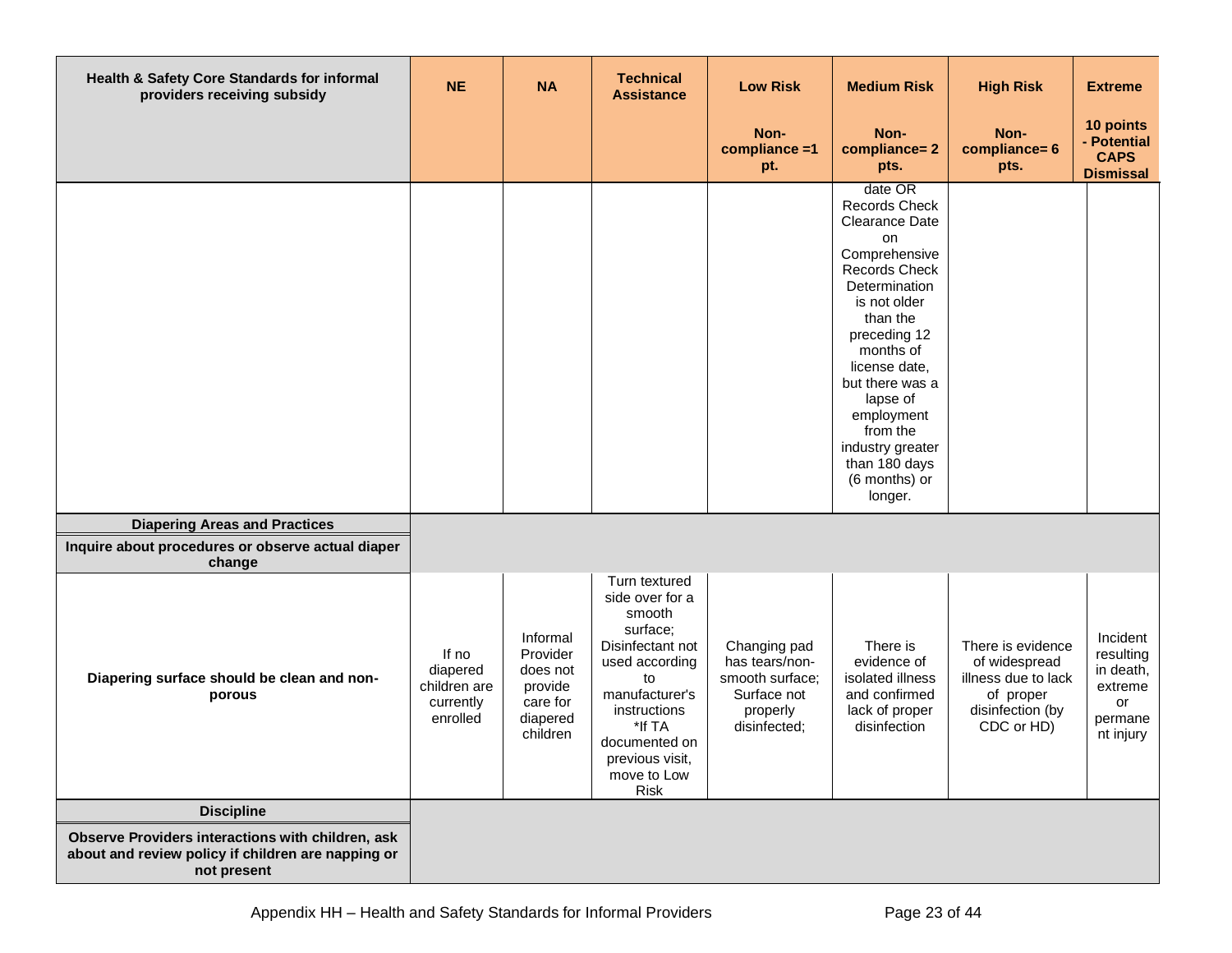| Health & Safety Core Standards for informal<br>providers receiving subsidy                                             | <b>NE</b>                                                  | <b>NA</b>                                                                       | <b>Technical</b><br><b>Assistance</b>                                                                                                                                                                            | <b>Low Risk</b>                                                                              | <b>Medium Risk</b>                                                                                                                                                                                                                                                                                                           | <b>High Risk</b>                                                                                         | <b>Extreme</b>                                                              |
|------------------------------------------------------------------------------------------------------------------------|------------------------------------------------------------|---------------------------------------------------------------------------------|------------------------------------------------------------------------------------------------------------------------------------------------------------------------------------------------------------------|----------------------------------------------------------------------------------------------|------------------------------------------------------------------------------------------------------------------------------------------------------------------------------------------------------------------------------------------------------------------------------------------------------------------------------|----------------------------------------------------------------------------------------------------------|-----------------------------------------------------------------------------|
|                                                                                                                        |                                                            |                                                                                 |                                                                                                                                                                                                                  | Non-<br>compliance =1<br>pt.                                                                 | Non-<br>compliance=2<br>pts.                                                                                                                                                                                                                                                                                                 | Non-<br>compliance= 6<br>pts.                                                                            | 10 points<br>- Potential<br><b>CAPS</b><br><b>Dismissal</b>                 |
|                                                                                                                        |                                                            |                                                                                 |                                                                                                                                                                                                                  |                                                                                              | date OR<br><b>Records Check</b><br>Clearance Date<br><b>on</b><br>Comprehensive<br><b>Records Check</b><br>Determination<br>is not older<br>than the<br>preceding 12<br>months of<br>license date,<br>but there was a<br>lapse of<br>employment<br>from the<br>industry greater<br>than 180 days<br>(6 months) or<br>longer. |                                                                                                          |                                                                             |
| <b>Diapering Areas and Practices</b><br>Inquire about procedures or observe actual diaper<br>change                    |                                                            |                                                                                 |                                                                                                                                                                                                                  |                                                                                              |                                                                                                                                                                                                                                                                                                                              |                                                                                                          |                                                                             |
| Diapering surface should be clean and non-<br>porous                                                                   | If no<br>diapered<br>children are<br>currently<br>enrolled | Informal<br>Provider<br>does not<br>provide<br>care for<br>diapered<br>children | Turn textured<br>side over for a<br>smooth<br>surface;<br>Disinfectant not<br>used according<br>to<br>manufacturer's<br>instructions<br>*If TA<br>documented on<br>previous visit,<br>move to Low<br><b>Risk</b> | Changing pad<br>has tears/non-<br>smooth surface;<br>Surface not<br>properly<br>disinfected; | There is<br>evidence of<br>isolated illness<br>and confirmed<br>lack of proper<br>disinfection                                                                                                                                                                                                                               | There is evidence<br>of widespread<br>illness due to lack<br>of proper<br>disinfection (by<br>CDC or HD) | Incident<br>resulting<br>in death,<br>extreme<br>or<br>permane<br>nt injury |
| <b>Discipline</b>                                                                                                      |                                                            |                                                                                 |                                                                                                                                                                                                                  |                                                                                              |                                                                                                                                                                                                                                                                                                                              |                                                                                                          |                                                                             |
| Observe Providers interactions with children, ask<br>about and review policy if children are napping or<br>not present |                                                            |                                                                                 |                                                                                                                                                                                                                  |                                                                                              |                                                                                                                                                                                                                                                                                                                              |                                                                                                          |                                                                             |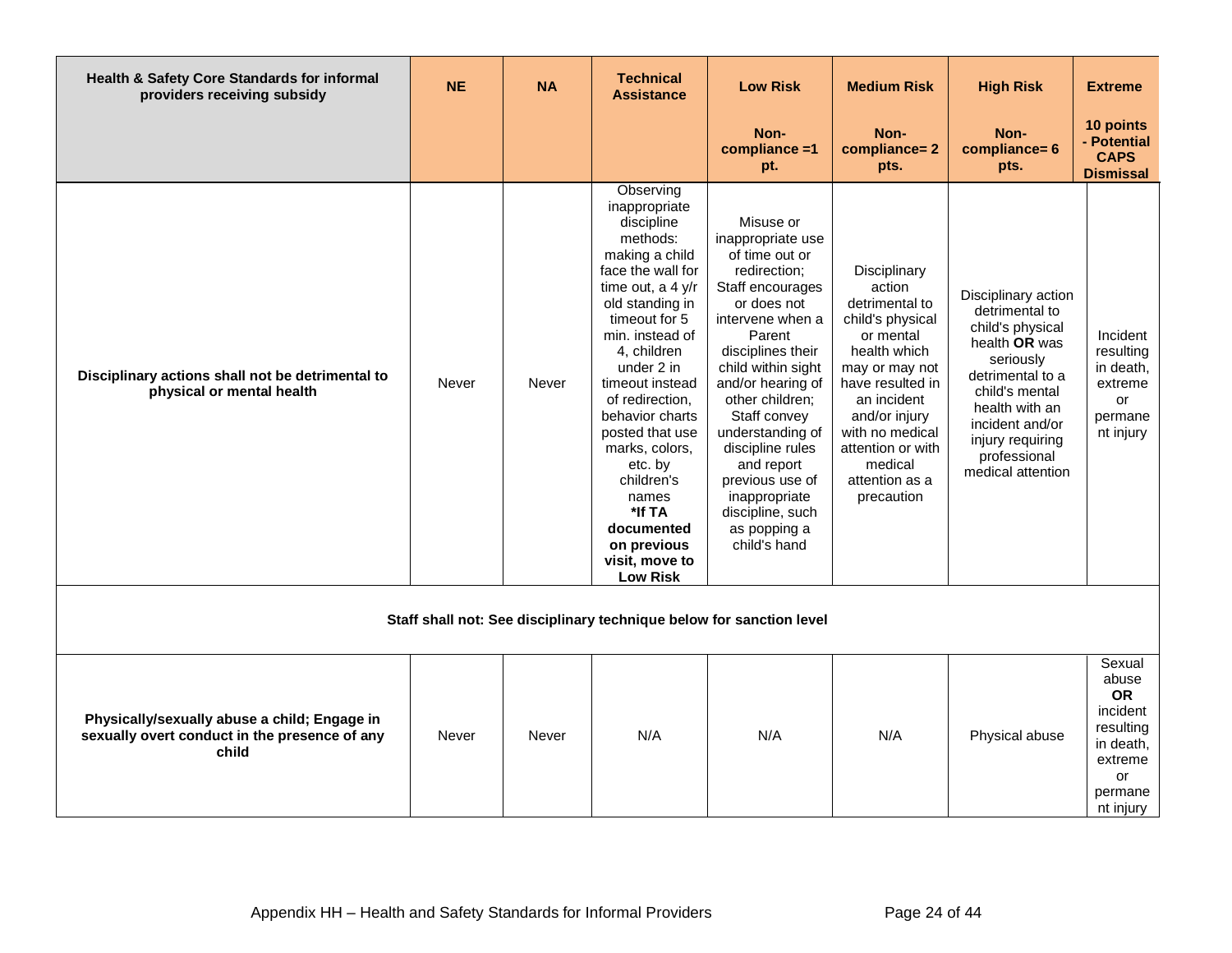| Health & Safety Core Standards for informal<br>providers receiving subsidy                             | <b>NE</b> | <b>NA</b> | <b>Technical</b><br><b>Assistance</b>                                                                                                                                                                                                                                                                                                                                                                            | <b>Low Risk</b>                                                                                                                                                                                                                                                                                                                                                                    | <b>Medium Risk</b>                                                                                                                                                                                                                                 | <b>High Risk</b>                                                                                                                                                                                                            | <b>Extreme</b>                                                                                              |
|--------------------------------------------------------------------------------------------------------|-----------|-----------|------------------------------------------------------------------------------------------------------------------------------------------------------------------------------------------------------------------------------------------------------------------------------------------------------------------------------------------------------------------------------------------------------------------|------------------------------------------------------------------------------------------------------------------------------------------------------------------------------------------------------------------------------------------------------------------------------------------------------------------------------------------------------------------------------------|----------------------------------------------------------------------------------------------------------------------------------------------------------------------------------------------------------------------------------------------------|-----------------------------------------------------------------------------------------------------------------------------------------------------------------------------------------------------------------------------|-------------------------------------------------------------------------------------------------------------|
|                                                                                                        |           |           |                                                                                                                                                                                                                                                                                                                                                                                                                  | Non-<br>$compliance = 1$<br>pt.                                                                                                                                                                                                                                                                                                                                                    | Non-<br>compliance=2<br>pts.                                                                                                                                                                                                                       | Non-<br>compliance= 6<br>pts.                                                                                                                                                                                               | 10 points<br>- Potential<br><b>CAPS</b><br><b>Dismissal</b>                                                 |
| Disciplinary actions shall not be detrimental to<br>physical or mental health                          | Never     | Never     | Observing<br>inappropriate<br>discipline<br>methods:<br>making a child<br>face the wall for<br>time out, a 4 y/r<br>old standing in<br>timeout for 5<br>min. instead of<br>4, children<br>under 2 in<br>timeout instead<br>of redirection.<br>behavior charts<br>posted that use<br>marks, colors,<br>etc. by<br>children's<br>names<br>*If TA<br>documented<br>on previous<br>visit, move to<br><b>Low Risk</b> | Misuse or<br>inappropriate use<br>of time out or<br>redirection;<br>Staff encourages<br>or does not<br>intervene when a<br>Parent<br>disciplines their<br>child within sight<br>and/or hearing of<br>other children;<br>Staff convey<br>understanding of<br>discipline rules<br>and report<br>previous use of<br>inappropriate<br>discipline, such<br>as popping a<br>child's hand | Disciplinary<br>action<br>detrimental to<br>child's physical<br>or mental<br>health which<br>may or may not<br>have resulted in<br>an incident<br>and/or injury<br>with no medical<br>attention or with<br>medical<br>attention as a<br>precaution | Disciplinary action<br>detrimental to<br>child's physical<br>health OR was<br>seriously<br>detrimental to a<br>child's mental<br>health with an<br>incident and/or<br>injury requiring<br>professional<br>medical attention | Incident<br>resulting<br>in death,<br>extreme<br>or<br>permane<br>nt injury                                 |
|                                                                                                        |           |           |                                                                                                                                                                                                                                                                                                                                                                                                                  | Staff shall not: See disciplinary technique below for sanction level                                                                                                                                                                                                                                                                                                               |                                                                                                                                                                                                                                                    |                                                                                                                                                                                                                             |                                                                                                             |
| Physically/sexually abuse a child; Engage in<br>sexually overt conduct in the presence of any<br>child | Never     | Never     | N/A                                                                                                                                                                                                                                                                                                                                                                                                              | N/A                                                                                                                                                                                                                                                                                                                                                                                | N/A                                                                                                                                                                                                                                                | Physical abuse                                                                                                                                                                                                              | Sexual<br>abuse<br><b>OR</b><br>incident<br>resulting<br>in death,<br>extreme<br>or<br>permane<br>nt injury |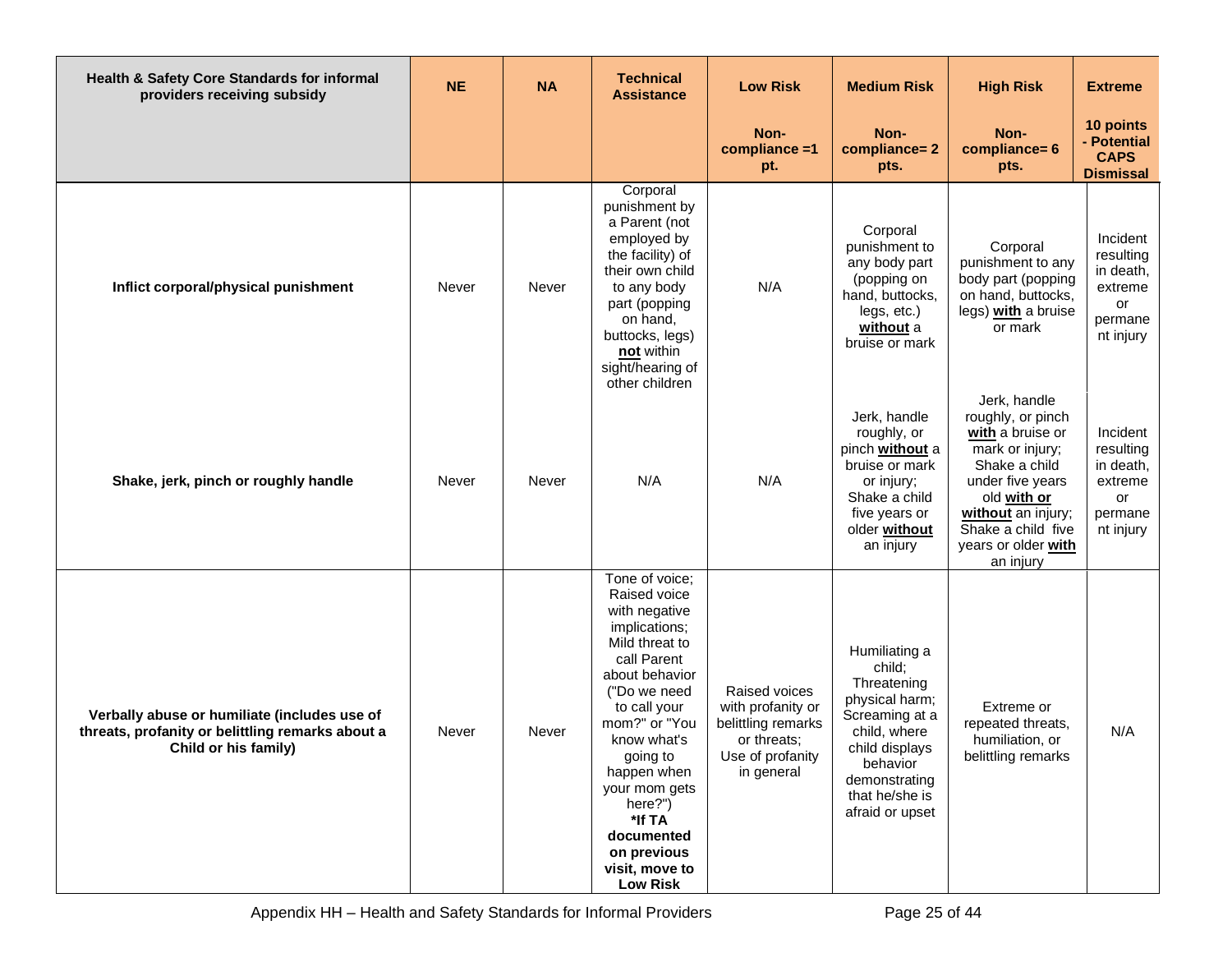| Health & Safety Core Standards for informal<br>providers receiving subsidy                                               | <b>NE</b> | <b>NA</b> | <b>Technical</b><br><b>Assistance</b>                                                                                                                                                                                                                                                                                  | <b>Low Risk</b>                                                                                           | <b>Medium Risk</b>                                                                                                                                                             | <b>High Risk</b>                                                                                                                                                                                             | <b>Extreme</b>                                                              |
|--------------------------------------------------------------------------------------------------------------------------|-----------|-----------|------------------------------------------------------------------------------------------------------------------------------------------------------------------------------------------------------------------------------------------------------------------------------------------------------------------------|-----------------------------------------------------------------------------------------------------------|--------------------------------------------------------------------------------------------------------------------------------------------------------------------------------|--------------------------------------------------------------------------------------------------------------------------------------------------------------------------------------------------------------|-----------------------------------------------------------------------------|
|                                                                                                                          |           |           |                                                                                                                                                                                                                                                                                                                        | Non-<br>compliance =1<br>pt.                                                                              | Non-<br>compliance=2<br>pts.                                                                                                                                                   | Non-<br>compliance= 6<br>pts.                                                                                                                                                                                | 10 points<br>- Potential<br><b>CAPS</b><br><b>Dismissal</b>                 |
| Inflict corporal/physical punishment                                                                                     | Never     | Never     | Corporal<br>punishment by<br>a Parent (not<br>employed by<br>the facility) of<br>their own child<br>to any body<br>part (popping<br>on hand,<br>buttocks, legs)<br>not within<br>sight/hearing of<br>other children                                                                                                    | N/A                                                                                                       | Corporal<br>punishment to<br>any body part<br>(popping on<br>hand, buttocks,<br>legs, etc.)<br>without a<br>bruise or mark                                                     | Corporal<br>punishment to any<br>body part (popping<br>on hand, buttocks,<br>legs) with a bruise<br>or mark                                                                                                  | Incident<br>resulting<br>in death,<br>extreme<br>or<br>permane<br>nt injury |
| Shake, jerk, pinch or roughly handle                                                                                     | Never     | Never     | N/A                                                                                                                                                                                                                                                                                                                    | N/A                                                                                                       | Jerk, handle<br>roughly, or<br>pinch without a<br>bruise or mark<br>or injury;<br>Shake a child<br>five years or<br>older without<br>an injury                                 | Jerk, handle<br>roughly, or pinch<br>with a bruise or<br>mark or injury;<br>Shake a child<br>under five years<br>old with or<br>without an injury;<br>Shake a child five<br>years or older with<br>an injury | Incident<br>resulting<br>in death,<br>extreme<br>or<br>permane<br>nt injury |
| Verbally abuse or humiliate (includes use of<br>threats, profanity or belittling remarks about a<br>Child or his family) | Never     | Never     | Tone of voice;<br>Raised voice<br>with negative<br>implications;<br>Mild threat to<br>call Parent<br>about behavior<br>("Do we need<br>to call your<br>mom?" or "You<br>know what's<br>going to<br>happen when<br>your mom gets<br>here?")<br>*If TA<br>documented<br>on previous<br>visit, move to<br><b>Low Risk</b> | Raised voices<br>with profanity or<br>belittling remarks<br>or threats:<br>Use of profanity<br>in general | Humiliating a<br>child;<br>Threatening<br>physical harm;<br>Screaming at a<br>child, where<br>child displays<br>behavior<br>demonstrating<br>that he/she is<br>afraid or upset | Extreme or<br>repeated threats,<br>humiliation, or<br>belittling remarks                                                                                                                                     | N/A                                                                         |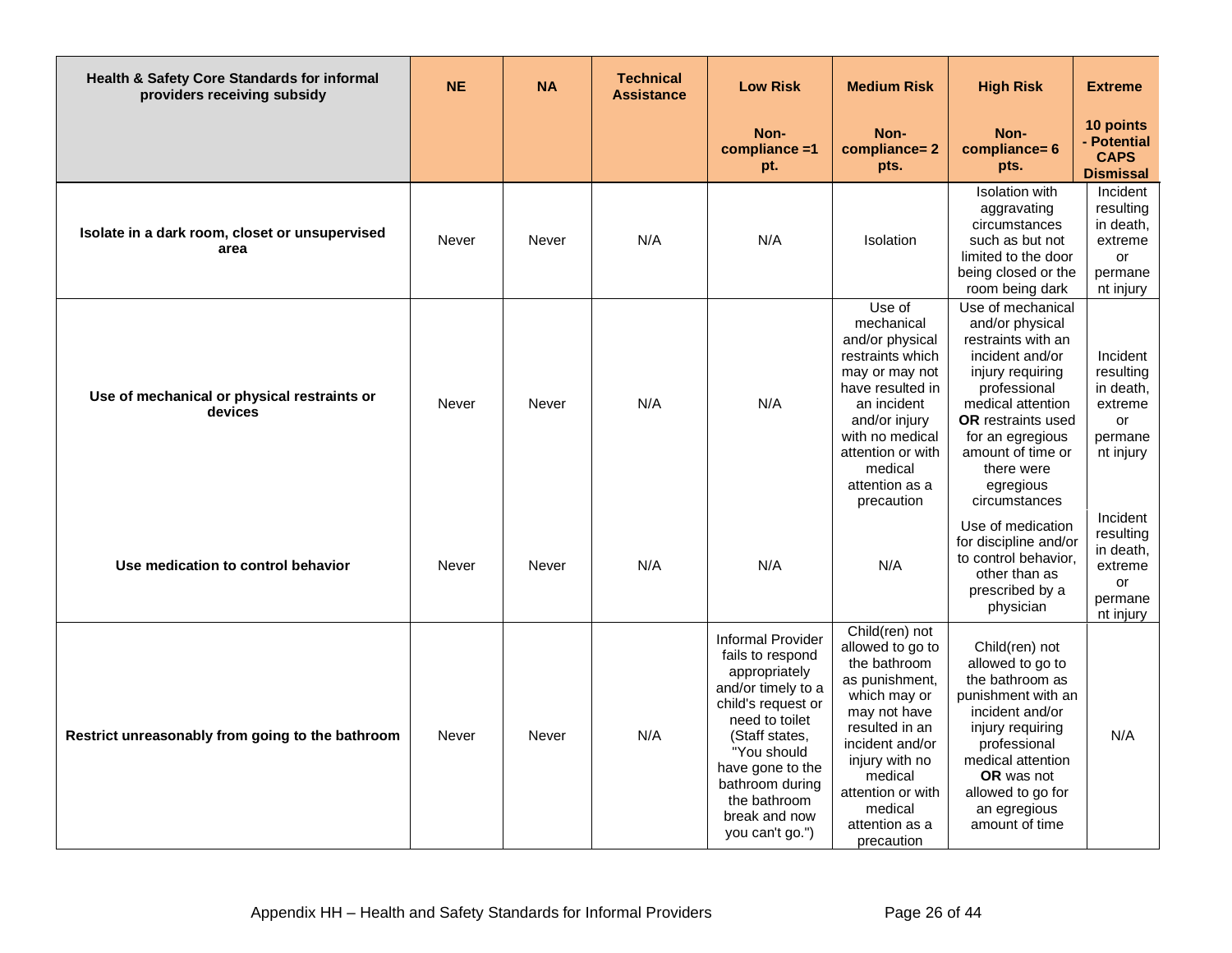| Health & Safety Core Standards for informal<br>providers receiving subsidy | <b>NE</b> | <b>NA</b> | <b>Technical</b><br><b>Assistance</b> | <b>Low Risk</b>                                                                                                                                                                                                                                         | <b>Medium Risk</b>                                                                                                                                                                                                                     | <b>High Risk</b>                                                                                                                                                                                                                                         | <b>Extreme</b>                                                              |
|----------------------------------------------------------------------------|-----------|-----------|---------------------------------------|---------------------------------------------------------------------------------------------------------------------------------------------------------------------------------------------------------------------------------------------------------|----------------------------------------------------------------------------------------------------------------------------------------------------------------------------------------------------------------------------------------|----------------------------------------------------------------------------------------------------------------------------------------------------------------------------------------------------------------------------------------------------------|-----------------------------------------------------------------------------|
|                                                                            |           |           |                                       | Non-<br>compliance =1<br>pt.                                                                                                                                                                                                                            | Non-<br>compliance=2<br>pts.                                                                                                                                                                                                           | Non-<br>compliance= 6<br>pts.                                                                                                                                                                                                                            | 10 points<br>- Potential<br><b>CAPS</b><br><b>Dismissal</b>                 |
| Isolate in a dark room, closet or unsupervised<br>area                     | Never     | Never     | N/A                                   | N/A                                                                                                                                                                                                                                                     | <b>Isolation</b>                                                                                                                                                                                                                       | <b>Isolation</b> with<br>aggravating<br>circumstances<br>such as but not<br>limited to the door<br>being closed or the<br>room being dark                                                                                                                | Incident<br>resulting<br>in death,<br>extreme<br>or<br>permane<br>nt injury |
| Use of mechanical or physical restraints or<br>devices                     | Never     | Never     | N/A                                   | N/A                                                                                                                                                                                                                                                     | Use of<br>mechanical<br>and/or physical<br>restraints which<br>may or may not<br>have resulted in<br>an incident<br>and/or injury<br>with no medical<br>attention or with<br>medical<br>attention as a<br>precaution                   | Use of mechanical<br>and/or physical<br>restraints with an<br>incident and/or<br>injury requiring<br>professional<br>medical attention<br><b>OR</b> restraints used<br>for an egregious<br>amount of time or<br>there were<br>egregious<br>circumstances | Incident<br>resulting<br>in death,<br>extreme<br>or<br>permane<br>nt injury |
| Use medication to control behavior                                         | Never     | Never     | N/A                                   | N/A                                                                                                                                                                                                                                                     | N/A                                                                                                                                                                                                                                    | Use of medication<br>for discipline and/or<br>to control behavior.<br>other than as<br>prescribed by a<br>physician                                                                                                                                      | Incident<br>resulting<br>in death,<br>extreme<br>or<br>permane<br>nt injury |
| Restrict unreasonably from going to the bathroom                           | Never     | Never     | N/A                                   | <b>Informal Provider</b><br>fails to respond<br>appropriately<br>and/or timely to a<br>child's request or<br>need to toilet<br>(Staff states,<br>"You should<br>have gone to the<br>bathroom during<br>the bathroom<br>break and now<br>you can't go.") | Child(ren) not<br>allowed to go to<br>the bathroom<br>as punishment,<br>which may or<br>may not have<br>resulted in an<br>incident and/or<br>injury with no<br>medical<br>attention or with<br>medical<br>attention as a<br>precaution | Child(ren) not<br>allowed to go to<br>the bathroom as<br>punishment with an<br>incident and/or<br>injury requiring<br>professional<br>medical attention<br><b>OR</b> was not<br>allowed to go for<br>an egregious<br>amount of time                      | N/A                                                                         |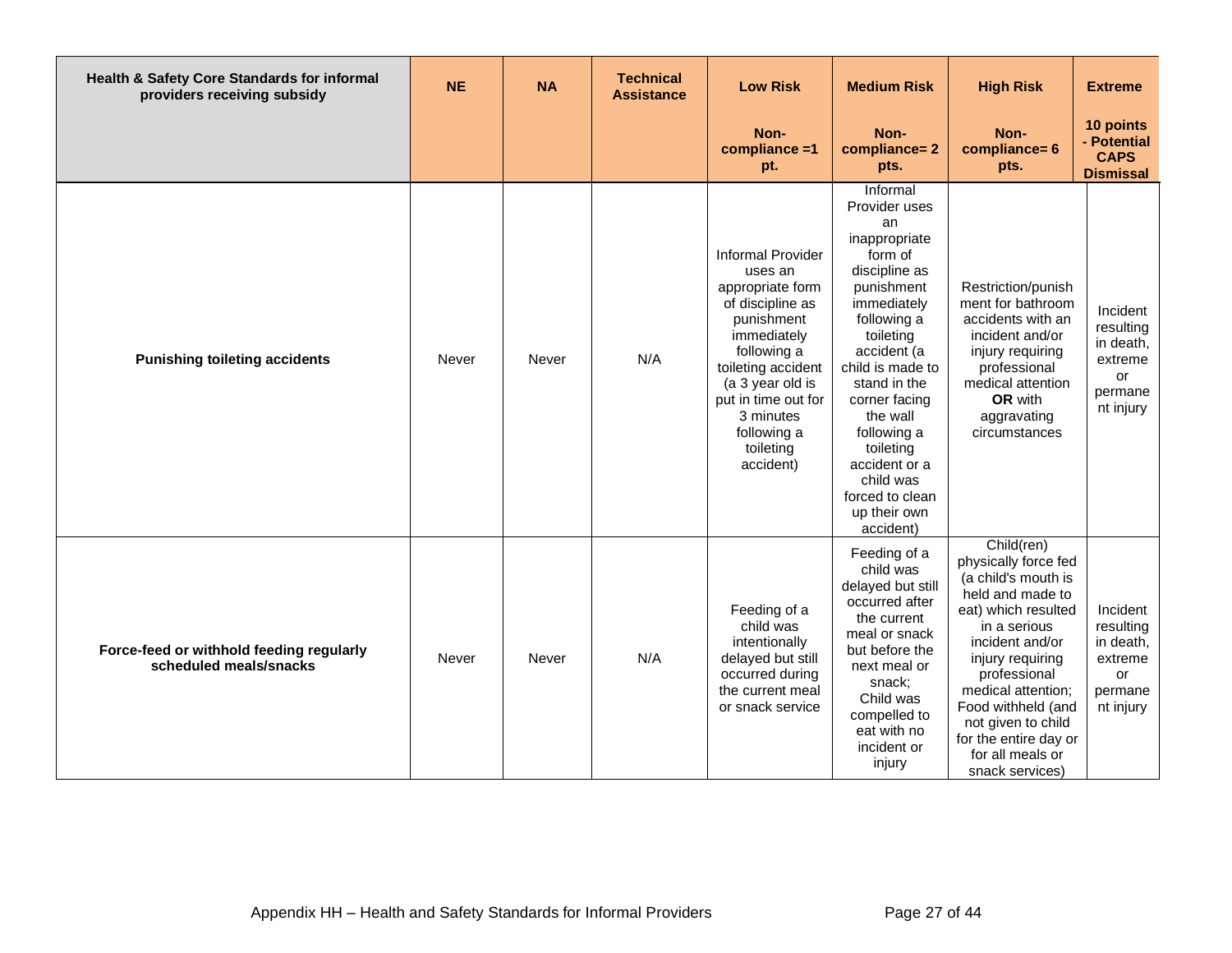| Health & Safety Core Standards for informal<br>providers receiving subsidy | <b>NE</b> | <b>NA</b> | <b>Technical</b><br><b>Assistance</b> | <b>Low Risk</b>                                                                                                                                                                                                                                | <b>Medium Risk</b>                                                                                                                                                                                                                                                                                                              | <b>High Risk</b>                                                                                                                                                                                                                                                                                              | <b>Extreme</b>                                                              |
|----------------------------------------------------------------------------|-----------|-----------|---------------------------------------|------------------------------------------------------------------------------------------------------------------------------------------------------------------------------------------------------------------------------------------------|---------------------------------------------------------------------------------------------------------------------------------------------------------------------------------------------------------------------------------------------------------------------------------------------------------------------------------|---------------------------------------------------------------------------------------------------------------------------------------------------------------------------------------------------------------------------------------------------------------------------------------------------------------|-----------------------------------------------------------------------------|
|                                                                            |           |           |                                       | Non-<br>compliance =1<br>pt.                                                                                                                                                                                                                   | Non-<br>compliance=2<br>pts.                                                                                                                                                                                                                                                                                                    | Non-<br>compliance= 6<br>pts.                                                                                                                                                                                                                                                                                 | 10 points<br>- Potential<br><b>CAPS</b><br><b>Dismissal</b>                 |
| <b>Punishing toileting accidents</b>                                       | Never     | Never     | N/A                                   | <b>Informal Provider</b><br>uses an<br>appropriate form<br>of discipline as<br>punishment<br>immediately<br>following a<br>toileting accident<br>(a 3 year old is<br>put in time out for<br>3 minutes<br>following a<br>toileting<br>accident) | Informal<br>Provider uses<br>an<br>inappropriate<br>form of<br>discipline as<br>punishment<br>immediately<br>following a<br>toileting<br>accident (a<br>child is made to<br>stand in the<br>corner facing<br>the wall<br>following a<br>toileting<br>accident or a<br>child was<br>forced to clean<br>up their own<br>accident) | Restriction/punish<br>ment for bathroom<br>accidents with an<br>incident and/or<br>injury requiring<br>professional<br>medical attention<br>OR with<br>aggravating<br>circumstances                                                                                                                           | Incident<br>resulting<br>in death,<br>extreme<br>or<br>permane<br>nt injury |
| Force-feed or withhold feeding regularly<br>scheduled meals/snacks         | Never     | Never     | N/A                                   | Feeding of a<br>child was<br>intentionally<br>delayed but still<br>occurred during<br>the current meal<br>or snack service                                                                                                                     | Feeding of a<br>child was<br>delayed but still<br>occurred after<br>the current<br>meal or snack<br>but before the<br>next meal or<br>snack:<br>Child was<br>compelled to<br>eat with no<br>incident or<br>injury                                                                                                               | Child(ren)<br>physically force fed<br>(a child's mouth is<br>held and made to<br>eat) which resulted<br>in a serious<br>incident and/or<br>injury requiring<br>professional<br>medical attention;<br>Food withheld (and<br>not given to child<br>for the entire day or<br>for all meals or<br>snack services) | Incident<br>resulting<br>in death,<br>extreme<br>or<br>permane<br>nt injury |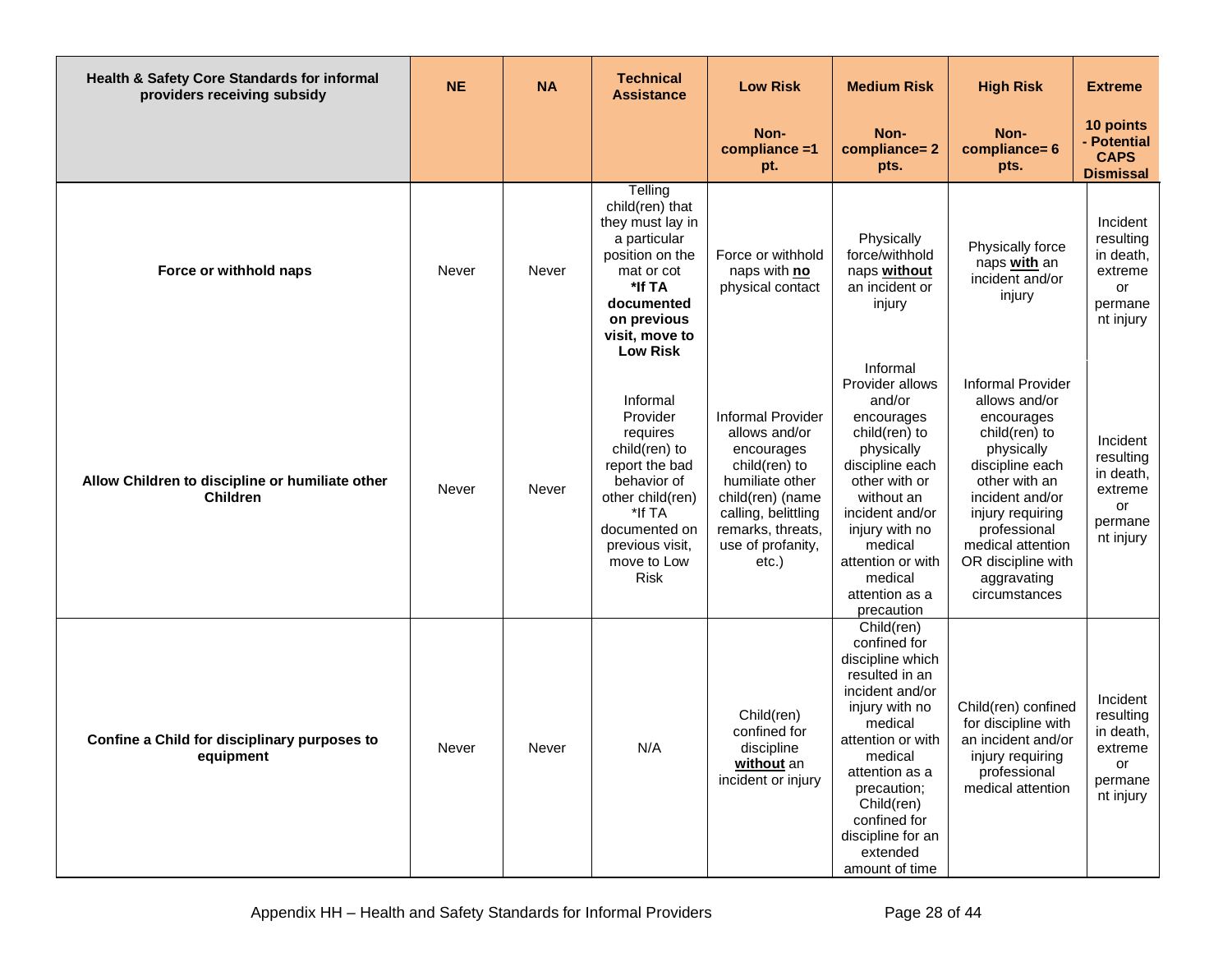| Health & Safety Core Standards for informal<br>providers receiving subsidy | <b>NE</b> | <b>NA</b> | <b>Technical</b><br><b>Assistance</b>                                                                                                                                              | <b>Low Risk</b>                                                                                                                                                                              | <b>Medium Risk</b>                                                                                                                                                                                                                                                 | <b>High Risk</b>                                                                                                                                                                                                                                             | <b>Extreme</b>                                                              |
|----------------------------------------------------------------------------|-----------|-----------|------------------------------------------------------------------------------------------------------------------------------------------------------------------------------------|----------------------------------------------------------------------------------------------------------------------------------------------------------------------------------------------|--------------------------------------------------------------------------------------------------------------------------------------------------------------------------------------------------------------------------------------------------------------------|--------------------------------------------------------------------------------------------------------------------------------------------------------------------------------------------------------------------------------------------------------------|-----------------------------------------------------------------------------|
|                                                                            |           |           |                                                                                                                                                                                    | Non-<br>compliance =1<br>pt.                                                                                                                                                                 | Non-<br>compliance=2<br>pts.                                                                                                                                                                                                                                       | Non-<br>compliance= 6<br>pts.                                                                                                                                                                                                                                | 10 points<br>- Potential<br><b>CAPS</b><br><b>Dismissal</b>                 |
| Force or withhold naps                                                     | Never     | Never     | Telling<br>child(ren) that<br>they must lay in<br>a particular<br>position on the<br>mat or cot<br>*If TA<br>documented<br>on previous<br>visit, move to<br><b>Low Risk</b>        | Force or withhold<br>naps with no<br>physical contact                                                                                                                                        | Physically<br>force/withhold<br>naps without<br>an incident or<br>injury                                                                                                                                                                                           | Physically force<br>naps with an<br>incident and/or<br>injury                                                                                                                                                                                                | Incident<br>resulting<br>in death,<br>extreme<br>or<br>permane<br>nt injury |
| Allow Children to discipline or humiliate other<br><b>Children</b>         | Never     | Never     | Informal<br>Provider<br>requires<br>child(ren) to<br>report the bad<br>behavior of<br>other child(ren)<br>*If TA<br>documented on<br>previous visit,<br>move to Low<br><b>Risk</b> | <b>Informal Provider</b><br>allows and/or<br>encourages<br>child(ren) to<br>humiliate other<br>child(ren) (name<br>calling, belittling<br>remarks, threats,<br>use of profanity,<br>$etc.$ ) | Informal<br>Provider allows<br>and/or<br>encourages<br>child(ren) to<br>physically<br>discipline each<br>other with or<br>without an<br>incident and/or<br>injury with no<br>medical<br>attention or with<br>medical<br>attention as a<br>precaution               | <b>Informal Provider</b><br>allows and/or<br>encourages<br>child(ren) to<br>physically<br>discipline each<br>other with an<br>incident and/or<br>injury requiring<br>professional<br>medical attention<br>OR discipline with<br>aggravating<br>circumstances | Incident<br>resulting<br>in death,<br>extreme<br>or<br>permane<br>nt injury |
| Confine a Child for disciplinary purposes to<br>equipment                  | Never     | Never     | N/A                                                                                                                                                                                | Child(ren)<br>confined for<br>discipline<br>without an<br>incident or injury                                                                                                                 | Child(ren)<br>confined for<br>discipline which<br>resulted in an<br>incident and/or<br>injury with no<br>medical<br>attention or with<br>medical<br>attention as a<br>precaution;<br>Child(ren)<br>confined for<br>discipline for an<br>extended<br>amount of time | Child(ren) confined<br>for discipline with<br>an incident and/or<br>injury requiring<br>professional<br>medical attention                                                                                                                                    | Incident<br>resulting<br>in death,<br>extreme<br>or<br>permane<br>nt injury |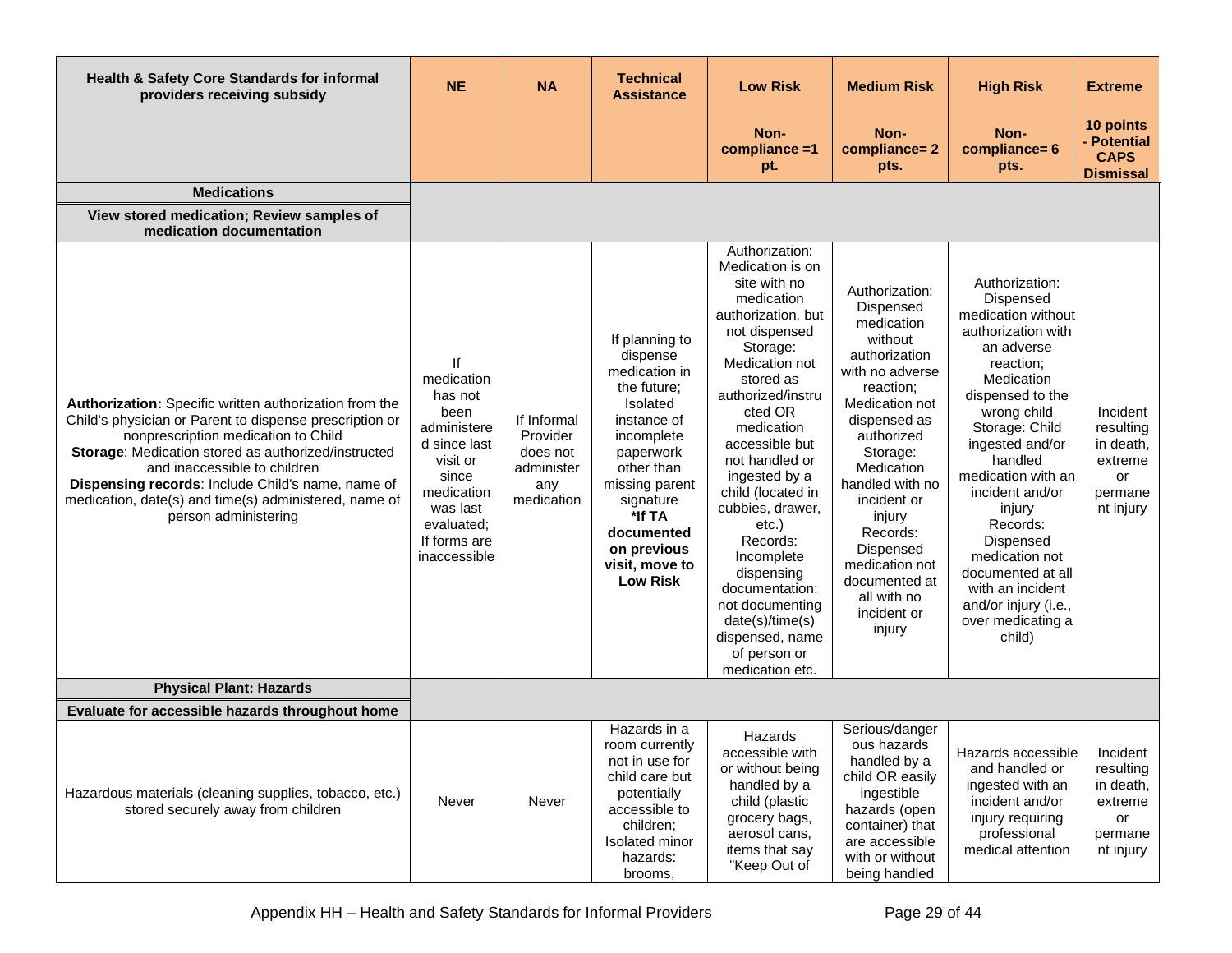| Health & Safety Core Standards for informal<br>providers receiving subsidy                                                                                                                                                                                                                                                                                                            | <b>NE</b>                                                                                                                                                       | <b>NA</b>                                                              | <b>Technical</b><br><b>Assistance</b>                                                                                                                                                                                                     | <b>Low Risk</b>                                                                                                                                                                                                                                                                                                                                                                                                                                                  | <b>Medium Risk</b>                                                                                                                                                                                                                                                                                                              | <b>High Risk</b>                                                                                                                                                                                                                                                                                                                                                                                  | <b>Extreme</b>                                                              |
|---------------------------------------------------------------------------------------------------------------------------------------------------------------------------------------------------------------------------------------------------------------------------------------------------------------------------------------------------------------------------------------|-----------------------------------------------------------------------------------------------------------------------------------------------------------------|------------------------------------------------------------------------|-------------------------------------------------------------------------------------------------------------------------------------------------------------------------------------------------------------------------------------------|------------------------------------------------------------------------------------------------------------------------------------------------------------------------------------------------------------------------------------------------------------------------------------------------------------------------------------------------------------------------------------------------------------------------------------------------------------------|---------------------------------------------------------------------------------------------------------------------------------------------------------------------------------------------------------------------------------------------------------------------------------------------------------------------------------|---------------------------------------------------------------------------------------------------------------------------------------------------------------------------------------------------------------------------------------------------------------------------------------------------------------------------------------------------------------------------------------------------|-----------------------------------------------------------------------------|
|                                                                                                                                                                                                                                                                                                                                                                                       |                                                                                                                                                                 |                                                                        |                                                                                                                                                                                                                                           | Non-<br>compliance =1<br>pt.                                                                                                                                                                                                                                                                                                                                                                                                                                     | Non-<br>compliance=2<br>pts.                                                                                                                                                                                                                                                                                                    | Non-<br>compliance= 6<br>pts.                                                                                                                                                                                                                                                                                                                                                                     | 10 points<br>- Potential<br><b>CAPS</b><br><b>Dismissal</b>                 |
| <b>Medications</b>                                                                                                                                                                                                                                                                                                                                                                    |                                                                                                                                                                 |                                                                        |                                                                                                                                                                                                                                           |                                                                                                                                                                                                                                                                                                                                                                                                                                                                  |                                                                                                                                                                                                                                                                                                                                 |                                                                                                                                                                                                                                                                                                                                                                                                   |                                                                             |
| View stored medication; Review samples of<br>medication documentation                                                                                                                                                                                                                                                                                                                 |                                                                                                                                                                 |                                                                        |                                                                                                                                                                                                                                           |                                                                                                                                                                                                                                                                                                                                                                                                                                                                  |                                                                                                                                                                                                                                                                                                                                 |                                                                                                                                                                                                                                                                                                                                                                                                   |                                                                             |
| Authorization: Specific written authorization from the<br>Child's physician or Parent to dispense prescription or<br>nonprescription medication to Child<br>Storage: Medication stored as authorized/instructed<br>and inaccessible to children<br>Dispensing records: Include Child's name, name of<br>medication, date(s) and time(s) administered, name of<br>person administering | If<br>medication<br>has not<br>been<br>administere<br>d since last<br>visit or<br>since<br>medication<br>was last<br>evaluated;<br>If forms are<br>inaccessible | If Informal<br>Provider<br>does not<br>administer<br>any<br>medication | If planning to<br>dispense<br>medication in<br>the future;<br>Isolated<br>instance of<br>incomplete<br>paperwork<br>other than<br>missing parent<br>signature<br>*If TA<br>documented<br>on previous<br>visit, move to<br><b>Low Risk</b> | Authorization:<br>Medication is on<br>site with no<br>medication<br>authorization, but<br>not dispensed<br>Storage:<br>Medication not<br>stored as<br>authorized/instru<br>cted OR<br>medication<br>accessible but<br>not handled or<br>ingested by a<br>child (located in<br>cubbies, drawer,<br>$etc.$ )<br>Records:<br>Incomplete<br>dispensing<br>documentation:<br>not documenting<br>date(s)/time(s)<br>dispensed, name<br>of person or<br>medication etc. | Authorization:<br>Dispensed<br>medication<br>without<br>authorization<br>with no adverse<br>reaction;<br>Medication not<br>dispensed as<br>authorized<br>Storage:<br>Medication<br>handled with no<br>incident or<br>injury<br>Records:<br>Dispensed<br>medication not<br>documented at<br>all with no<br>incident or<br>injury | Authorization:<br>Dispensed<br>medication without<br>authorization with<br>an adverse<br>reaction;<br>Medication<br>dispensed to the<br>wrong child<br>Storage: Child<br>ingested and/or<br>handled<br>medication with an<br>incident and/or<br>injury<br>Records:<br>Dispensed<br>medication not<br>documented at all<br>with an incident<br>and/or injury (i.e.,<br>over medicating a<br>child) | Incident<br>resulting<br>in death,<br>extreme<br>or<br>permane<br>nt injury |
| <b>Physical Plant: Hazards</b>                                                                                                                                                                                                                                                                                                                                                        |                                                                                                                                                                 |                                                                        |                                                                                                                                                                                                                                           |                                                                                                                                                                                                                                                                                                                                                                                                                                                                  |                                                                                                                                                                                                                                                                                                                                 |                                                                                                                                                                                                                                                                                                                                                                                                   |                                                                             |
| Evaluate for accessible hazards throughout home                                                                                                                                                                                                                                                                                                                                       |                                                                                                                                                                 |                                                                        |                                                                                                                                                                                                                                           |                                                                                                                                                                                                                                                                                                                                                                                                                                                                  |                                                                                                                                                                                                                                                                                                                                 |                                                                                                                                                                                                                                                                                                                                                                                                   |                                                                             |
| Hazardous materials (cleaning supplies, tobacco, etc.)<br>stored securely away from children                                                                                                                                                                                                                                                                                          | Never                                                                                                                                                           | Never                                                                  | Hazards in a<br>room currently<br>not in use for<br>child care but<br>potentially<br>accessible to<br>children;<br><b>Isolated minor</b><br>hazards:<br>brooms,                                                                           | Hazards<br>accessible with<br>or without being<br>handled by a<br>child (plastic<br>grocery bags,<br>aerosol cans,<br>items that say<br>"Keep Out of                                                                                                                                                                                                                                                                                                             | Serious/danger<br>ous hazards<br>handled by a<br>child OR easily<br>ingestible<br>hazards (open<br>container) that<br>are accessible<br>with or without<br>being handled                                                                                                                                                        | Hazards accessible<br>and handled or<br>ingested with an<br>incident and/or<br>injury requiring<br>professional<br>medical attention                                                                                                                                                                                                                                                              | Incident<br>resulting<br>in death,<br>extreme<br>or<br>permane<br>nt injury |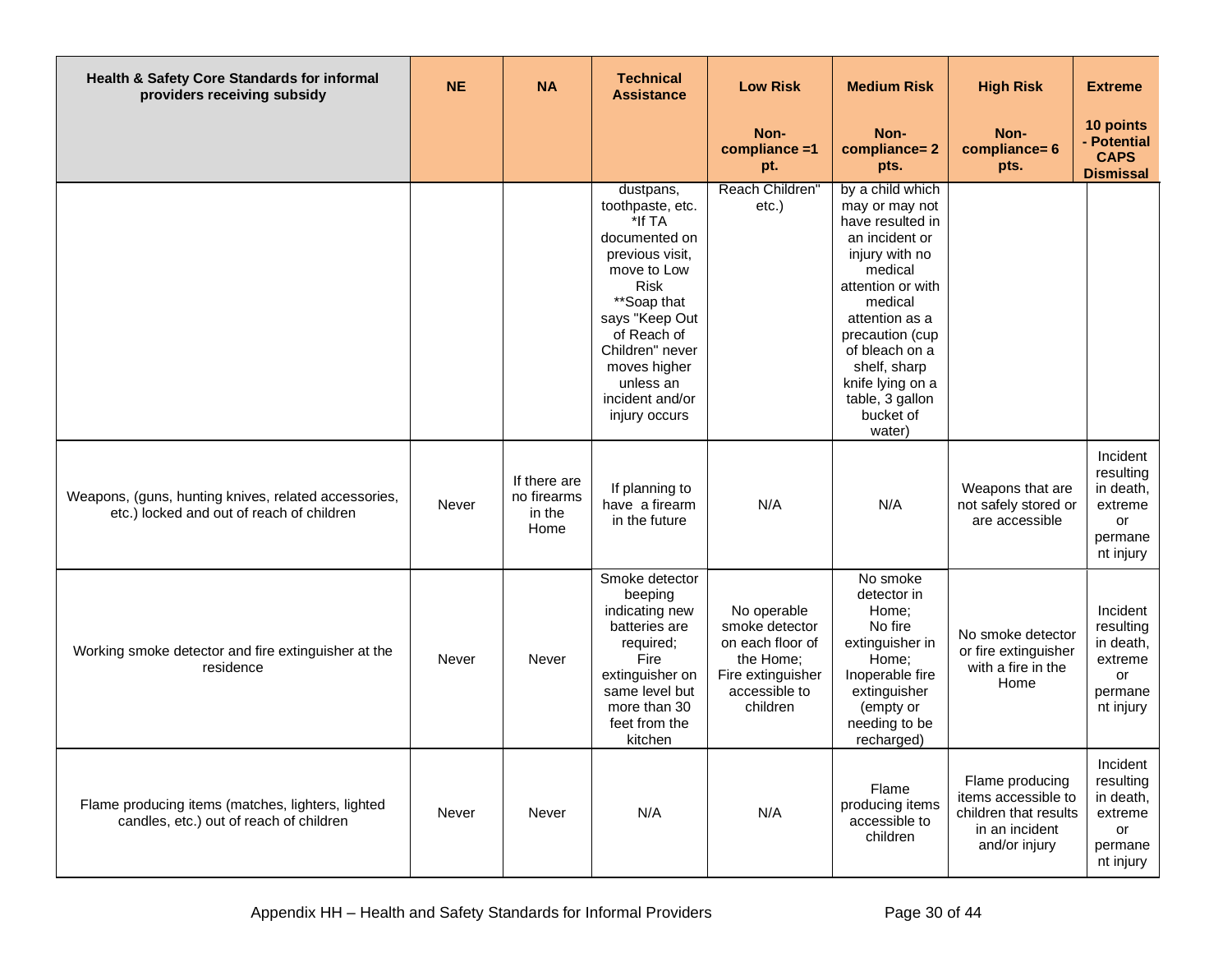| Health & Safety Core Standards for informal<br>providers receiving subsidy                        | <b>NE</b> | <b>NA</b>                                     | <b>Technical</b><br><b>Assistance</b>                                                                                                                                                                                                         | <b>Low Risk</b>                                                                                                  | <b>Medium Risk</b>                                                                                                                                                                                                                                                         | <b>High Risk</b>                                                                                   | <b>Extreme</b>                                                              |
|---------------------------------------------------------------------------------------------------|-----------|-----------------------------------------------|-----------------------------------------------------------------------------------------------------------------------------------------------------------------------------------------------------------------------------------------------|------------------------------------------------------------------------------------------------------------------|----------------------------------------------------------------------------------------------------------------------------------------------------------------------------------------------------------------------------------------------------------------------------|----------------------------------------------------------------------------------------------------|-----------------------------------------------------------------------------|
|                                                                                                   |           |                                               |                                                                                                                                                                                                                                               | Non-<br>compliance =1<br>pt.                                                                                     | Non-<br>compliance=2<br>pts.                                                                                                                                                                                                                                               | Non-<br>compliance= 6<br>pts.                                                                      | 10 points<br>- Potential<br><b>CAPS</b><br><b>Dismissal</b>                 |
|                                                                                                   |           |                                               | dustpans,<br>toothpaste, etc.<br>*If TA<br>documented on<br>previous visit.<br>move to Low<br><b>Risk</b><br>**Soap that<br>says "Keep Out<br>of Reach of<br>Children" never<br>moves higher<br>unless an<br>incident and/or<br>injury occurs | Reach Children'<br>etc.)                                                                                         | by a child which<br>may or may not<br>have resulted in<br>an incident or<br>injury with no<br>medical<br>attention or with<br>medical<br>attention as a<br>precaution (cup<br>of bleach on a<br>shelf, sharp<br>knife lying on a<br>table, 3 gallon<br>bucket of<br>water) |                                                                                                    |                                                                             |
| Weapons, (guns, hunting knives, related accessories,<br>etc.) locked and out of reach of children | Never     | If there are<br>no firearms<br>in the<br>Home | If planning to<br>have a firearm<br>in the future                                                                                                                                                                                             | N/A                                                                                                              | N/A                                                                                                                                                                                                                                                                        | Weapons that are<br>not safely stored or<br>are accessible                                         | Incident<br>resulting<br>in death,<br>extreme<br>or<br>permane<br>nt injury |
| Working smoke detector and fire extinguisher at the<br>residence                                  | Never     | Never                                         | Smoke detector<br>beeping<br>indicating new<br>batteries are<br>required;<br>Fire<br>extinguisher on<br>same level but<br>more than 30<br>feet from the<br>kitchen                                                                            | No operable<br>smoke detector<br>on each floor of<br>the Home;<br>Fire extinguisher<br>accessible to<br>children | No smoke<br>detector in<br>Home;<br>No fire<br>extinguisher in<br>Home;<br>Inoperable fire<br>extinguisher<br>(empty or<br>needing to be<br>recharged)                                                                                                                     | No smoke detector<br>or fire extinguisher<br>with a fire in the<br>Home                            | Incident<br>resulting<br>in death,<br>extreme<br>or<br>permane<br>nt injury |
| Flame producing items (matches, lighters, lighted<br>candles, etc.) out of reach of children      | Never     | Never                                         | N/A                                                                                                                                                                                                                                           | N/A                                                                                                              | Flame<br>producing items<br>accessible to<br>children                                                                                                                                                                                                                      | Flame producing<br>items accessible to<br>children that results<br>in an incident<br>and/or injury | Incident<br>resulting<br>in death,<br>extreme<br>or<br>permane<br>nt injury |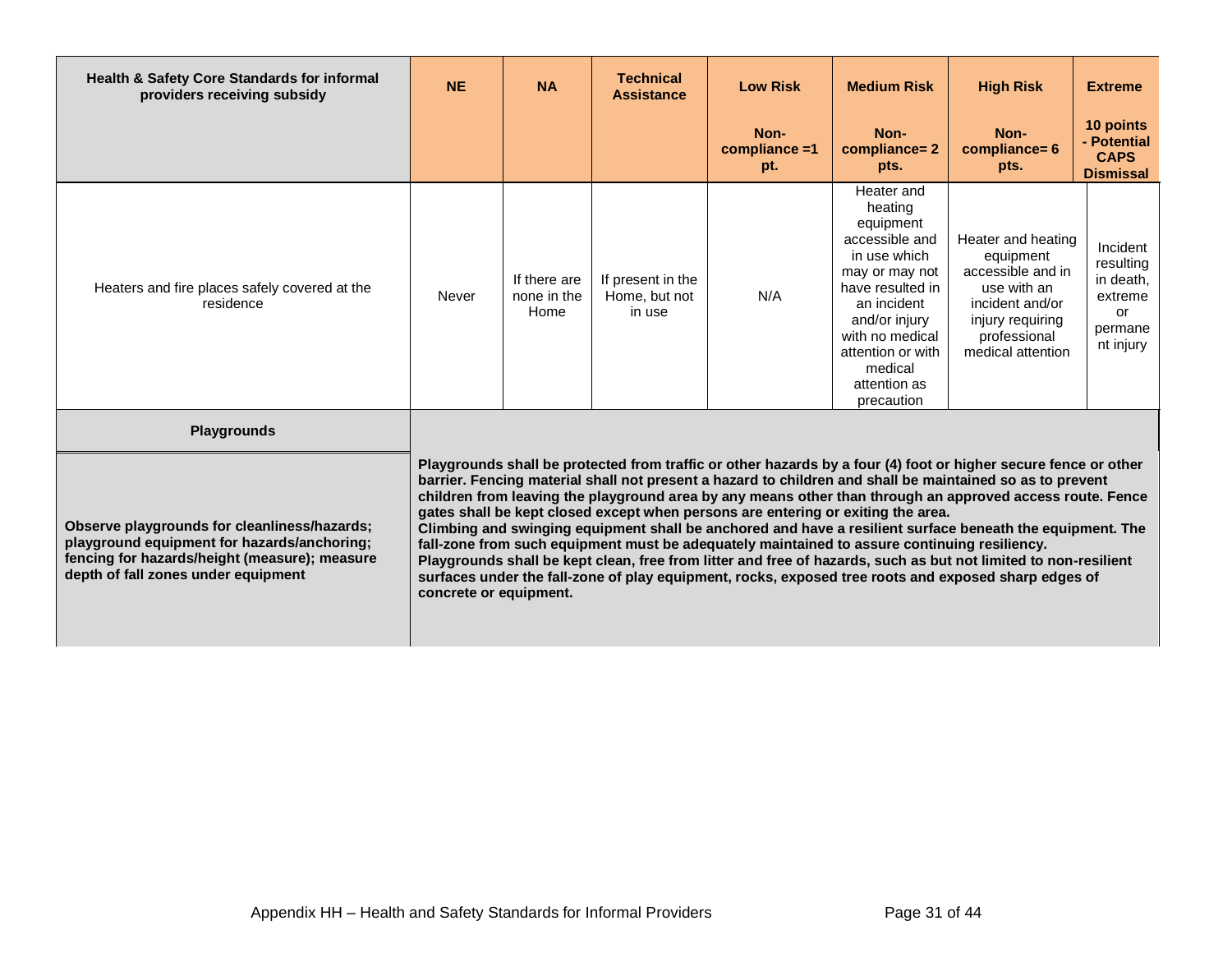| Health & Safety Core Standards for informal<br>providers receiving subsidy                                                                                                                                | <b>NE</b>              | <b>NA</b>                           | <b>Technical</b><br><b>Assistance</b>        | <b>Low Risk</b>                                                                                                                                                                  | <b>Medium Risk</b>                                                                                                                                                                                                          | <b>High Risk</b>                                                                                                                                                                                                                                                                                                                                                                                                                                                                                                                                                                                                                                                                  | <b>Extreme</b>                                                              |
|-----------------------------------------------------------------------------------------------------------------------------------------------------------------------------------------------------------|------------------------|-------------------------------------|----------------------------------------------|----------------------------------------------------------------------------------------------------------------------------------------------------------------------------------|-----------------------------------------------------------------------------------------------------------------------------------------------------------------------------------------------------------------------------|-----------------------------------------------------------------------------------------------------------------------------------------------------------------------------------------------------------------------------------------------------------------------------------------------------------------------------------------------------------------------------------------------------------------------------------------------------------------------------------------------------------------------------------------------------------------------------------------------------------------------------------------------------------------------------------|-----------------------------------------------------------------------------|
|                                                                                                                                                                                                           |                        |                                     |                                              | Non-<br>compliance =1<br>pt.                                                                                                                                                     | Non-<br>compliance=2<br>pts.                                                                                                                                                                                                | Non-<br>compliance= 6<br>pts.                                                                                                                                                                                                                                                                                                                                                                                                                                                                                                                                                                                                                                                     | 10 points<br>- Potential<br><b>CAPS</b><br><b>Dismissal</b>                 |
| Heaters and fire places safely covered at the<br>residence                                                                                                                                                | Never                  | If there are<br>none in the<br>Home | If present in the<br>Home, but not<br>in use | N/A                                                                                                                                                                              | Heater and<br>heating<br>equipment<br>accessible and<br>in use which<br>may or may not<br>have resulted in<br>an incident<br>and/or injury<br>with no medical<br>attention or with<br>medical<br>attention as<br>precaution | Heater and heating<br>equipment<br>accessible and in<br>use with an<br>incident and/or<br>injury requiring<br>professional<br>medical attention                                                                                                                                                                                                                                                                                                                                                                                                                                                                                                                                   | Incident<br>resulting<br>in death,<br>extreme<br>or<br>permane<br>nt injury |
| <b>Playgrounds</b><br>Observe playgrounds for cleanliness/hazards;<br>playground equipment for hazards/anchoring;<br>fencing for hazards/height (measure); measure<br>depth of fall zones under equipment | concrete or equipment. |                                     |                                              | gates shall be kept closed except when persons are entering or exiting the area.<br>fall-zone from such equipment must be adequately maintained to assure continuing resiliency. |                                                                                                                                                                                                                             | Playgrounds shall be protected from traffic or other hazards by a four (4) foot or higher secure fence or other<br>barrier. Fencing material shall not present a hazard to children and shall be maintained so as to prevent<br>children from leaving the playground area by any means other than through an approved access route. Fence<br>Climbing and swinging equipment shall be anchored and have a resilient surface beneath the equipment. The<br>Playgrounds shall be kept clean, free from litter and free of hazards, such as but not limited to non-resilient<br>surfaces under the fall-zone of play equipment, rocks, exposed tree roots and exposed sharp edges of |                                                                             |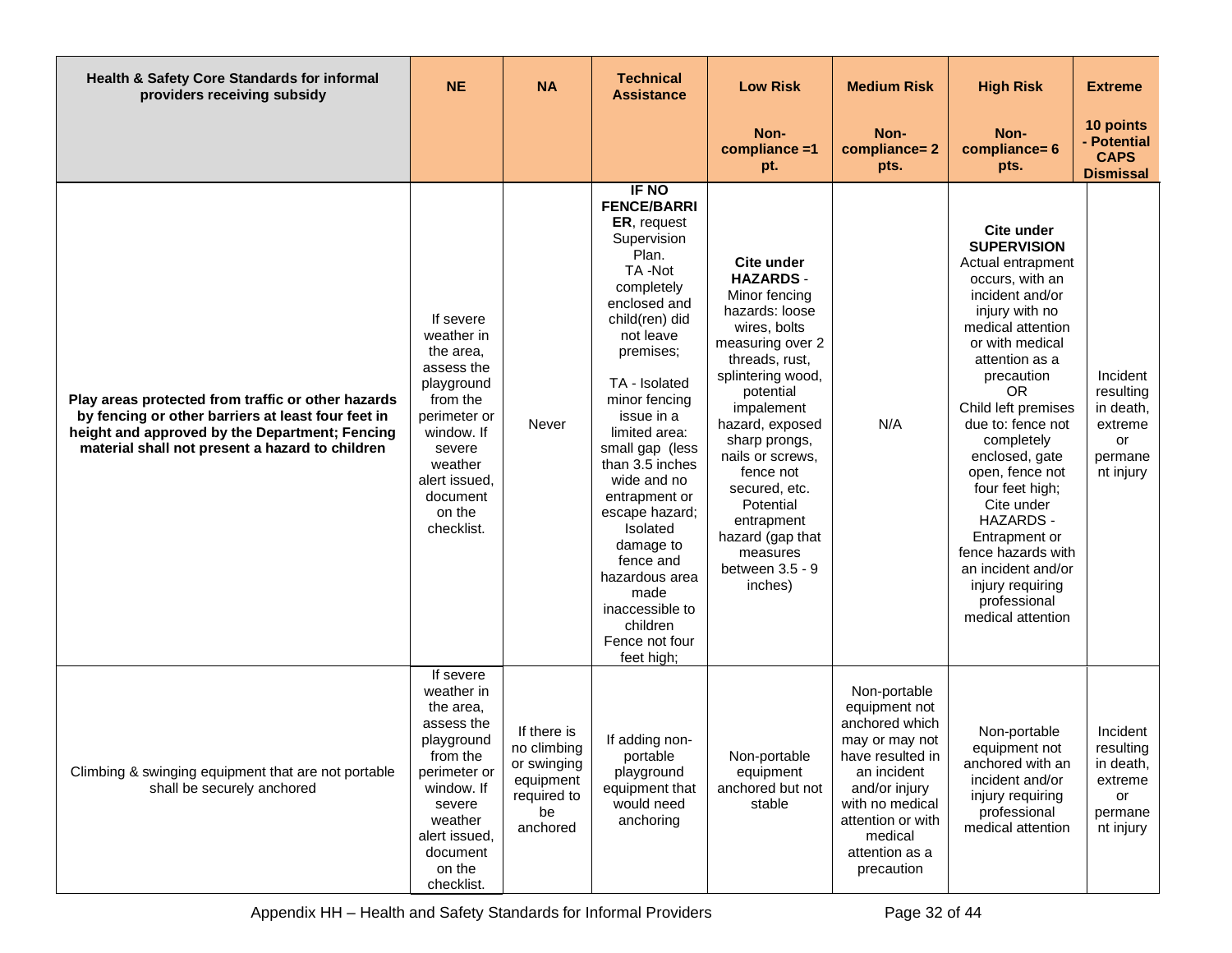| Health & Safety Core Standards for informal<br>providers receiving subsidy                                                                                                                                    | <b>NE</b>                                                                                                                                                                            | <b>NA</b>                                                                               | <b>Technical</b><br><b>Assistance</b>                                                                                                                                                                                                                                                                                                                                                                                                          | <b>Low Risk</b>                                                                                                                                                                                                                                                                                                                                              | <b>Medium Risk</b>                                                                                                                                                                                       | <b>High Risk</b>                                                                                                                                                                                                                                                                                                                                                                                                                                                             | <b>Extreme</b>                                                              |
|---------------------------------------------------------------------------------------------------------------------------------------------------------------------------------------------------------------|--------------------------------------------------------------------------------------------------------------------------------------------------------------------------------------|-----------------------------------------------------------------------------------------|------------------------------------------------------------------------------------------------------------------------------------------------------------------------------------------------------------------------------------------------------------------------------------------------------------------------------------------------------------------------------------------------------------------------------------------------|--------------------------------------------------------------------------------------------------------------------------------------------------------------------------------------------------------------------------------------------------------------------------------------------------------------------------------------------------------------|----------------------------------------------------------------------------------------------------------------------------------------------------------------------------------------------------------|------------------------------------------------------------------------------------------------------------------------------------------------------------------------------------------------------------------------------------------------------------------------------------------------------------------------------------------------------------------------------------------------------------------------------------------------------------------------------|-----------------------------------------------------------------------------|
|                                                                                                                                                                                                               |                                                                                                                                                                                      |                                                                                         |                                                                                                                                                                                                                                                                                                                                                                                                                                                | Non-<br>$compliance = 1$<br>pt.                                                                                                                                                                                                                                                                                                                              | Non-<br>compliance=2<br>pts.                                                                                                                                                                             | Non-<br>compliance= 6<br>pts.                                                                                                                                                                                                                                                                                                                                                                                                                                                | 10 points<br>- Potential<br><b>CAPS</b><br><b>Dismissal</b>                 |
| Play areas protected from traffic or other hazards<br>by fencing or other barriers at least four feet in<br>height and approved by the Department; Fencing<br>material shall not present a hazard to children | If severe<br>weather in<br>the area,<br>assess the<br>playground<br>from the<br>perimeter or<br>window. If<br>severe<br>weather<br>alert issued,<br>document<br>on the<br>checklist. | Never                                                                                   | IF NO<br><b>FENCE/BARRI</b><br>ER, request<br>Supervision<br>Plan.<br>TA-Not<br>completely<br>enclosed and<br>child(ren) did<br>not leave<br>premises;<br>TA - Isolated<br>minor fencing<br>issue in a<br>limited area:<br>small gap (less<br>than 3.5 inches<br>wide and no<br>entrapment or<br>escape hazard;<br>Isolated<br>damage to<br>fence and<br>hazardous area<br>made<br>inaccessible to<br>children<br>Fence not four<br>feet high; | <b>Cite under</b><br><b>HAZARDS-</b><br>Minor fencing<br>hazards: loose<br>wires, bolts<br>measuring over 2<br>threads, rust,<br>splintering wood,<br>potential<br>impalement<br>hazard, exposed<br>sharp prongs,<br>nails or screws,<br>fence not<br>secured, etc.<br>Potential<br>entrapment<br>hazard (gap that<br>measures<br>between 3.5 - 9<br>inches) | N/A                                                                                                                                                                                                      | Cite under<br><b>SUPERVISION</b><br>Actual entrapment<br>occurs, with an<br>incident and/or<br>injury with no<br>medical attention<br>or with medical<br>attention as a<br>precaution<br><b>OR</b><br>Child left premises<br>due to: fence not<br>completely<br>enclosed, gate<br>open, fence not<br>four feet high;<br>Cite under<br><b>HAZARDS -</b><br>Entrapment or<br>fence hazards with<br>an incident and/or<br>injury requiring<br>professional<br>medical attention | Incident<br>resulting<br>in death,<br>extreme<br>or<br>permane<br>nt injury |
| Climbing & swinging equipment that are not portable<br>shall be securely anchored                                                                                                                             | If severe<br>weather in<br>the area.<br>assess the<br>playground<br>from the<br>perimeter or<br>window. If<br>severe<br>weather<br>alert issued,<br>document<br>on the<br>checklist. | If there is<br>no climbing<br>or swinging<br>equipment<br>required to<br>be<br>anchored | If adding non-<br>portable<br>playground<br>equipment that<br>would need<br>anchoring                                                                                                                                                                                                                                                                                                                                                          | Non-portable<br>equipment<br>anchored but not<br>stable                                                                                                                                                                                                                                                                                                      | Non-portable<br>equipment not<br>anchored which<br>may or may not<br>have resulted in<br>an incident<br>and/or injury<br>with no medical<br>attention or with<br>medical<br>attention as a<br>precaution | Non-portable<br>equipment not<br>anchored with an<br>incident and/or<br>injury requiring<br>professional<br>medical attention                                                                                                                                                                                                                                                                                                                                                | Incident<br>resulting<br>in death,<br>extreme<br>or<br>permane<br>nt injury |

Appendix HH – Health and Safety Standards for Informal Providers Page 32 of 44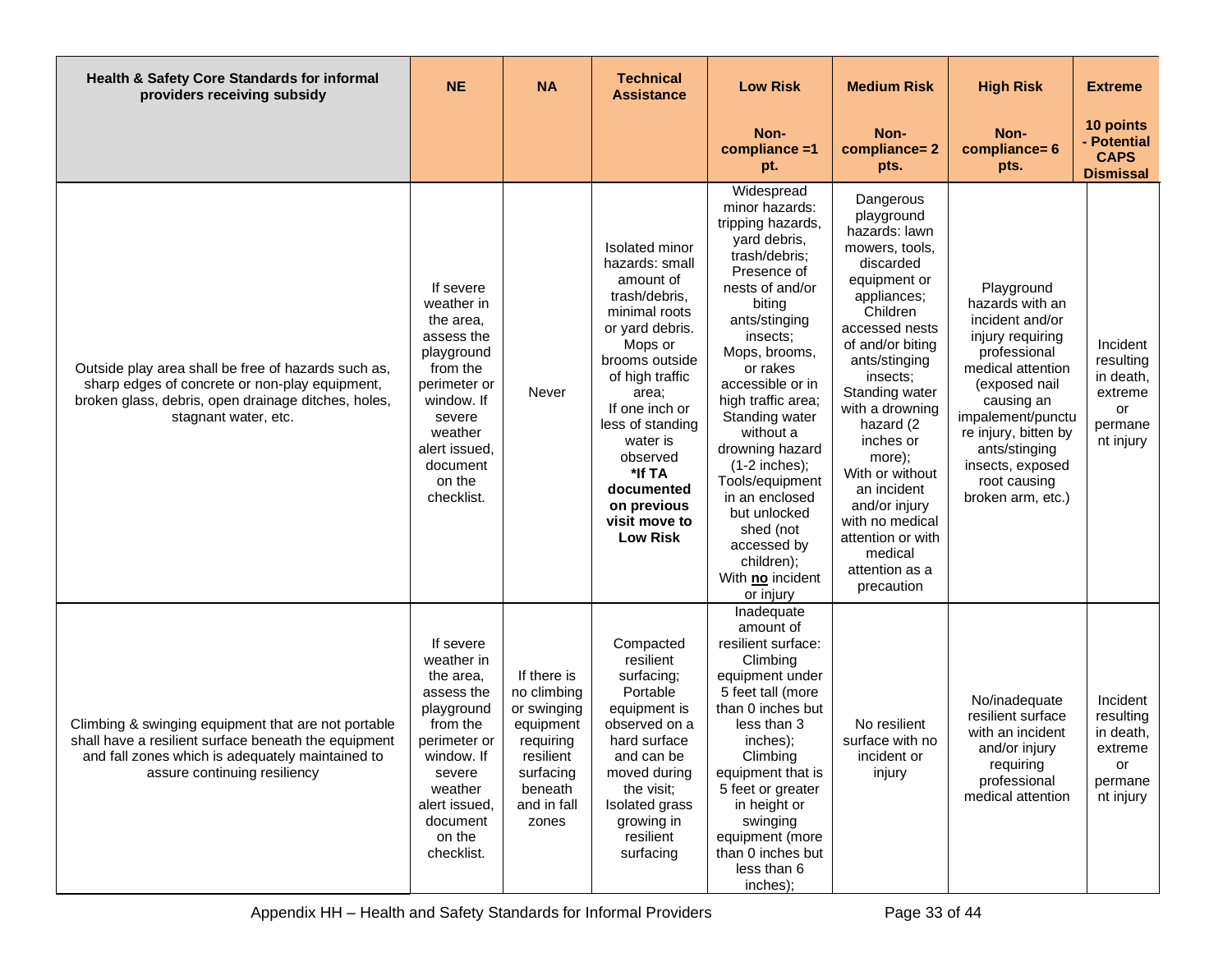| Health & Safety Core Standards for informal<br>providers receiving subsidy                                                                                                                      | <b>NE</b>                                                                                                                                                                            | <b>NA</b>                                                                                                                        | <b>Technical</b><br><b>Assistance</b>                                                                                                                                                                                                                                                                | <b>Low Risk</b>                                                                                                                                                                                                                                                                                                                                                                                                                         | <b>Medium Risk</b>                                                                                                                                                                                                                                                                                                                                                                                   | <b>High Risk</b>                                                                                                                                                                                                                                                | <b>Extreme</b>                                                              |
|-------------------------------------------------------------------------------------------------------------------------------------------------------------------------------------------------|--------------------------------------------------------------------------------------------------------------------------------------------------------------------------------------|----------------------------------------------------------------------------------------------------------------------------------|------------------------------------------------------------------------------------------------------------------------------------------------------------------------------------------------------------------------------------------------------------------------------------------------------|-----------------------------------------------------------------------------------------------------------------------------------------------------------------------------------------------------------------------------------------------------------------------------------------------------------------------------------------------------------------------------------------------------------------------------------------|------------------------------------------------------------------------------------------------------------------------------------------------------------------------------------------------------------------------------------------------------------------------------------------------------------------------------------------------------------------------------------------------------|-----------------------------------------------------------------------------------------------------------------------------------------------------------------------------------------------------------------------------------------------------------------|-----------------------------------------------------------------------------|
|                                                                                                                                                                                                 |                                                                                                                                                                                      |                                                                                                                                  |                                                                                                                                                                                                                                                                                                      | Non-<br>compliance =1<br>pt.                                                                                                                                                                                                                                                                                                                                                                                                            | Non-<br>compliance=2<br>pts.                                                                                                                                                                                                                                                                                                                                                                         | Non-<br>compliance= 6<br>pts.                                                                                                                                                                                                                                   | 10 points<br>- Potential<br><b>CAPS</b><br><b>Dismissal</b>                 |
| Outside play area shall be free of hazards such as,<br>sharp edges of concrete or non-play equipment,<br>broken glass, debris, open drainage ditches, holes,<br>stagnant water, etc.            | If severe<br>weather in<br>the area,<br>assess the<br>playground<br>from the<br>perimeter or<br>window. If<br>severe<br>weather<br>alert issued,<br>document<br>on the<br>checklist. | Never                                                                                                                            | Isolated minor<br>hazards: small<br>amount of<br>trash/debris,<br>minimal roots<br>or yard debris.<br>Mops or<br>brooms outside<br>of high traffic<br>area;<br>If one inch or<br>less of standing<br>water is<br>observed<br>*If TA<br>documented<br>on previous<br>visit move to<br><b>Low Risk</b> | Widespread<br>minor hazards:<br>tripping hazards,<br>yard debris,<br>trash/debris;<br>Presence of<br>nests of and/or<br>biting<br>ants/stinging<br>insects;<br>Mops, brooms,<br>or rakes<br>accessible or in<br>high traffic area;<br>Standing water<br>without a<br>drowning hazard<br>$(1-2$ inches);<br>Tools/equipment<br>in an enclosed<br>but unlocked<br>shed (not<br>accessed by<br>children);<br>With no incident<br>or injury | Dangerous<br>playground<br>hazards: lawn<br>mowers, tools,<br>discarded<br>equipment or<br>appliances;<br>Children<br>accessed nests<br>of and/or biting<br>ants/stinging<br>insects;<br>Standing water<br>with a drowning<br>hazard (2<br>inches or<br>more);<br>With or without<br>an incident<br>and/or injury<br>with no medical<br>attention or with<br>medical<br>attention as a<br>precaution | Playground<br>hazards with an<br>incident and/or<br>injury requiring<br>professional<br>medical attention<br>(exposed nail<br>causing an<br>impalement/punctu<br>re injury, bitten by<br>ants/stinging<br>insects, exposed<br>root causing<br>broken arm, etc.) | Incident<br>resulting<br>in death,<br>extreme<br>or<br>permane<br>nt injury |
| Climbing & swinging equipment that are not portable<br>shall have a resilient surface beneath the equipment<br>and fall zones which is adequately maintained to<br>assure continuing resiliency | If severe<br>weather in<br>the area,<br>assess the<br>playground<br>from the<br>perimeter or<br>window. If<br>severe<br>weather<br>alert issued,<br>document<br>on the<br>checklist. | If there is<br>no climbing<br>or swinging<br>equipment<br>requiring<br>resilient<br>surfacing<br>beneath<br>and in fall<br>zones | Compacted<br>resilient<br>surfacing;<br>Portable<br>equipment is<br>observed on a<br>hard surface<br>and can be<br>moved during<br>the visit;<br>Isolated grass<br>growing in<br>resilient<br>surfacing                                                                                              | Inadequate<br>amount of<br>resilient surface:<br>Climbing<br>equipment under<br>5 feet tall (more<br>than 0 inches but<br>less than 3<br>inches);<br>Climbing<br>equipment that is<br>5 feet or greater<br>in height or<br>swinging<br>equipment (more<br>than 0 inches but<br>less than 6<br>inches);                                                                                                                                  | No resilient<br>surface with no<br>incident or<br>injury                                                                                                                                                                                                                                                                                                                                             | No/inadequate<br>resilient surface<br>with an incident<br>and/or injury<br>requiring<br>professional<br>medical attention                                                                                                                                       | Incident<br>resulting<br>in death,<br>extreme<br>or<br>permane<br>nt injury |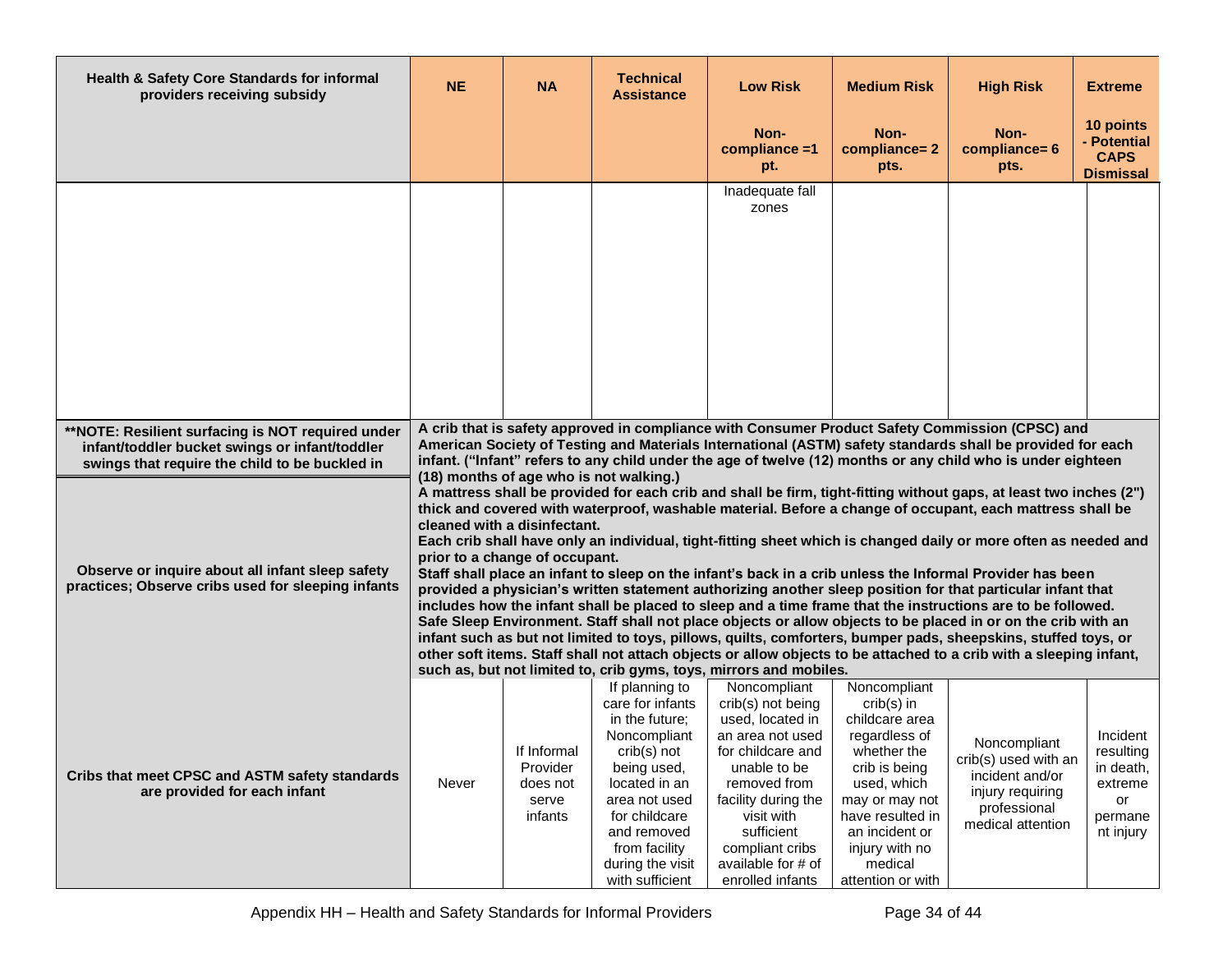| <b>Health &amp; Safety Core Standards for informal</b><br>providers receiving subsidy                                                                 | <b>NE</b>                                                                                                                                                                                                                                                                                                                                                                                                                                                                                                                                                                                                                                                                                                                                                                                                                                                                                                                                                                                                                                                                                                                                                                                                                                                                           | <b>NA</b>                                               | <b>Technical</b><br><b>Assistance</b>                                                                                                                                                                                        | <b>Low Risk</b>                                                                                                                                                                                                                                                                                                      | <b>Medium Risk</b>                                                                                                                                                                                                       | <b>High Risk</b>                                                                                                                                                                                              | <b>Extreme</b>                                                              |  |  |  |
|-------------------------------------------------------------------------------------------------------------------------------------------------------|-------------------------------------------------------------------------------------------------------------------------------------------------------------------------------------------------------------------------------------------------------------------------------------------------------------------------------------------------------------------------------------------------------------------------------------------------------------------------------------------------------------------------------------------------------------------------------------------------------------------------------------------------------------------------------------------------------------------------------------------------------------------------------------------------------------------------------------------------------------------------------------------------------------------------------------------------------------------------------------------------------------------------------------------------------------------------------------------------------------------------------------------------------------------------------------------------------------------------------------------------------------------------------------|---------------------------------------------------------|------------------------------------------------------------------------------------------------------------------------------------------------------------------------------------------------------------------------------|----------------------------------------------------------------------------------------------------------------------------------------------------------------------------------------------------------------------------------------------------------------------------------------------------------------------|--------------------------------------------------------------------------------------------------------------------------------------------------------------------------------------------------------------------------|---------------------------------------------------------------------------------------------------------------------------------------------------------------------------------------------------------------|-----------------------------------------------------------------------------|--|--|--|
|                                                                                                                                                       |                                                                                                                                                                                                                                                                                                                                                                                                                                                                                                                                                                                                                                                                                                                                                                                                                                                                                                                                                                                                                                                                                                                                                                                                                                                                                     |                                                         |                                                                                                                                                                                                                              | Non-<br>compliance =1<br>pt.                                                                                                                                                                                                                                                                                         | Non-<br>compliance=2<br>pts.                                                                                                                                                                                             | Non-<br>compliance= 6<br>pts.                                                                                                                                                                                 | 10 points<br>- Potential<br><b>CAPS</b><br><b>Dismissal</b>                 |  |  |  |
|                                                                                                                                                       |                                                                                                                                                                                                                                                                                                                                                                                                                                                                                                                                                                                                                                                                                                                                                                                                                                                                                                                                                                                                                                                                                                                                                                                                                                                                                     |                                                         |                                                                                                                                                                                                                              | Inadequate fall<br>zones                                                                                                                                                                                                                                                                                             |                                                                                                                                                                                                                          |                                                                                                                                                                                                               |                                                                             |  |  |  |
| **NOTE: Resilient surfacing is NOT required under<br>infant/toddler bucket swings or infant/toddler<br>swings that require the child to be buckled in |                                                                                                                                                                                                                                                                                                                                                                                                                                                                                                                                                                                                                                                                                                                                                                                                                                                                                                                                                                                                                                                                                                                                                                                                                                                                                     |                                                         |                                                                                                                                                                                                                              |                                                                                                                                                                                                                                                                                                                      |                                                                                                                                                                                                                          | A crib that is safety approved in compliance with Consumer Product Safety Commission (CPSC) and<br>American Society of Testing and Materials International (ASTM) safety standards shall be provided for each |                                                                             |  |  |  |
| Observe or inquire about all infant sleep safety<br>practices; Observe cribs used for sleeping infants                                                | infant. ("Infant" refers to any child under the age of twelve (12) months or any child who is under eighteen<br>(18) months of age who is not walking.)<br>A mattress shall be provided for each crib and shall be firm, tight-fitting without gaps, at least two inches (2")<br>thick and covered with waterproof, washable material. Before a change of occupant, each mattress shall be<br>cleaned with a disinfectant.<br>Each crib shall have only an individual, tight-fitting sheet which is changed daily or more often as needed and<br>prior to a change of occupant.<br>Staff shall place an infant to sleep on the infant's back in a crib unless the Informal Provider has been<br>provided a physician's written statement authorizing another sleep position for that particular infant that<br>includes how the infant shall be placed to sleep and a time frame that the instructions are to be followed.<br>Safe Sleep Environment. Staff shall not place objects or allow objects to be placed in or on the crib with an<br>infant such as but not limited to toys, pillows, quilts, comforters, bumper pads, sheepskins, stuffed toys, or<br>other soft items. Staff shall not attach objects or allow objects to be attached to a crib with a sleeping infant, |                                                         |                                                                                                                                                                                                                              |                                                                                                                                                                                                                                                                                                                      |                                                                                                                                                                                                                          |                                                                                                                                                                                                               |                                                                             |  |  |  |
| Cribs that meet CPSC and ASTM safety standards<br>are provided for each infant                                                                        | Never                                                                                                                                                                                                                                                                                                                                                                                                                                                                                                                                                                                                                                                                                                                                                                                                                                                                                                                                                                                                                                                                                                                                                                                                                                                                               | If Informal<br>Provider<br>does not<br>serve<br>infants | If planning to<br>care for infants<br>in the future;<br>Noncompliant<br>crib(s) not<br>being used,<br>located in an<br>area not used<br>for childcare<br>and removed<br>from facility<br>during the visit<br>with sufficient | such as, but not limited to, crib gyms, toys, mirrors and mobiles.<br>Noncompliant<br>crib(s) not being<br>used, located in<br>an area not used<br>for childcare and<br>unable to be<br>removed from<br>facility during the<br>visit with<br>sufficient<br>compliant cribs<br>available for # of<br>enrolled infants | Noncompliant<br>$crib(s)$ in<br>childcare area<br>regardless of<br>whether the<br>crib is being<br>used, which<br>may or may not<br>have resulted in<br>an incident or<br>injury with no<br>medical<br>attention or with | Noncompliant<br>crib(s) used with an<br>incident and/or<br>injury requiring<br>professional<br>medical attention                                                                                              | Incident<br>resulting<br>in death,<br>extreme<br>or<br>permane<br>nt injury |  |  |  |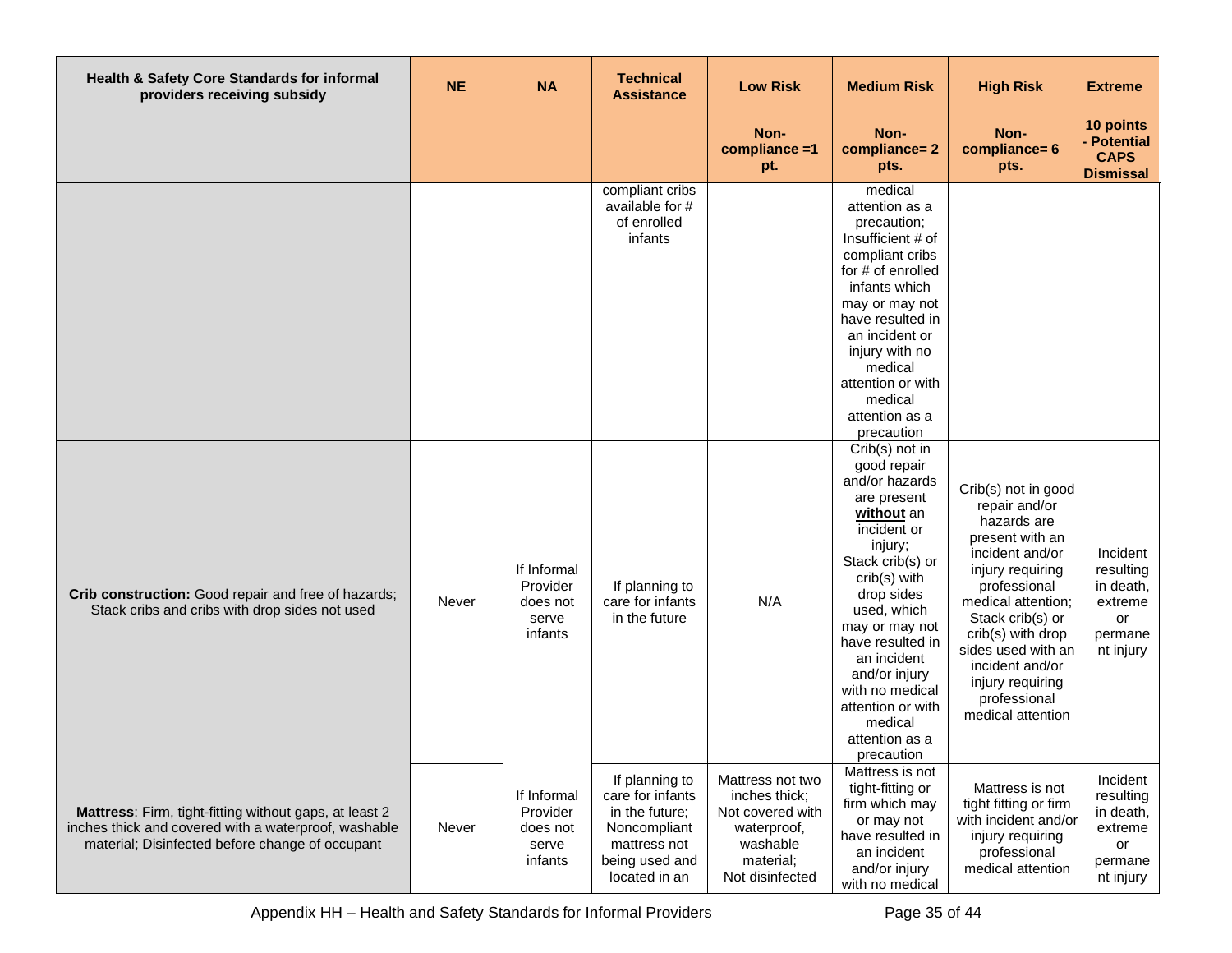| Health & Safety Core Standards for informal<br>providers receiving subsidy                                                                                        | <b>NE</b> | <b>NA</b>                                               | <b>Technical</b><br><b>Assistance</b>                                                                                   | <b>Low Risk</b>                                                                                                  | <b>Medium Risk</b>                                                                                                                                                                                                                                                                                                               | <b>High Risk</b>                                                                                                                                                                                                                                                                               | <b>Extreme</b>                                                              |
|-------------------------------------------------------------------------------------------------------------------------------------------------------------------|-----------|---------------------------------------------------------|-------------------------------------------------------------------------------------------------------------------------|------------------------------------------------------------------------------------------------------------------|----------------------------------------------------------------------------------------------------------------------------------------------------------------------------------------------------------------------------------------------------------------------------------------------------------------------------------|------------------------------------------------------------------------------------------------------------------------------------------------------------------------------------------------------------------------------------------------------------------------------------------------|-----------------------------------------------------------------------------|
|                                                                                                                                                                   |           |                                                         |                                                                                                                         | Non-<br>compliance =1<br>pt.                                                                                     | Non-<br>compliance=2<br>pts.                                                                                                                                                                                                                                                                                                     | Non-<br>compliance= 6<br>pts.                                                                                                                                                                                                                                                                  | 10 points<br>- Potential<br><b>CAPS</b><br><b>Dismissal</b>                 |
|                                                                                                                                                                   |           |                                                         | compliant cribs<br>available for #<br>of enrolled<br>infants                                                            |                                                                                                                  | medical<br>attention as a<br>precaution;<br>Insufficient # of<br>compliant cribs<br>for # of enrolled<br>infants which<br>may or may not<br>have resulted in<br>an incident or<br>injury with no<br>medical<br>attention or with<br>medical<br>attention as a<br>precaution                                                      |                                                                                                                                                                                                                                                                                                |                                                                             |
| Crib construction: Good repair and free of hazards;<br>Stack cribs and cribs with drop sides not used                                                             | Never     | If Informal<br>Provider<br>does not<br>serve<br>infants | If planning to<br>care for infants<br>in the future                                                                     | N/A                                                                                                              | Crib(s) not in<br>good repair<br>and/or hazards<br>are present<br>without an<br>incident or<br>injury;<br>Stack crib(s) or<br>crib(s) with<br>drop sides<br>used, which<br>may or may not<br>have resulted in<br>an incident<br>and/or injury<br>with no medical<br>attention or with<br>medical<br>attention as a<br>precaution | Crib(s) not in good<br>repair and/or<br>hazards are<br>present with an<br>incident and/or<br>injury requiring<br>professional<br>medical attention;<br>Stack crib(s) or<br>crib(s) with drop<br>sides used with an<br>incident and/or<br>injury requiring<br>professional<br>medical attention | Incident<br>resulting<br>in death,<br>extreme<br>or<br>permane<br>nt injury |
| Mattress: Firm, tight-fitting without gaps, at least 2<br>inches thick and covered with a waterproof, washable<br>material; Disinfected before change of occupant | Never     | If Informal<br>Provider<br>does not<br>serve<br>infants | If planning to<br>care for infants<br>in the future;<br>Noncompliant<br>mattress not<br>being used and<br>located in an | Mattress not two<br>inches thick;<br>Not covered with<br>waterproof,<br>washable<br>material;<br>Not disinfected | Mattress is not<br>tight-fitting or<br>firm which may<br>or may not<br>have resulted in<br>an incident<br>and/or injury<br>with no medical                                                                                                                                                                                       | Mattress is not<br>tight fitting or firm<br>with incident and/or<br>injury requiring<br>professional<br>medical attention                                                                                                                                                                      | Incident<br>resulting<br>in death,<br>extreme<br>or<br>permane<br>nt injury |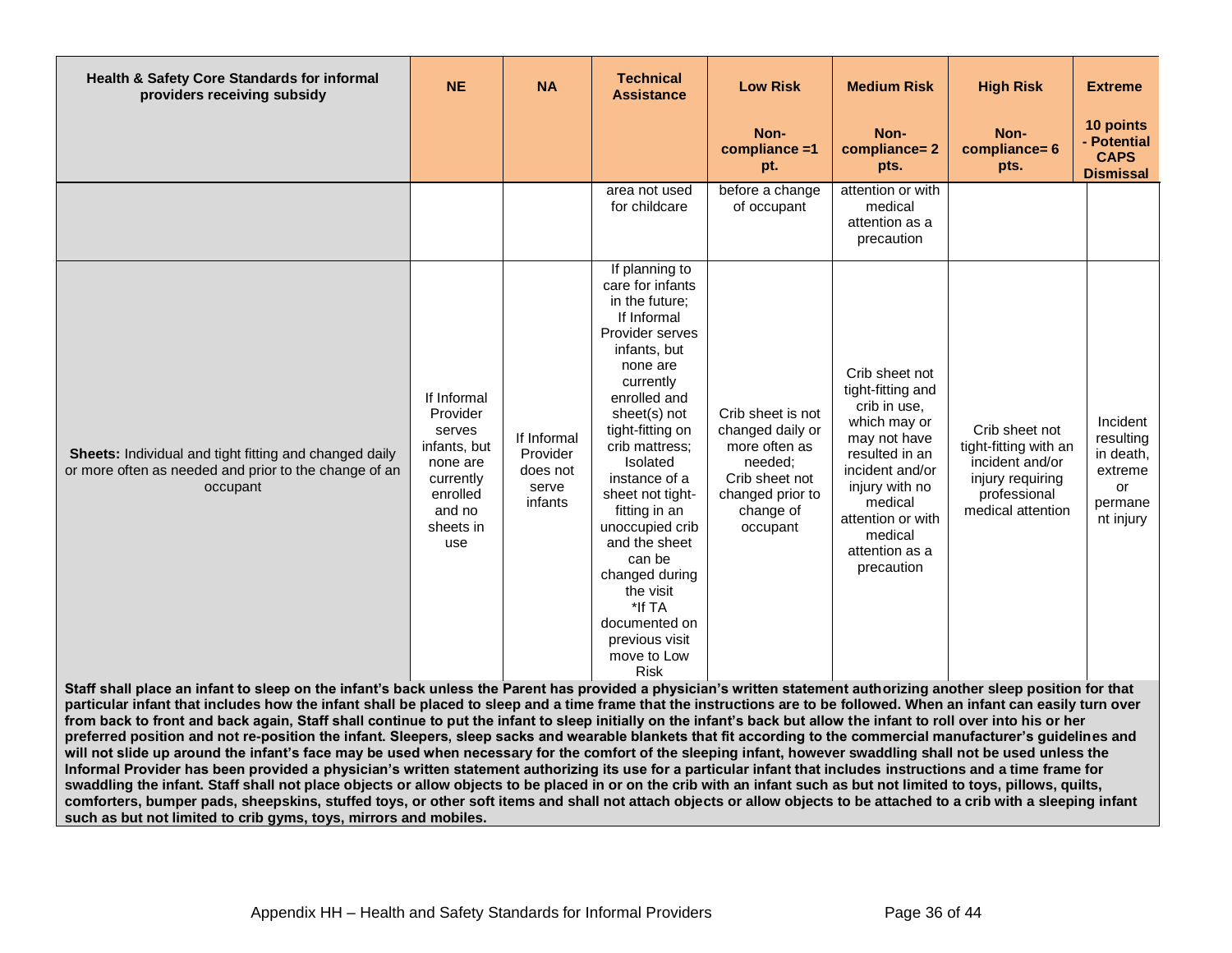| Health & Safety Core Standards for informal<br>providers receiving subsidy                                                                                                                                                                                                                                                                                                                                                                                                                                                                                                                                                                                                                                                                                                                                                                                                                                                                                                                                                                                                                                                                                                                                                                                                | <b>NE</b>                                                                                                            | <b>NA</b>                                               | <b>Technical</b><br><b>Assistance</b>                                                                                                                                                                                                                                                                                                                                                                                           | <b>Low Risk</b>                                                                                                                  | <b>Medium Risk</b>                                                                                                                                                                                                    | <b>High Risk</b>                                                                                                    | <b>Extreme</b>                                                              |  |  |  |
|---------------------------------------------------------------------------------------------------------------------------------------------------------------------------------------------------------------------------------------------------------------------------------------------------------------------------------------------------------------------------------------------------------------------------------------------------------------------------------------------------------------------------------------------------------------------------------------------------------------------------------------------------------------------------------------------------------------------------------------------------------------------------------------------------------------------------------------------------------------------------------------------------------------------------------------------------------------------------------------------------------------------------------------------------------------------------------------------------------------------------------------------------------------------------------------------------------------------------------------------------------------------------|----------------------------------------------------------------------------------------------------------------------|---------------------------------------------------------|---------------------------------------------------------------------------------------------------------------------------------------------------------------------------------------------------------------------------------------------------------------------------------------------------------------------------------------------------------------------------------------------------------------------------------|----------------------------------------------------------------------------------------------------------------------------------|-----------------------------------------------------------------------------------------------------------------------------------------------------------------------------------------------------------------------|---------------------------------------------------------------------------------------------------------------------|-----------------------------------------------------------------------------|--|--|--|
|                                                                                                                                                                                                                                                                                                                                                                                                                                                                                                                                                                                                                                                                                                                                                                                                                                                                                                                                                                                                                                                                                                                                                                                                                                                                           |                                                                                                                      |                                                         |                                                                                                                                                                                                                                                                                                                                                                                                                                 | Non-<br>compliance =1<br>pt.                                                                                                     | Non-<br>compliance=2<br>pts.                                                                                                                                                                                          | Non-<br>compliance= 6<br>pts.                                                                                       | 10 points<br>- Potential<br><b>CAPS</b><br><b>Dismissal</b>                 |  |  |  |
|                                                                                                                                                                                                                                                                                                                                                                                                                                                                                                                                                                                                                                                                                                                                                                                                                                                                                                                                                                                                                                                                                                                                                                                                                                                                           |                                                                                                                      |                                                         | area not used<br>for childcare                                                                                                                                                                                                                                                                                                                                                                                                  | before a change<br>of occupant                                                                                                   | attention or with<br>medical<br>attention as a<br>precaution                                                                                                                                                          |                                                                                                                     |                                                                             |  |  |  |
| Sheets: Individual and tight fitting and changed daily<br>or more often as needed and prior to the change of an<br>occupant                                                                                                                                                                                                                                                                                                                                                                                                                                                                                                                                                                                                                                                                                                                                                                                                                                                                                                                                                                                                                                                                                                                                               | If Informal<br>Provider<br>serves<br>infants, but<br>none are<br>currently<br>enrolled<br>and no<br>sheets in<br>use | If Informal<br>Provider<br>does not<br>serve<br>infants | If planning to<br>care for infants<br>in the future;<br>If Informal<br>Provider serves<br>infants, but<br>none are<br>currently<br>enrolled and<br>sheet(s) not<br>tight-fitting on<br>crib mattress;<br>Isolated<br>instance of a<br>sheet not tight-<br>fitting in an<br>unoccupied crib<br>and the sheet<br>can be<br>changed during<br>the visit<br>*If TA<br>documented on<br>previous visit<br>move to Low<br><b>Risk</b> | Crib sheet is not<br>changed daily or<br>more often as<br>needed:<br>Crib sheet not<br>changed prior to<br>change of<br>occupant | Crib sheet not<br>tight-fitting and<br>crib in use,<br>which may or<br>may not have<br>resulted in an<br>incident and/or<br>injury with no<br>medical<br>attention or with<br>medical<br>attention as a<br>precaution | Crib sheet not<br>tight-fitting with an<br>incident and/or<br>injury requiring<br>professional<br>medical attention | Incident<br>resulting<br>in death,<br>extreme<br>or<br>permane<br>nt injury |  |  |  |
| Staff shall place an infant to sleep on the infant's back unless the Parent has provided a physician's written statement authorizing another sleep position for that                                                                                                                                                                                                                                                                                                                                                                                                                                                                                                                                                                                                                                                                                                                                                                                                                                                                                                                                                                                                                                                                                                      |                                                                                                                      |                                                         |                                                                                                                                                                                                                                                                                                                                                                                                                                 |                                                                                                                                  |                                                                                                                                                                                                                       |                                                                                                                     |                                                                             |  |  |  |
| particular infant that includes how the infant shall be placed to sleep and a time frame that the instructions are to be followed. When an infant can easily turn over<br>from back to front and back again, Staff shall continue to put the infant to sleep initially on the infant's back but allow the infant to roll over into his or her<br>preferred position and not re-position the infant. Sleepers, sleep sacks and wearable blankets that fit according to the commercial manufacturer's guidelines and<br>will not slide up around the infant's face may be used when necessary for the comfort of the sleeping infant, however swaddling shall not be used unless the<br>Informal Provider has been provided a physician's written statement authorizing its use for a particular infant that includes instructions and a time frame for<br>swaddling the infant. Staff shall not place objects or allow objects to be placed in or on the crib with an infant such as but not limited to toys, pillows, quilts,<br>comforters, bumper pads, sheepskins, stuffed toys, or other soft items and shall not attach objects or allow objects to be attached to a crib with a sleeping infant<br>such as but not limited to crib gyms, toys, mirrors and mobiles. |                                                                                                                      |                                                         |                                                                                                                                                                                                                                                                                                                                                                                                                                 |                                                                                                                                  |                                                                                                                                                                                                                       |                                                                                                                     |                                                                             |  |  |  |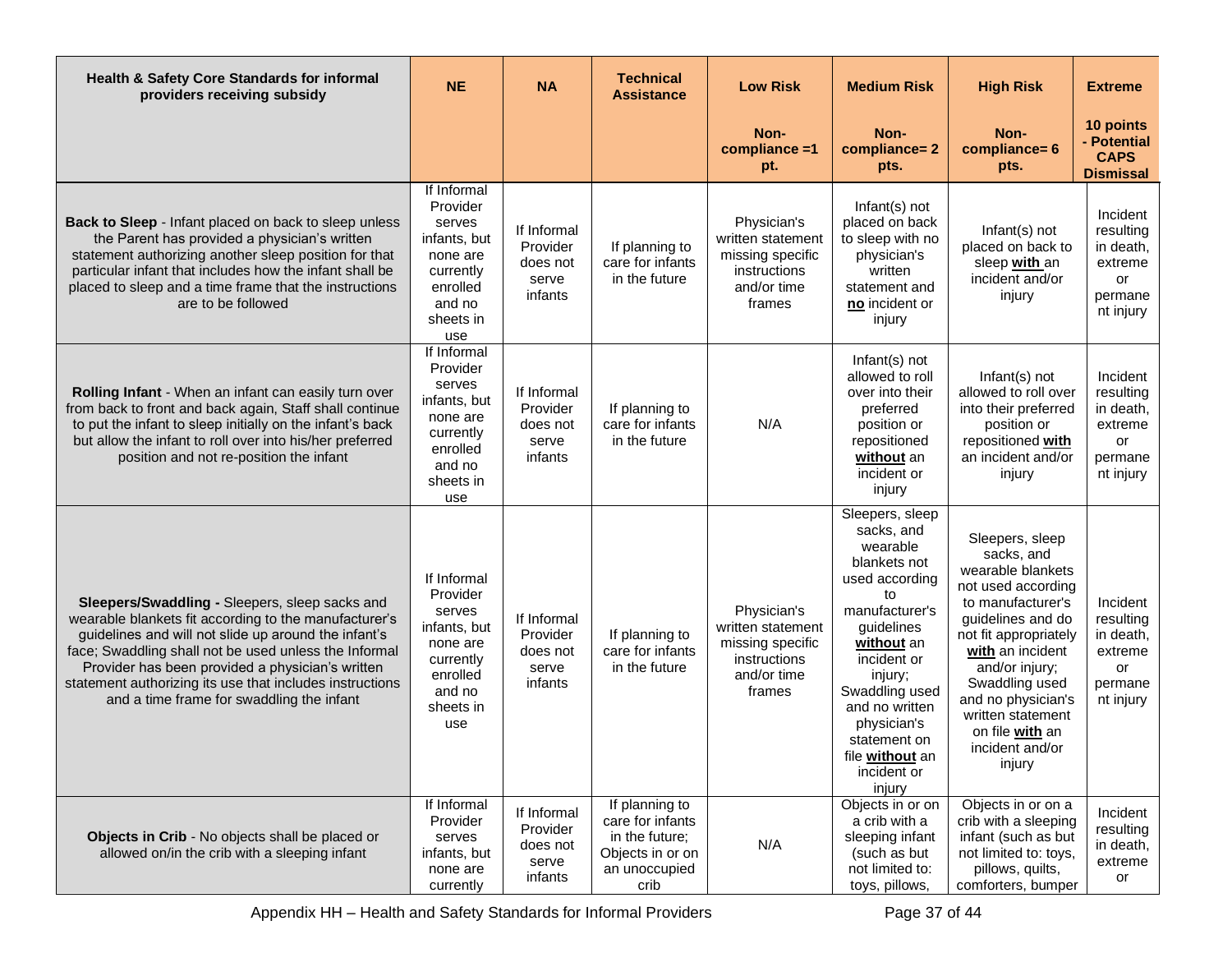| Health & Safety Core Standards for informal<br>providers receiving subsidy                                                                                                                                                                                                                                                                                                            | <b>NE</b>                                                                                                            | <b>NA</b>                                               | <b>Technical</b><br><b>Assistance</b>                                                             | <b>Low Risk</b>                                                                               | <b>Medium Risk</b>                                                                                                                                                                                                                                                       | <b>High Risk</b>                                                                                                                                                                                                                                                                               | <b>Extreme</b>                                                              |
|---------------------------------------------------------------------------------------------------------------------------------------------------------------------------------------------------------------------------------------------------------------------------------------------------------------------------------------------------------------------------------------|----------------------------------------------------------------------------------------------------------------------|---------------------------------------------------------|---------------------------------------------------------------------------------------------------|-----------------------------------------------------------------------------------------------|--------------------------------------------------------------------------------------------------------------------------------------------------------------------------------------------------------------------------------------------------------------------------|------------------------------------------------------------------------------------------------------------------------------------------------------------------------------------------------------------------------------------------------------------------------------------------------|-----------------------------------------------------------------------------|
|                                                                                                                                                                                                                                                                                                                                                                                       |                                                                                                                      |                                                         |                                                                                                   | Non-<br>compliance =1<br>pt.                                                                  | Non-<br>compliance=2<br>pts.                                                                                                                                                                                                                                             | Non-<br>compliance= 6<br>pts.                                                                                                                                                                                                                                                                  | 10 points<br>- Potential<br><b>CAPS</b><br><b>Dismissal</b>                 |
| Back to Sleep - Infant placed on back to sleep unless<br>the Parent has provided a physician's written<br>statement authorizing another sleep position for that<br>particular infant that includes how the infant shall be<br>placed to sleep and a time frame that the instructions<br>are to be followed                                                                            | If Informal<br>Provider<br>serves<br>infants, but<br>none are<br>currently<br>enrolled<br>and no<br>sheets in<br>use | If Informal<br>Provider<br>does not<br>serve<br>infants | If planning to<br>care for infants<br>in the future                                               | Physician's<br>written statement<br>missing specific<br>instructions<br>and/or time<br>frames | Infant(s) not<br>placed on back<br>to sleep with no<br>physician's<br>written<br>statement and<br>no incident or<br>injury                                                                                                                                               | Infant(s) not<br>placed on back to<br>sleep with an<br>incident and/or<br>injury                                                                                                                                                                                                               | Incident<br>resulting<br>in death,<br>extreme<br>or<br>permane<br>nt injury |
| Rolling Infant - When an infant can easily turn over<br>from back to front and back again, Staff shall continue<br>to put the infant to sleep initially on the infant's back<br>but allow the infant to roll over into his/her preferred<br>position and not re-position the infant                                                                                                   | If Informal<br>Provider<br>serves<br>infants, but<br>none are<br>currently<br>enrolled<br>and no<br>sheets in<br>use | If Informal<br>Provider<br>does not<br>serve<br>infants | If planning to<br>care for infants<br>in the future                                               | N/A                                                                                           | Infant(s) not<br>allowed to roll<br>over into their<br>preferred<br>position or<br>repositioned<br>without an<br>incident or<br>injury                                                                                                                                   | Infant(s) not<br>allowed to roll over<br>into their preferred<br>position or<br>repositioned with<br>an incident and/or<br>injury                                                                                                                                                              | Incident<br>resulting<br>in death,<br>extreme<br>or<br>permane<br>nt injury |
| Sleepers/Swaddling - Sleepers, sleep sacks and<br>wearable blankets fit according to the manufacturer's<br>guidelines and will not slide up around the infant's<br>face; Swaddling shall not be used unless the Informal<br>Provider has been provided a physician's written<br>statement authorizing its use that includes instructions<br>and a time frame for swaddling the infant | If Informal<br>Provider<br>serves<br>infants, but<br>none are<br>currently<br>enrolled<br>and no<br>sheets in<br>use | If Informal<br>Provider<br>does not<br>serve<br>infants | If planning to<br>care for infants<br>in the future                                               | Physician's<br>written statement<br>missing specific<br>instructions<br>and/or time<br>frames | Sleepers, sleep<br>sacks, and<br>wearable<br>blankets not<br>used according<br>to<br>manufacturer's<br>guidelines<br>without an<br>incident or<br>injury;<br>Swaddling used<br>and no written<br>physician's<br>statement on<br>file without an<br>incident or<br>injury | Sleepers, sleep<br>sacks, and<br>wearable blankets<br>not used according<br>to manufacturer's<br>guidelines and do<br>not fit appropriately<br>with an incident<br>and/or injury;<br>Swaddling used<br>and no physician's<br>written statement<br>on file with an<br>incident and/or<br>injury | Incident<br>resulting<br>in death,<br>extreme<br>or<br>permane<br>nt injury |
| Objects in Crib - No objects shall be placed or<br>allowed on/in the crib with a sleeping infant                                                                                                                                                                                                                                                                                      | If Informal<br>Provider<br>serves<br>infants, but<br>none are<br>currently                                           | If Informal<br>Provider<br>does not<br>serve<br>infants | If planning to<br>care for infants<br>in the future;<br>Objects in or on<br>an unoccupied<br>crib | N/A                                                                                           | Objects in or on<br>a crib with a<br>sleeping infant<br>(such as but<br>not limited to:<br>toys, pillows,                                                                                                                                                                | Objects in or on a<br>crib with a sleeping<br>infant (such as but<br>not limited to: toys,<br>pillows, quilts,<br>comforters, bumper                                                                                                                                                           | Incident<br>resulting<br>in death,<br>extreme<br>or                         |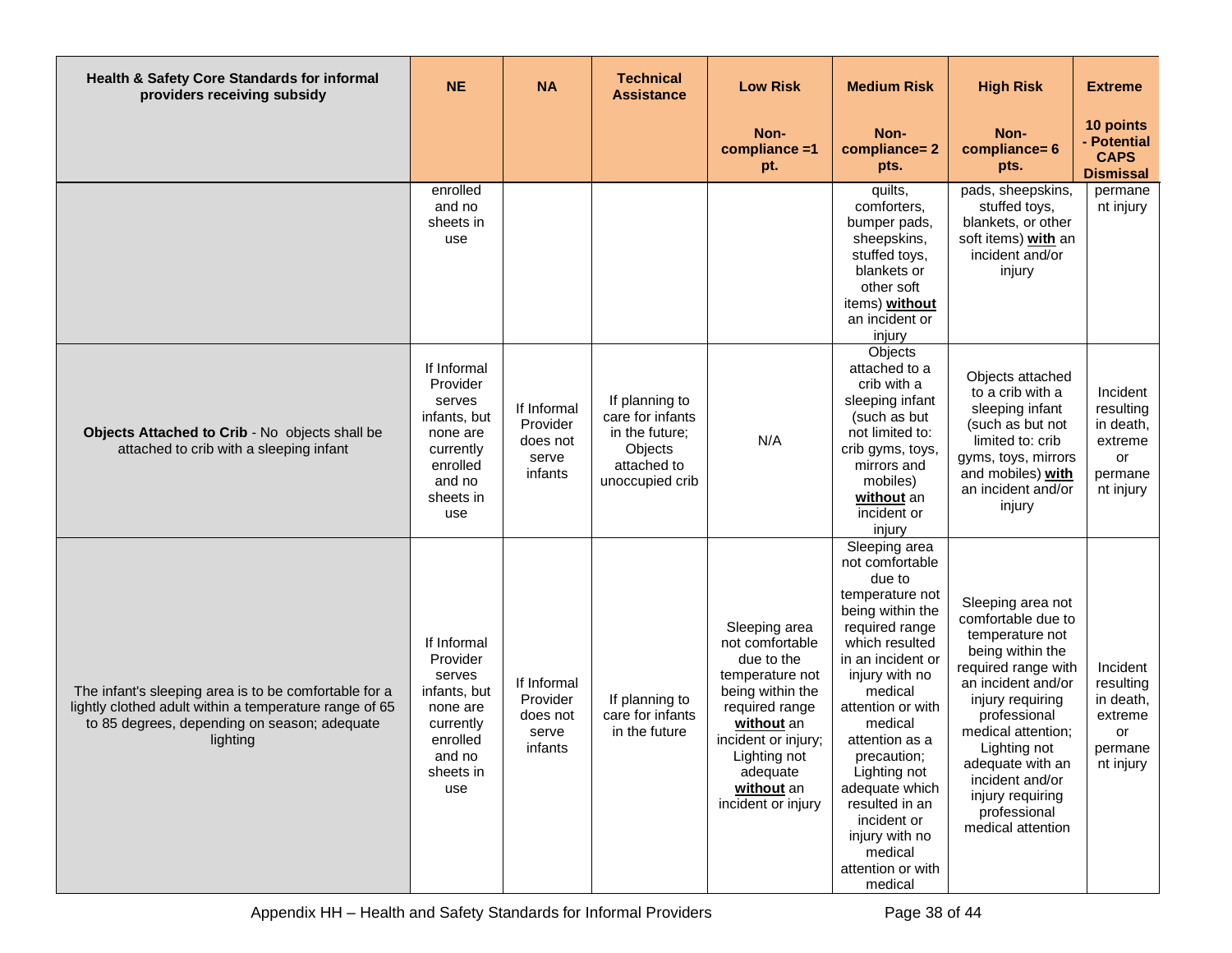| Health & Safety Core Standards for informal<br>providers receiving subsidy                                                                                                  | <b>NE</b>                                                                                                            | <b>NA</b>                                               | <b>Technical</b><br><b>Assistance</b>                                                             | <b>Low Risk</b>                                                                                                                                                                                              | <b>Medium Risk</b>                                                                                                                                                                                                                                                                                                                                                       | <b>High Risk</b>                                                                                                                                                                                                                                                                                      | <b>Extreme</b>                                                              |
|-----------------------------------------------------------------------------------------------------------------------------------------------------------------------------|----------------------------------------------------------------------------------------------------------------------|---------------------------------------------------------|---------------------------------------------------------------------------------------------------|--------------------------------------------------------------------------------------------------------------------------------------------------------------------------------------------------------------|--------------------------------------------------------------------------------------------------------------------------------------------------------------------------------------------------------------------------------------------------------------------------------------------------------------------------------------------------------------------------|-------------------------------------------------------------------------------------------------------------------------------------------------------------------------------------------------------------------------------------------------------------------------------------------------------|-----------------------------------------------------------------------------|
|                                                                                                                                                                             |                                                                                                                      |                                                         |                                                                                                   | Non-<br>compliance =1<br>pt.                                                                                                                                                                                 | Non-<br>compliance=2<br>pts.                                                                                                                                                                                                                                                                                                                                             | Non-<br>compliance= 6<br>pts.                                                                                                                                                                                                                                                                         | 10 points<br>- Potential<br><b>CAPS</b><br><b>Dismissal</b>                 |
|                                                                                                                                                                             | enrolled<br>and no<br>sheets in<br>use                                                                               |                                                         |                                                                                                   |                                                                                                                                                                                                              | quilts,<br>comforters,<br>bumper pads,<br>sheepskins,<br>stuffed toys,<br>blankets or<br>other soft<br>items) without<br>an incident or<br>injury                                                                                                                                                                                                                        | pads, sheepskins,<br>stuffed toys,<br>blankets, or other<br>soft items) with an<br>incident and/or<br>injury                                                                                                                                                                                          | permane<br>nt injury                                                        |
| Objects Attached to Crib - No objects shall be<br>attached to crib with a sleeping infant                                                                                   | If Informal<br>Provider<br>serves<br>infants, but<br>none are<br>currently<br>enrolled<br>and no<br>sheets in<br>use | If Informal<br>Provider<br>does not<br>serve<br>infants | If planning to<br>care for infants<br>in the future;<br>Objects<br>attached to<br>unoccupied crib | N/A                                                                                                                                                                                                          | Objects<br>attached to a<br>crib with a<br>sleeping infant<br>(such as but<br>not limited to:<br>crib gyms, toys,<br>mirrors and<br>mobiles)<br>without an<br>incident or<br>injury                                                                                                                                                                                      | Objects attached<br>to a crib with a<br>sleeping infant<br>(such as but not<br>limited to: crib<br>gyms, toys, mirrors<br>and mobiles) with<br>an incident and/or<br>injury                                                                                                                           | Incident<br>resulting<br>in death,<br>extreme<br>or<br>permane<br>nt injury |
| The infant's sleeping area is to be comfortable for a<br>lightly clothed adult within a temperature range of 65<br>to 85 degrees, depending on season; adequate<br>lighting | If Informal<br>Provider<br>serves<br>infants, but<br>none are<br>currently<br>enrolled<br>and no<br>sheets in<br>use | If Informal<br>Provider<br>does not<br>serve<br>infants | If planning to<br>care for infants<br>in the future                                               | Sleeping area<br>not comfortable<br>due to the<br>temperature not<br>being within the<br>required range<br>without an<br>incident or injury;<br>Lighting not<br>adequate<br>without an<br>incident or injury | Sleeping area<br>not comfortable<br>due to<br>temperature not<br>being within the<br>required range<br>which resulted<br>in an incident or<br>injury with no<br>medical<br>attention or with<br>medical<br>attention as a<br>precaution;<br>Lighting not<br>adequate which<br>resulted in an<br>incident or<br>injury with no<br>medical<br>attention or with<br>medical | Sleeping area not<br>comfortable due to<br>temperature not<br>being within the<br>required range with<br>an incident and/or<br>injury requiring<br>professional<br>medical attention;<br>Lighting not<br>adequate with an<br>incident and/or<br>injury requiring<br>professional<br>medical attention | Incident<br>resulting<br>in death,<br>extreme<br>or<br>permane<br>nt injury |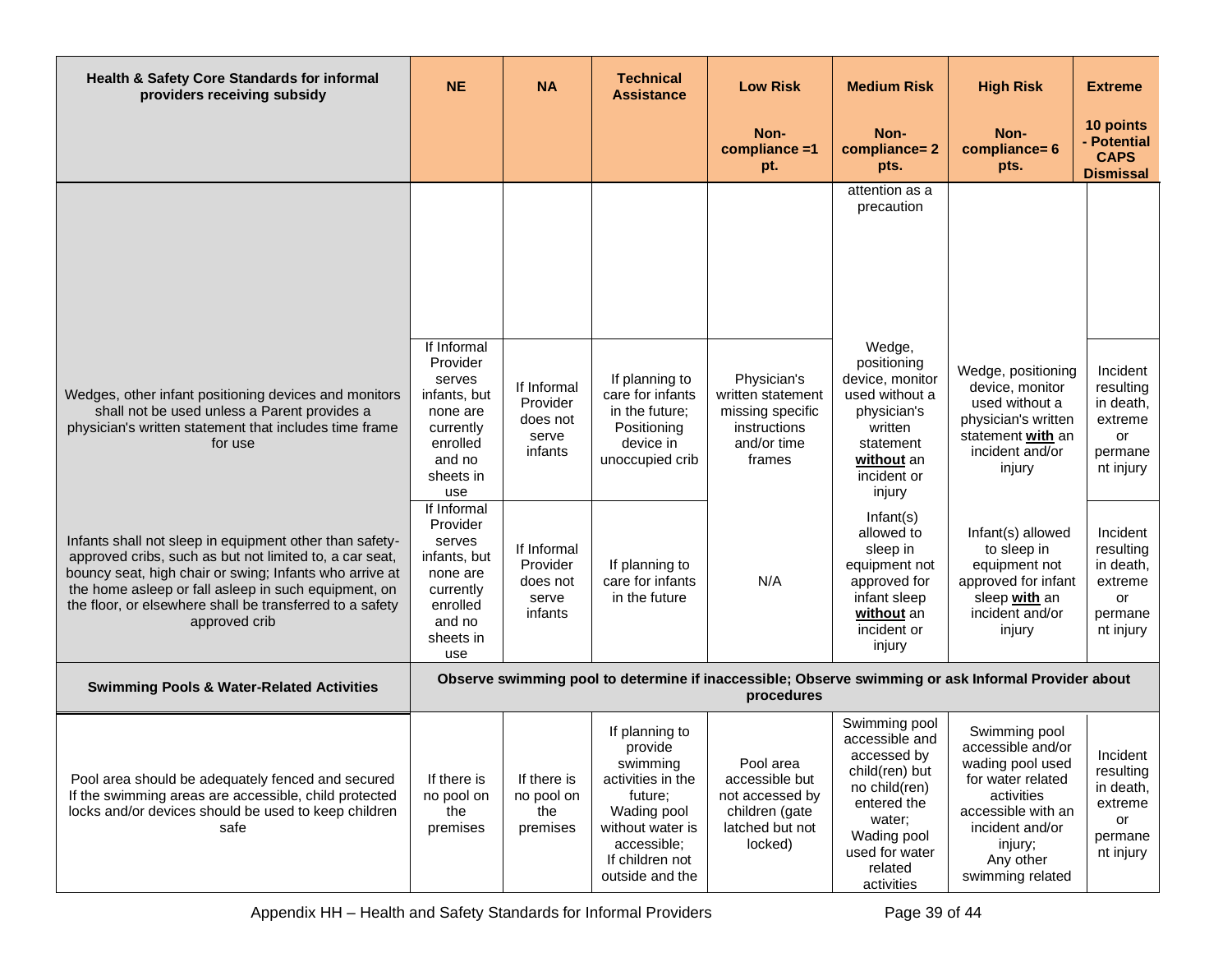| Health & Safety Core Standards for informal<br>providers receiving subsidy                                                                                                                                                                                                                                         | <b>NE</b>                                                                                                            | <b>NA</b>                                               | <b>Technical</b><br><b>Assistance</b>                                                                                                                         | <b>Low Risk</b>                                                                                | <b>Medium Risk</b>                                                                                                                                                   | <b>High Risk</b>                                                                                                                                                               | <b>Extreme</b>                                                              |
|--------------------------------------------------------------------------------------------------------------------------------------------------------------------------------------------------------------------------------------------------------------------------------------------------------------------|----------------------------------------------------------------------------------------------------------------------|---------------------------------------------------------|---------------------------------------------------------------------------------------------------------------------------------------------------------------|------------------------------------------------------------------------------------------------|----------------------------------------------------------------------------------------------------------------------------------------------------------------------|--------------------------------------------------------------------------------------------------------------------------------------------------------------------------------|-----------------------------------------------------------------------------|
|                                                                                                                                                                                                                                                                                                                    |                                                                                                                      |                                                         |                                                                                                                                                               | Non-<br>compliance =1<br>pt.                                                                   | Non-<br>compliance=2<br>pts.                                                                                                                                         | Non-<br>compliance= 6<br>pts.                                                                                                                                                  | 10 points<br>- Potential<br><b>CAPS</b><br><b>Dismissal</b>                 |
|                                                                                                                                                                                                                                                                                                                    |                                                                                                                      |                                                         |                                                                                                                                                               |                                                                                                | attention as a<br>precaution                                                                                                                                         |                                                                                                                                                                                |                                                                             |
| Wedges, other infant positioning devices and monitors<br>shall not be used unless a Parent provides a<br>physician's written statement that includes time frame<br>for use                                                                                                                                         | If Informal<br>Provider<br>serves<br>infants, but<br>none are<br>currently<br>enrolled<br>and no<br>sheets in<br>use | If Informal<br>Provider<br>does not<br>serve<br>infants | If planning to<br>care for infants<br>in the future;<br>Positioning<br>device in<br>unoccupied crib                                                           | Physician's<br>written statement<br>missing specific<br>instructions<br>and/or time<br>frames  | Wedge,<br>positioning<br>device, monitor<br>used without a<br>physician's<br>written<br>statement<br>without an<br>incident or<br>injury                             | Wedge, positioning<br>device, monitor<br>used without a<br>physician's written<br>statement with an<br>incident and/or<br>injury                                               | Incident<br>resulting<br>in death,<br>extreme<br>or<br>permane<br>nt injury |
| Infants shall not sleep in equipment other than safety-<br>approved cribs, such as but not limited to, a car seat,<br>bouncy seat, high chair or swing; Infants who arrive at<br>the home asleep or fall asleep in such equipment, on<br>the floor, or elsewhere shall be transferred to a safety<br>approved crib | If Informal<br>Provider<br>serves<br>infants, but<br>none are<br>currently<br>enrolled<br>and no<br>sheets in<br>use | If Informal<br>Provider<br>does not<br>serve<br>infants | If planning to<br>care for infants<br>in the future                                                                                                           | N/A                                                                                            | Infant(s)<br>allowed to<br>sleep in<br>equipment not<br>approved for<br>infant sleep<br>without an<br>incident or<br>injury                                          | Infant(s) allowed<br>to sleep in<br>equipment not<br>approved for infant<br>sleep with an<br>incident and/or<br>injury                                                         | Incident<br>resulting<br>in death,<br>extreme<br>or<br>permane<br>nt injury |
| <b>Swimming Pools &amp; Water-Related Activities</b>                                                                                                                                                                                                                                                               |                                                                                                                      |                                                         |                                                                                                                                                               | procedures                                                                                     |                                                                                                                                                                      | Observe swimming pool to determine if inaccessible; Observe swimming or ask Informal Provider about                                                                            |                                                                             |
| Pool area should be adequately fenced and secured<br>If the swimming areas are accessible, child protected<br>locks and/or devices should be used to keep children<br>safe                                                                                                                                         | If there is<br>no pool on<br>the<br>premises                                                                         | If there is<br>no pool on<br>the<br>premises            | If planning to<br>provide<br>swimming<br>activities in the<br>future;<br>Wading pool<br>without water is<br>accessible;<br>If children not<br>outside and the | Pool area<br>accessible but<br>not accessed by<br>children (gate<br>latched but not<br>locked) | Swimming pool<br>accessible and<br>accessed by<br>child(ren) but<br>no child(ren)<br>entered the<br>water;<br>Wading pool<br>used for water<br>related<br>activities | Swimming pool<br>accessible and/or<br>wading pool used<br>for water related<br>activities<br>accessible with an<br>incident and/or<br>injury;<br>Any other<br>swimming related | Incident<br>resulting<br>in death,<br>extreme<br>or<br>permane<br>nt injury |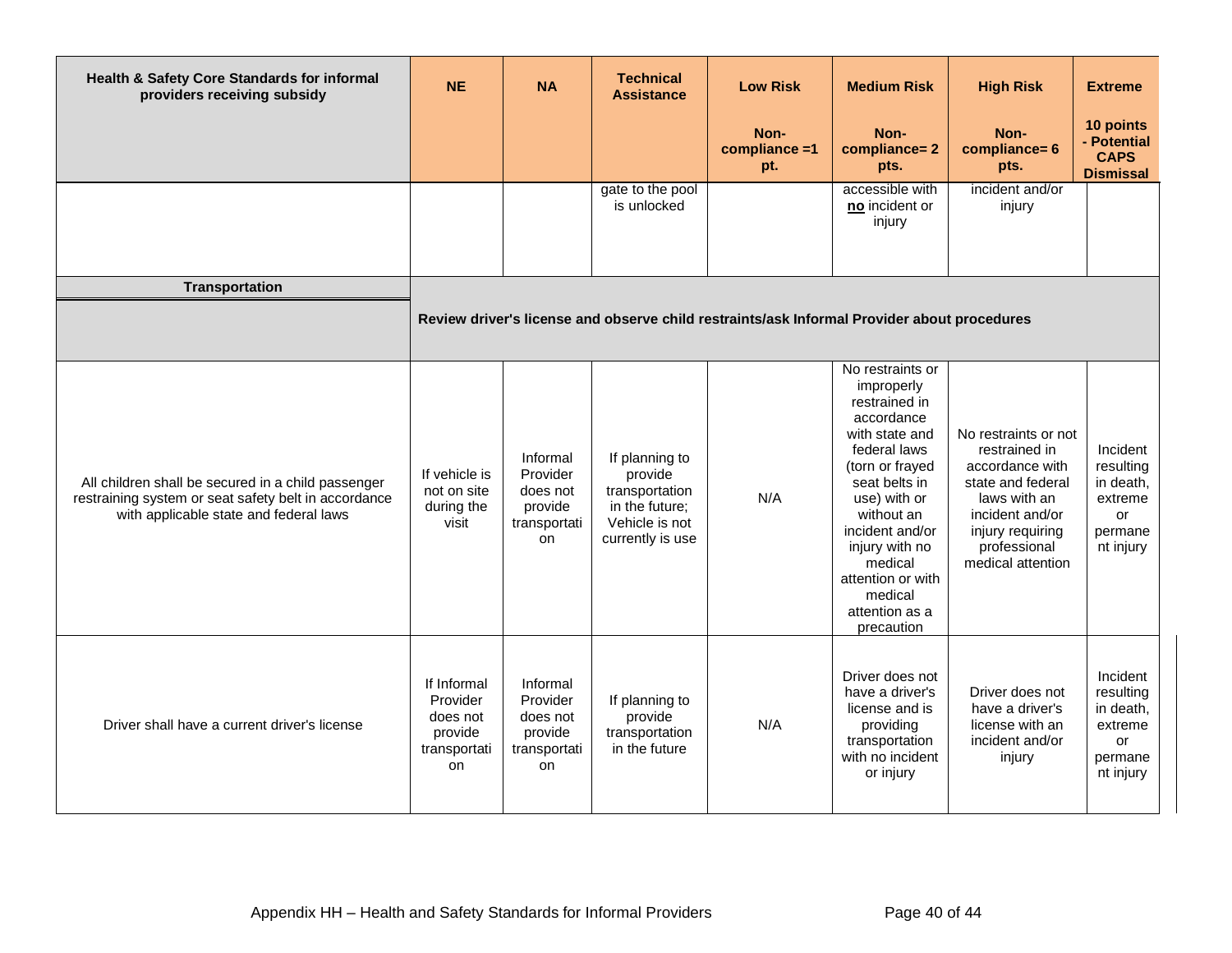| Health & Safety Core Standards for informal<br>providers receiving subsidy                                                                           | <b>NE</b>                                                            | <b>NA</b>                                                         | <b>Technical</b><br><b>Assistance</b>                                                               | <b>Low Risk</b>                                                                             | <b>Medium Risk</b>                                                                                                                                                                                                                                                                | <b>High Risk</b>                                                                                                                                                          | <b>Extreme</b>                                                                     |
|------------------------------------------------------------------------------------------------------------------------------------------------------|----------------------------------------------------------------------|-------------------------------------------------------------------|-----------------------------------------------------------------------------------------------------|---------------------------------------------------------------------------------------------|-----------------------------------------------------------------------------------------------------------------------------------------------------------------------------------------------------------------------------------------------------------------------------------|---------------------------------------------------------------------------------------------------------------------------------------------------------------------------|------------------------------------------------------------------------------------|
|                                                                                                                                                      |                                                                      |                                                                   |                                                                                                     | Non-<br>compliance $=1$<br>pt.                                                              | Non-<br>compliance=2<br>pts.                                                                                                                                                                                                                                                      | Non-<br>compliance= 6<br>pts.                                                                                                                                             | 10 points<br>- Potential<br><b>CAPS</b><br><b>Dismissal</b>                        |
|                                                                                                                                                      |                                                                      |                                                                   | gate to the pool<br>is unlocked                                                                     |                                                                                             | accessible with<br>no incident or<br>injury                                                                                                                                                                                                                                       | incident and/or<br>injury                                                                                                                                                 |                                                                                    |
| <b>Transportation</b>                                                                                                                                |                                                                      |                                                                   |                                                                                                     |                                                                                             |                                                                                                                                                                                                                                                                                   |                                                                                                                                                                           |                                                                                    |
|                                                                                                                                                      |                                                                      |                                                                   |                                                                                                     | Review driver's license and observe child restraints/ask Informal Provider about procedures |                                                                                                                                                                                                                                                                                   |                                                                                                                                                                           |                                                                                    |
| All children shall be secured in a child passenger<br>restraining system or seat safety belt in accordance<br>with applicable state and federal laws | If vehicle is<br>not on site<br>during the<br>visit                  | Informal<br>Provider<br>does not<br>provide<br>transportati<br>on | If planning to<br>provide<br>transportation<br>in the future;<br>Vehicle is not<br>currently is use | N/A                                                                                         | No restraints or<br>improperly<br>restrained in<br>accordance<br>with state and<br>federal laws<br>(torn or frayed<br>seat belts in<br>use) with or<br>without an<br>incident and/or<br>injury with no<br>medical<br>attention or with<br>medical<br>attention as a<br>precaution | No restraints or not<br>restrained in<br>accordance with<br>state and federal<br>laws with an<br>incident and/or<br>injury requiring<br>professional<br>medical attention | Incident<br>resulting<br>in death,<br>extreme<br>or<br>permane<br>nt injury        |
| Driver shall have a current driver's license                                                                                                         | If Informal<br>Provider<br>does not<br>provide<br>transportati<br>on | Informal<br>Provider<br>does not<br>provide<br>transportati<br>on | If planning to<br>provide<br>transportation<br>in the future                                        | N/A                                                                                         | Driver does not<br>have a driver's<br>license and is<br>providing<br>transportation<br>with no incident<br>or injury                                                                                                                                                              | Driver does not<br>have a driver's<br>license with an<br>incident and/or<br>injury                                                                                        | Incident<br>resulting<br>in death.<br>extreme<br><b>or</b><br>permane<br>nt injury |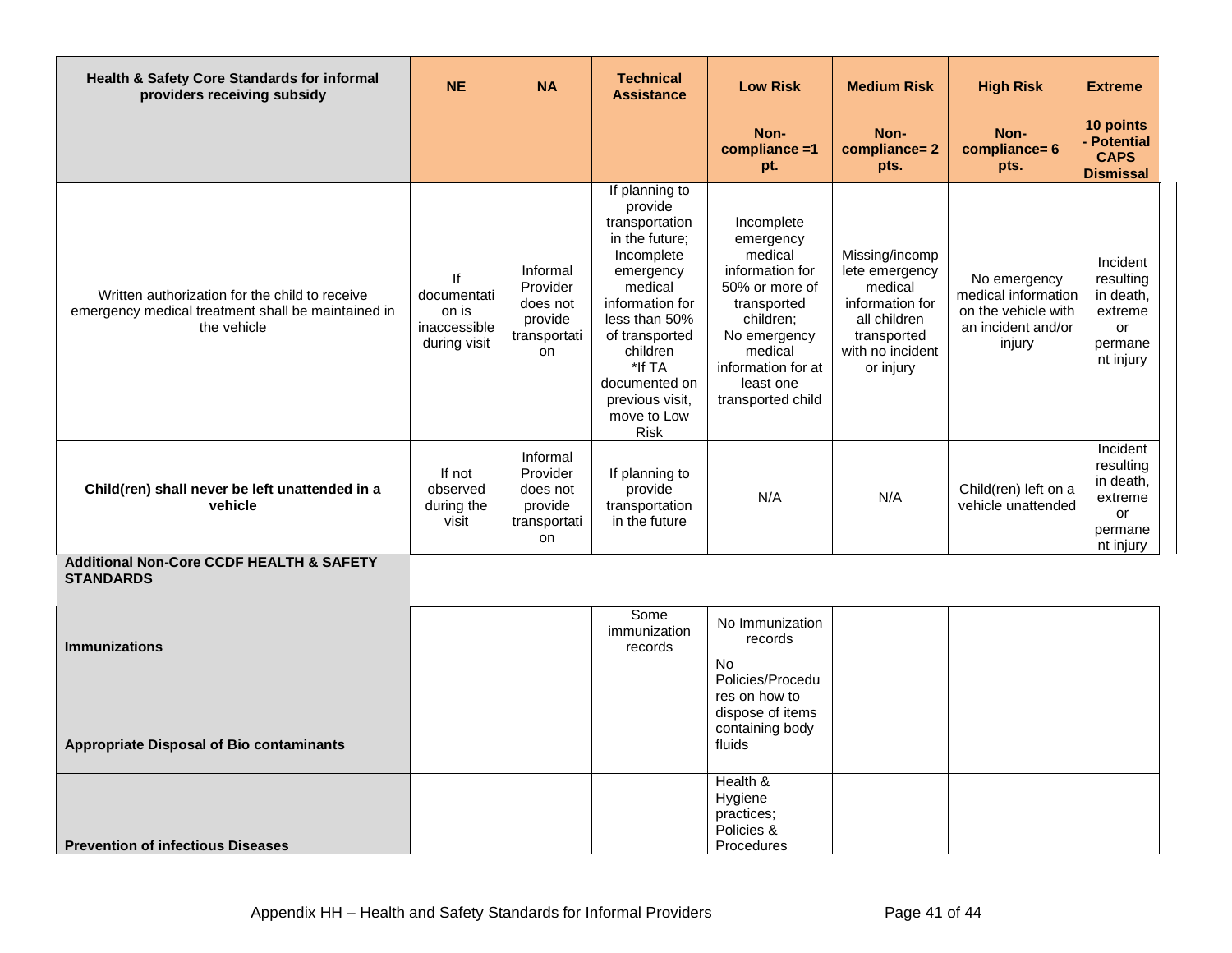| <b>Health &amp; Safety Core Standards for informal</b><br>providers receiving subsidy                               | <b>NE</b>                                            | <b>NA</b>                                                                | <b>Technical</b><br><b>Assistance</b>                                                                                                                                                                                                             | <b>Low Risk</b>                                                                                                                                                                        | <b>Medium Risk</b>                                                                                                             | <b>High Risk</b>                                                                           | <b>Extreme</b>                                                              |
|---------------------------------------------------------------------------------------------------------------------|------------------------------------------------------|--------------------------------------------------------------------------|---------------------------------------------------------------------------------------------------------------------------------------------------------------------------------------------------------------------------------------------------|----------------------------------------------------------------------------------------------------------------------------------------------------------------------------------------|--------------------------------------------------------------------------------------------------------------------------------|--------------------------------------------------------------------------------------------|-----------------------------------------------------------------------------|
|                                                                                                                     |                                                      |                                                                          |                                                                                                                                                                                                                                                   | Non-<br>$compliance = 1$<br>pt.                                                                                                                                                        | Non-<br>compliance=2<br>pts.                                                                                                   | Non-<br>compliance= 6<br>pts.                                                              | 10 points<br>- Potential<br><b>CAPS</b><br><b>Dismissal</b>                 |
| Written authorization for the child to receive<br>emergency medical treatment shall be maintained in<br>the vehicle | documentati<br>on is<br>inaccessible<br>during visit | Informal<br>Provider<br>does not<br>provide<br>transportati<br><b>on</b> | If planning to<br>provide<br>transportation<br>in the future:<br>Incomplete<br>emergency<br>medical<br>information for<br>less than 50%<br>of transported<br>children<br>*If TA<br>documented on<br>previous visit.<br>move to Low<br><b>Risk</b> | Incomplete<br>emergency<br>medical<br>information for<br>50% or more of<br>transported<br>children;<br>No emergency<br>medical<br>information for at<br>least one<br>transported child | Missing/incomp<br>lete emergency<br>medical<br>information for<br>all children<br>transported<br>with no incident<br>or injury | No emergency<br>medical information<br>on the vehicle with<br>an incident and/or<br>injury | Incident<br>resultina<br>in death.<br>extreme<br>or<br>permane<br>nt injury |
| Child(ren) shall never be left unattended in a<br>vehicle                                                           | If not<br>observed<br>during the<br>visit            | Informal<br>Provider<br>does not<br>provide<br>transportati<br>on        | If planning to<br>provide<br>transportation<br>in the future                                                                                                                                                                                      | N/A                                                                                                                                                                                    | N/A                                                                                                                            | Child(ren) left on a<br>vehicle unattended                                                 | Incident<br>resulting<br>in death.<br>extreme<br>or<br>permane<br>nt injury |

#### **Additional Non-Core CCDF HEALTH & SAFETY STANDARDS**

| <b>Immunizations</b>                            | Some<br>immunization<br>records | No Immunization<br>records                                                                      |  |  |
|-------------------------------------------------|---------------------------------|-------------------------------------------------------------------------------------------------|--|--|
| <b>Appropriate Disposal of Bio contaminants</b> |                                 | <b>No</b><br>Policies/Procedu<br>res on how to<br>dispose of items<br>containing body<br>fluids |  |  |
| <b>Prevention of infectious Diseases</b>        |                                 | Health &<br>Hygiene<br>practices;<br>Policies &<br>Procedures                                   |  |  |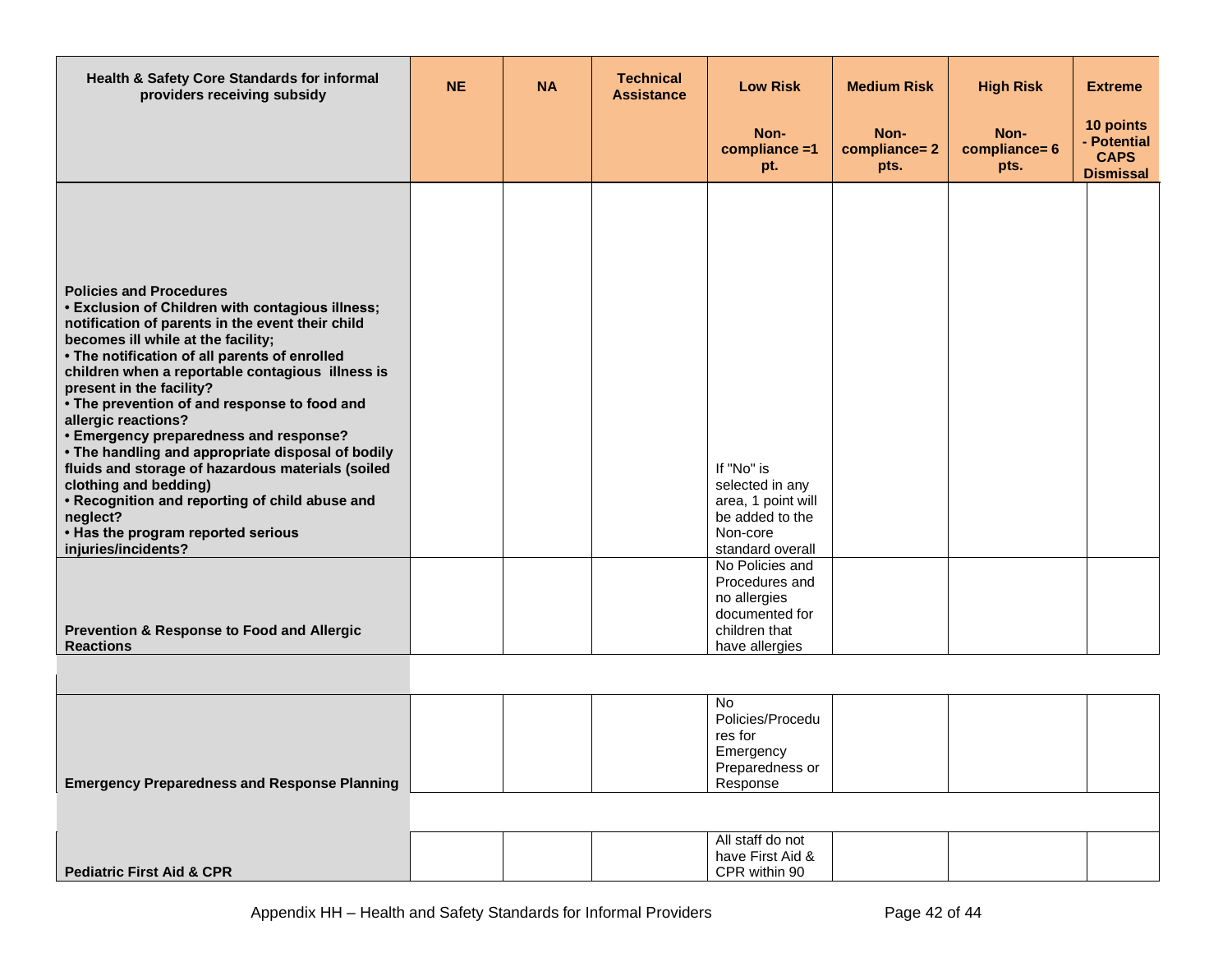| Health & Safety Core Standards for informal<br>providers receiving subsidy                                                                                                                                                                                                                                                                                                                                                                                                                                                                                                                                                                                                                   | <b>NE</b> | <b>NA</b> | <b>Technical</b><br><b>Assistance</b> | <b>Low Risk</b>                                                                                        | <b>Medium Risk</b>           | <b>High Risk</b>              | <b>Extreme</b>                                              |
|----------------------------------------------------------------------------------------------------------------------------------------------------------------------------------------------------------------------------------------------------------------------------------------------------------------------------------------------------------------------------------------------------------------------------------------------------------------------------------------------------------------------------------------------------------------------------------------------------------------------------------------------------------------------------------------------|-----------|-----------|---------------------------------------|--------------------------------------------------------------------------------------------------------|------------------------------|-------------------------------|-------------------------------------------------------------|
|                                                                                                                                                                                                                                                                                                                                                                                                                                                                                                                                                                                                                                                                                              |           |           |                                       | Non-<br>compliance =1<br>pt.                                                                           | Non-<br>compliance=2<br>pts. | Non-<br>compliance= 6<br>pts. | 10 points<br>- Potential<br><b>CAPS</b><br><b>Dismissal</b> |
| <b>Policies and Procedures</b><br>• Exclusion of Children with contagious illness;<br>notification of parents in the event their child<br>becomes ill while at the facility;<br>• The notification of all parents of enrolled<br>children when a reportable contagious illness is<br>present in the facility?<br>• The prevention of and response to food and<br>allergic reactions?<br>• Emergency preparedness and response?<br>• The handling and appropriate disposal of bodily<br>fluids and storage of hazardous materials (soiled<br>clothing and bedding)<br>• Recognition and reporting of child abuse and<br>neglect?<br>. Has the program reported serious<br>injuries/incidents? |           |           |                                       | If "No" is<br>selected in any<br>area, 1 point will<br>be added to the<br>Non-core<br>standard overall |                              |                               |                                                             |
| Prevention & Response to Food and Allergic<br><b>Reactions</b>                                                                                                                                                                                                                                                                                                                                                                                                                                                                                                                                                                                                                               |           |           |                                       | No Policies and<br>Procedures and<br>no allergies<br>documented for<br>children that<br>have allergies |                              |                               |                                                             |
|                                                                                                                                                                                                                                                                                                                                                                                                                                                                                                                                                                                                                                                                                              |           |           |                                       | No.<br>Policies/Procedu<br>res for                                                                     |                              |                               |                                                             |

**Pediatric First Aid & CPR** All staff do not have First Aid & CPR within 90

Emergency Preparedness or Response